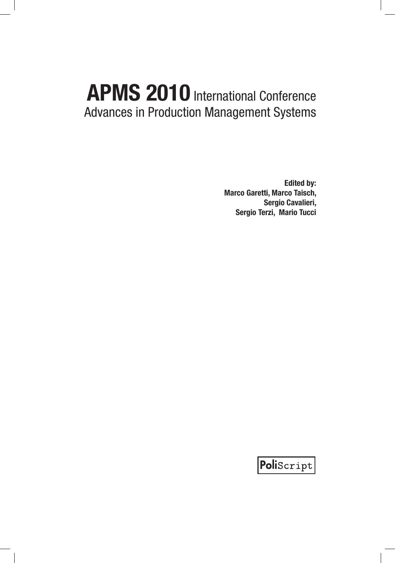**Edited by: Marco Garetti, Marco Taisch, Sergio Cavalieri, Sergio Terzi, Mario Tucci**

PoliScript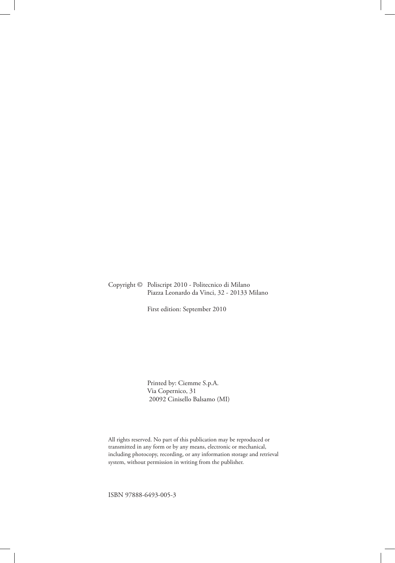#### Copyright © Poliscript 2010 - Politecnico di Milano Piazza Leonardo da Vinci, 32 - 20133 Milano

First edition: September 2010

Printed by: Ciemme S.p.A. Via Copernico, 31 20092 Cinisello Balsamo (MI)

All rights reserved. No part of this publication may be reproduced or transmitted in any form or by any means, electronic or mechanical, including photocopy, recording, or any information storage and retrieval system, without permission in writing from the publisher.

ISBN 97888-6493-005-3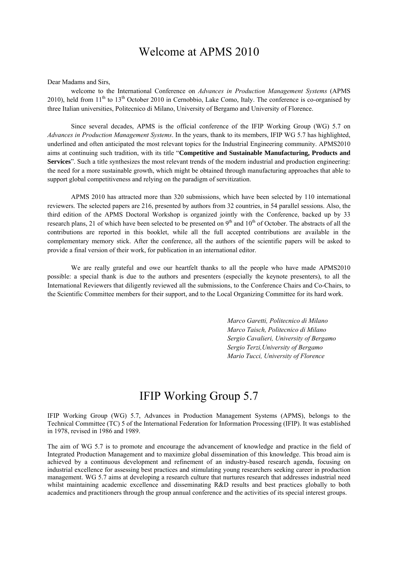### Welcome at APMS 2010

Dear Madams and Sirs,

welcome to the International Conference on *Advances in Production Management Systems* (APMS 2010), held from 11<sup>th</sup> to 13<sup>th</sup> October 2010 in Cernobbio, Lake Como, Italy. The conference is co-organised by three Italian universities, Politecnico di Milano, University of Bergamo and University of Florence.

Since several decades, APMS is the official conference of the IFIP Working Group (WG) 5.7 on *Advances in Production Management Systems*. In the years, thank to its members, IFIP WG 5.7 has highlighted, underlined and often anticipated the most relevant topics for the Industrial Engineering community. APMS2010 aims at continuing such tradition, with its title "**Competitive and Sustainable Manufacturing, Products and Services**". Such a title synthesizes the most relevant trends of the modern industrial and production engineering: the need for a more sustainable growth, which might be obtained through manufacturing approaches that able to support global competitiveness and relying on the paradigm of servitization.

APMS 2010 has attracted more than 320 submissions, which have been selected by 110 international reviewers. The selected papers are 216, presented by authors from 32 countries, in 54 parallel sessions. Also, the third edition of the APMS Doctoral Workshop is organized jointly with the Conference, backed up by 33 research plans, 21 of which have been selected to be presented on  $9<sup>th</sup>$  and  $10<sup>th</sup>$  of October. The abstracts of all the contributions are reported in this booklet, while all the full accepted contributions are available in the complementary memory stick. After the conference, all the authors of the scientific papers will be asked to provide a final version of their work, for publication in an international editor.

We are really grateful and owe our heartfelt thanks to all the people who have made APMS2010 possible: a special thank is due to the authors and presenters (especially the keynote presenters), to all the International Reviewers that diligently reviewed all the submissions, to the Conference Chairs and Co-Chairs, to the Scientific Committee members for their support, and to the Local Organizing Committee for its hard work.

> *Marco Garetti, Politecnico di Milano Marco Taisch, Politecnico di Milano Sergio Cavalieri, University of Bergamo Sergio Terzi,University of Bergamo Mario Tucci, University of Florence*

### IFIP Working Group 5.7

IFIP Working Group (WG) 5.7, Advances in Production Management Systems (APMS), belongs to the Technical Committee (TC) 5 of the International Federation for Information Processing (IFIP). It was established in 1978, revised in 1986 and 1989.

The aim of WG 5.7 is to promote and encourage the advancement of knowledge and practice in the field of Integrated Production Management and to maximize global dissemination of this knowledge. This broad aim is achieved by a continuous development and refinement of an industry-based research agenda, focusing on industrial excellence for assessing best practices and stimulating young researchers seeking career in production management. WG 5.7 aims at developing a research culture that nurtures research that addresses industrial need whilst maintaining academic excellence and disseminating R&D results and best practices globally to both academics and practitioners through the group annual conference and the activities of its special interest groups.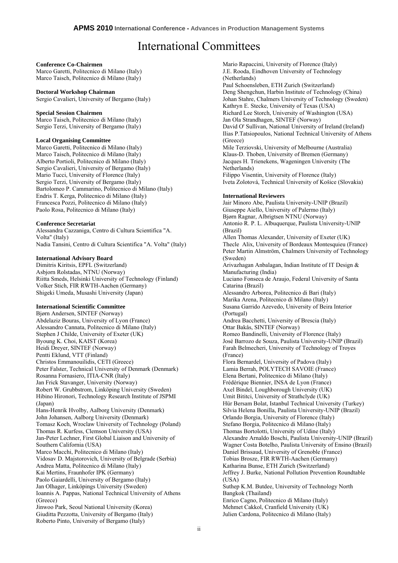### International Committees

#### **Conference Co-Chairmen**

Marco Garetti, Politecnico di Milano (Italy) Marco Taisch, Politecnico di Milano (Italy)

#### **Doctoral Workshop Chairman**

Sergio Cavalieri, University of Bergamo (Italy)

#### **Special Session Chairmen**

Marco Taisch, Politecnico di Milano (Italy) Sergio Terzi, University of Bergamo (Italy)

#### **Local Organising Committee**

Marco Garetti, Politecnico di Milano (Italy) Marco Taisch, Politecnico di Milano (Italy) Alberto Portioli, Politecnico di Milano (Italy) Sergio Cavalieri, University of Bergamo (Italy) Mario Tucci, University of Florence (Italy) Sergio Terzi, University of Bergamo (Italy) Bartolomeo P. Cammarino, Politecnico di Milano (Italy) Endris T. Kerga, Politecnico di Milano (Italy) Francesca Pozzi, Politecnico di Milano (Italy) Paolo Rosa, Politecnico di Milano (Italy)

#### **Conference Secretariat**

Alessandra Cazzaniga, Centro di Cultura Scientifica "A. Volta" (Italy) Nadia Tansini, Centro di Cultura Scientifica "A. Volta" (Italy)

#### **International Advisory Board**

Dimitris Kiritsis, EPFL (Switzerland) Asbjorn Rolstadas, NTNU (Norway) Riitta Smeds, Helsinki University of Technology (Finland) Volker Stich, FIR RWTH-Aachen (Germany) Shigeki Umeda, Musashi University (Japan)

#### **International Scientific Committee**

Bjørn Andersen, SINTEF (Norway) Abdelaziz Bouras, University of Lyon (France) Alessandro Cannata, Politecnico di Milano (Italy) Stephen J Childe, University of Exeter (UK) Byoung K. Choi, KAIST (Korea) Heidi Dreyer, SINTEF (Norway) Pentti Eklund, VTT (Finland) Christos Emmanouilidis, CETI (Greece) Peter Falster, Technical University of Denmark (Denmark) Rosanna Fornasiero, ITIA-CNR (Italy) Jan Frick Stavanger, University (Norway) Robert W. Grubbstrom, Linköping University (Sweden) Hibino Hironori, Technology Research Institute of JSPMI (Japan) Hans-Henrik Hvolby, Aalborg University (Denmark) John Johansen, Aalborg University (Denmark) Tomasz Koch, Wroclaw University of Technology (Poland) Thomas R. Kurfess, Clemson University (USA) Jan-Peter Lechner, First Global Liaison and University of Southern California (USA) Marco Macchi, Politecnico di Milano (Italy) Vidosav D. Majstorovich, University of Belgrade (Serbia) Andrea Matta, Politecnico di Milano (Italy) Kai Mertins, Fraunhofer IPK (Germany) Paolo Gaiardelli, University of Bergamo (Italy) Jan Olhager, Linköpings University (Sweden) Ioannis A. Pappas, National Technical University of Athens (Greece) Jinwoo Park, Seoul National University (Korea) Giuditta Pezzotta, University of Bergamo (Italy) Roberto Pinto, University of Bergamo (Italy)

Mario Rapaccini, University of Florence (Italy) J.E. Rooda, Eindhoven University of Technology (Netherlands) Paul Schoensleben, ETH Zurich (Switzerland) Deng Shengchun, Harbin Institute of Technology (China) Johan Stahre, Chalmers University of Technology (Sweden) Kathryn E. Stecke, University of Texas (USA) Richard Lee Storch, University of Washington (USA) Jan Ola Strandhagen, SINTEF (Norway) David O' Sullivan, National University of Ireland (Ireland) Ilias P.Tatsiopoulos, National Technical University of Athens (Greece) Mile Terziovski, University of Melbourne (Australia) Klaus-D. Thoben, University of Bremen (Germany) Jacques H. Trienekens, Wageningen University (The Netherlands) Filippo Visentin, University of Florence (Italy) Iveta Zolotová, Technical University of Košice (Slovakia) **International Reviewers** Jair Minoro Abe, Paulista University-UNIP (Brazil) Giuseppe Aiello, University of Palermo (Italy) Bjørn Ragnar, Albrigtsen NTNU (Norway) Antonio R. P. L. Albuquerque, Paulista University-UNIP (Brazil) Allen Thomas Alexander, University of Exeter (UK) Thecle Alix, University of Bordeaux Montesquieu (France) Peter Martin Almström, Chalmers University of Technology (Sweden) Arivazhagan Anbalagan, Indian Institute of IT Design & Manufacturing (India) Luciano Fonseca de Araujo, Federal University of Santa Catarina (Brazil) Alessandro Arborea, Politecnico di Bari (Italy) Marika Arena, Politecnico di Milano (Italy) Susana Garrido Azevedo, University of Beira Interior (Portugal) Andrea Bacchetti, University of Brescia (Italy) Ottar Bakås, SINTEF (Norway) Romeo Bandinelli, University of Florence (Italy) José Barrozo de Souza, Paulista University-UNIP (Brazil) Farah Belmecheri, University of Technology of Troyes (France) Flora Bernardel, University of Padova (Italy) Lamia Berrah, POLYTECH SAVOIE (France) Elena Bertani, Politecnico di Milano (Italy) Frédérique Biennier, INSA de Lyon (France) Axel Bindel, Loughborough University (UK) Umit Bititci, University of Strathclyde (UK) Hür Bersam Bolat, Istanbul Technical University (Turkey) Silvia Helena Bonilla, Paulista University-UNIP (Brazil) Orlando Borgia, University of Florence (Italy) Stefano Borgia, Politecnico di Milano (Italy) Thomas Bortolotti, University of Udine (Italy) Alexandre Arnaldo Boschi, Paulista University-UNIP (Brazil) Wagner Costa Botelho, Paulista University of Ensino (Brazil) Daniel Brissaud, University of Grenoble (France) Tobias Brosze, FIR RWTH-Aachen (Germany) Katharina Bunse, ETH Zurich (Switzerland) Jeffrey J. Burke, National Pollution Prevention Roundtable (USA) Suthep K.M. Butdee, University of Technology North Bangkok (Thailand) Enrico Cagno, Politecnico di Milano (Italy) Mehmet Cakkol, Cranfield University (UK) Julien Cardona, Politecnico di Milano (Italy)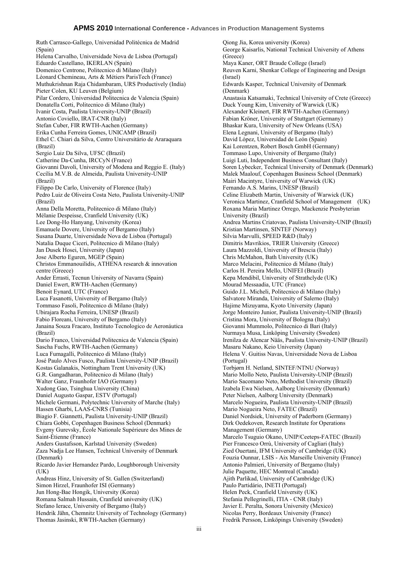Ruth Carrasco-Gallego, Universidad Politécnica de Madrid (Spain) Helena Carvalho, Universidade Nova de Lisboa (Portugal) Eduardo Castellano, IKERLAN (Spain) Domenico Centrone, Politecnico di Milano (Italy) Léonard Chemineau, Arts & Métiers ParisTech (France) Muthukrishnan Raja Chidambaram, URS Productively (India) Pieter Colen, KU Leuven (Belgium) Pilar Cordero, Universidad Politecnica de Valencia (Spain) Donatella Corti, Politecnico di Milano (Italy) Ivanir Costa, Paulista University-UNIP (Brazil) Antonio Coviello, IRAT-CNR (Italy) Stefan Cuber, FIR RWTH-Aachen (Germany) Erika Cunha Ferreira Gomes, UNICAMP (Brazil) Ethel C. Chiari da Silva, Centro Universitário de Araraquara (Brazil) Sergio Luiz Da Silva, UFSC (Brazil) Catherine Da-Cunha, IRCCyN (France) Giovanni Davoli, University of Modena and Reggio E. (Italy) Cecília M.V.B. de Almeida, Paulista University-UNIP (Brazil) Filippo De Carlo, University of Florence (Italy) Pedro Luiz de Oliveira Costa Neto, Paulista University-UNIP (Brazil) Anna Della Moretta, Politecnico di Milano (Italy) Mélanie Despeisse, Cranfield University (UK) Lee Dong-Ho Hanyang, University (Korea) Emanuele Dovere, University of Bergamo (Italy) Susana Duarte, Universidade Nova de Lisboa (Portugal) Natalia Duque Ciceri, Politecnico di Milano (Italy) Jan Dusek Hosei, University (Japan) Jose Alberto Eguren, MGEP (Spain) Christos Emmanouilidis, ATHENA research & innovation centre (Greece) Ander Errasti, Tecnun University of Navarra (Spain) Daniel Ewert, RWTH-Aachen (Germany) Benoit Eynard, UTC (France) Luca Fasanotti, University of Bergamo (Italy) Tommaso Fasoli, Politecnico di Milano (Italy) Ubirajara Rocha Ferreira, UNESP (Brazil) Fabio Floreani, University of Bergamo (Italy) Janaina Souza Fracaro, Instituto Tecnologico de Aeronáutica (Brazil) Dario Franco, Universidad Politecnica de Valencia (Spain) Sascha Fuchs, RWTH-Aachen (Germany) Luca Fumagalli, Politecnico di Milano (Italy) José Paulo Alves Fusco, Paulista University-UNIP (Brazil) Kostas Galanakis, Nottingham Trent University (UK) G.R. Gangadharan, Politecnico di Milano (Italy) Walter Ganz, Fraunhofer IAO (Germany) Xudong Gao, Tsinghua University (China) Daniel Augusto Gaspar, ESTV (Portugal) Michele Germani, Polytechnic University of Marche (Italy) Hassen Gharbi, LAAS-CNRS (Tunisia) Biagio F. Giannetti, Paulista University-UNIP (Brazil) Chiara Gobbi, Copenhagen Business School (Denmark) Evgeny Gurevsky, École Nationale Supérieure des Mines de Saint-Étienne (France) Anders Gustafsson, Karlstad University (Sweden) Zaza Nadja Lee Hansen, Technical University of Denmark (Denmark) Ricardo Javier Hernandez Pardo, Loughborough University  $(UK)$ Andreas Hinz, University of St. Gallen (Switzerland) Simon Hirzel, Fraunhofer ISI (Germany) Jun Hong-Bae Hongik, University (Korea) Romana Salmah Hussain, Cranfield university (UK) Stefano Ierace, University of Bergamo (Italy) Hendrik Jähn, Chemnitz University of Technology (Germany) Thomas Jasinski, RWTH-Aachen (Germany)

Qiong Jia, Korea university (Korea) George Kaisarlis, National Technical University of Athens (Greece) Maya Kaner, ORT Braude College (Israel) Reuven Karni, Shenkar College of Engineering and Design (Israel) Edwards Kasper, Technical University of Denmark (Denmark) Anastasia Katsamaki, Technical University of Crete (Greece) Duck Young Kim, University of Warwick (UK) Alexander Kleinert, FIR RWTH-Aachen (Germany) Fabian Kröner, University of Stuttgart (Germany) Bhaskar Kura, University of New Orleans (USA) Elena Legnani, University of Bergamo (Italy) David López, Universidad de León (Spain) Kai Lorentzen, Robert Bosch GmbH (Germany) Tommaso Lupo, University of Bergamo (Italy) Luigi Luti, Independent Business Consultant (Italy) Soren Lybecker, Technical University of Denmark (Denmark) Malek Maalouf, Copenhagen Business School (Denmark) Mairi Macintyre, University of Warwick (UK) Fernando A.S. Marins, UNESP (Brazil) Celine Elizabeth Martin, University of Warwick (UK) Veronica Martinez, Cranfield School of Management (UK) Roxana Maria Martinez Orrego, Mackenzie Presbyterian University (Brazil) Andrea Martins Criatovao, Paulista University-UNIP (Brazil) Kristian Martinsen, SINTEF (Norway) Silvia Marvulli, SPEED R&D (Italy) Dimitris Mavrikios, TRIER University (Greece) Laura Mazzoldi, University of Brescia (Italy) Chris McMahon, Bath University (UK) Marco Melacini, Politecnico di Milano (Italy) Carlos H. Pereira Mello, UNIFEI (Brazil) Kepa Mendibil, University of Strathclyde (UK) Mourad Messaadia, UTC (France) Guido J.L. Micheli, Politecnico di Milano (Italy) Salvatore Miranda, University of Salerno (Italy) Hajime Mizuyama, Kyoto University (Japan) Jorge Monteiro Junior, Paulista University-UNIP (Brazil) Cristina Mora, University of Bologna (Italy) Giovanni Mummolo, Politecnico di Bari (Italy) Nurmaya Musa, Linköping University (Sweden) Irenilza de Alencar Nääs, Paulista University-UNIP (Brazil) Masaru Nakano, Keio University (Japan) Helena V. Guitiss Navas, Universidade Nova de Lisboa (Portugal) Torbjørn H. Netland, SINTEF/NTNU (Norway) Mario Mollo Neto, Paulista University-UNIP (Brazil) Mario Sacomano Neto, Methodist University (Brazil) Izabela Ewa Nielsen, Aalborg University (Denmark) Peter Nielsen, Aalborg University (Denmark) Marcelo Nogueira, Paulista University-UNIP (Brazil) Mario Nogueira Neto, FATEC (Brazil) Daniel Nordsiek, University of Paderborn (Germany) Dirk Oedekoven, Research Institute for Operations Management (Germany) Marcelo Tsuguio Okano, UNIP/Ceeteps-FATEC (Brazil) Pier Francesco Orrù, University of Cagliari (Italy) Zied Ouertani, IFM University of Cambridge (UK) Fouzia Ounnar, LSIS - Aix Marseille University (France) Antonio Palmieri, University of Bergamo (Italy) Julie Paquette, HEC Montreal (Canada) Ajith Parlikad, University of Cambridge (UK) Paulo Partidário, INETI (Portugal) Helen Peck, Cranfield University (UK) Stefania Pellegrinelli, ITIA - CNR (Italy) Javier E. Peralta, Sonora University (Mexico) Nicolas Perry, Bordeaux University (France) Fredrik Persson, Linköpings University (Sweden)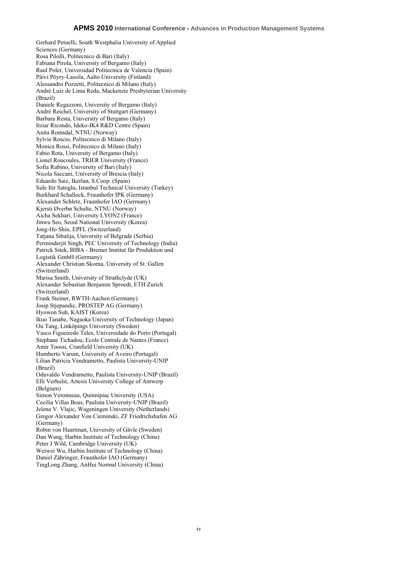Gerhard Petuelli, South Westphalia University of Applied Sciences (Germany) Rosa Pilolli, Politecnico di Bari (Italy) Fabiana Pirola, University of Bergamo (Italy) Raul Poler, Universidad Politecnica de Valencia (Spain) Päivi Pöyry-Lassila, Aalto University (Finland) Alessandro Pozzetti, Politecnico di Milano (Italy) André Luiz de Lima Reda, Mackenzie Presbyterian University (Brazil) Daniele Regazzoni, University of Bergamo (Italy) André Reichel, University of Stuttgart (Germany) Barbara Resta, University of Bergamo (Italy) Itziar Ricondo, Ideko-IK4 R&D Centre (Spain) Anita Romsdal, NTNU (Norway) Sylvie Roscio, Politecnico di Milano (Italy) Monica Rossi, Politecnico di Milano (Italy) Fabio Rota, University of Bergamo (Italy) Lionel Roucoules, TRIER University (France) Sofia Rubino, University of Bari (Italy) Nicola Saccani, University of Brescia (Italy) Eduardo Saiz, Ikerlan, S.Coop. (Spain) Sule Itir Satoglu, Istanbul Technical University (Turkey) Burkhard Schallock, Fraunhofer IPK (Germany) Alexander Schletz, Fraunhofer IAO (Germany) Kjersti Øverbø Schulte, NTNU (Norway) Aicha Sekhari, University LYON2 (France) Jinwu Seo, Seoul National University (Korea) Jong-Ho Shin, EPFL (Switzerland) Tatjana Sibalija, University of Belgrade (Serbia) Perminderjit Singh, PEC University of Technology (India) Patrick Sitek, BIBA - Bremer Institut für Produktion und Logistik GmbH (Germany) Alexander Christian Skorna, University of St. Gallen (Switzerland) Marisa Smith, University of Strathclyde (UK) Alexander Sebastian Benjamin Sproedt, ETH Zurich (Switzerland) Frank Steiner, RWTH-Aachen (Germany) Josip Stjepandic, PROSTEP AG (Germany) Hyowon Suh, KAIST (Korea) Ikuo Tanabe, Nagaoka University of Technology (Japan) Ou Tang, Linköpings University (Sweden) Vasco Figueiredo Teles, Universidade do Porto (Portugal) Stephane Tichadou, Ecole Centrale de Nantes (France) Amir Toossi, Cranfield University (UK) Humberto Varum, University of Aveiro (Portugal) Lilian Patricia Vendrametto, Paulista University-UNIP (Brazil) Oduvaldo Vendrametto, Paulista University-UNIP (Brazil) Elli Verhulst, Artesis University College of Antwerp (Belgium) Simon Veronneau, Quinnipiac University (USA) Cecilia Villas Boas, Paulista University-UNIP (Brazil) Jelena V. Vlajic, Wageningen University (Netherlands) Gregor Alexander Von Cieminski, ZF Friedrichshafen AG (Germany) Robin von Haartman, University of Gävle (Sweden) Dan Wang, Harbin Institute of Technology (China) Peter J Wild, Cambridge University (UK) Weiwei Wu, Harbin Institute of Technology (China) Daniel Zähringer, Fraunhofer IAO (Germany)

TingLong Zhang, AnHui Normal University (China)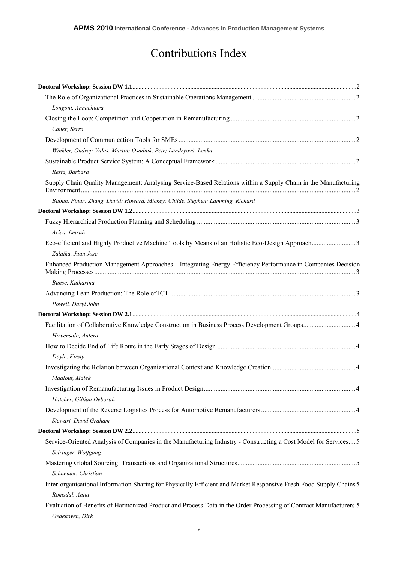## Contributions Index

| Longoni, Annachiara                                                                                                                    |  |
|----------------------------------------------------------------------------------------------------------------------------------------|--|
| Caner, Serra                                                                                                                           |  |
|                                                                                                                                        |  |
| Winkler, Ondrej; Valas, Martin; Osadník, Petr; Landryová, Lenka                                                                        |  |
|                                                                                                                                        |  |
| Resta, Barbara                                                                                                                         |  |
| Supply Chain Quality Management: Analysing Service-Based Relations within a Supply Chain in the Manufacturing                          |  |
| Baban, Pinar; Zhang, David; Howard, Mickey; Childe, Stephen; Lamming, Richard                                                          |  |
|                                                                                                                                        |  |
|                                                                                                                                        |  |
| Arica, Emrah                                                                                                                           |  |
|                                                                                                                                        |  |
| Zulaika, Juan Jose                                                                                                                     |  |
| Enhanced Production Management Approaches - Integrating Energy Efficiency Performance in Companies Decision                            |  |
| Bunse, Katharina                                                                                                                       |  |
|                                                                                                                                        |  |
| Powell, Daryl John                                                                                                                     |  |
|                                                                                                                                        |  |
|                                                                                                                                        |  |
| Hirvensalo, Antero                                                                                                                     |  |
|                                                                                                                                        |  |
| Doyle, Kirsty                                                                                                                          |  |
| Maalouf, Malek                                                                                                                         |  |
|                                                                                                                                        |  |
| Hatcher, Gillian Deborah                                                                                                               |  |
|                                                                                                                                        |  |
| Stewart, David Graham                                                                                                                  |  |
|                                                                                                                                        |  |
| Service-Oriented Analysis of Companies in the Manufacturing Industry - Constructing a Cost Model for Services 5<br>Seiringer, Wolfgang |  |
|                                                                                                                                        |  |
| Schneider, Christian                                                                                                                   |  |
| Inter-organisational Information Sharing for Physically Efficient and Market Responsive Fresh Food Supply Chains 5                     |  |
| Romsdal, Anita                                                                                                                         |  |
| Evaluation of Benefits of Harmonized Product and Process Data in the Order Processing of Contract Manufacturers 5<br>Oedekoven, Dirk   |  |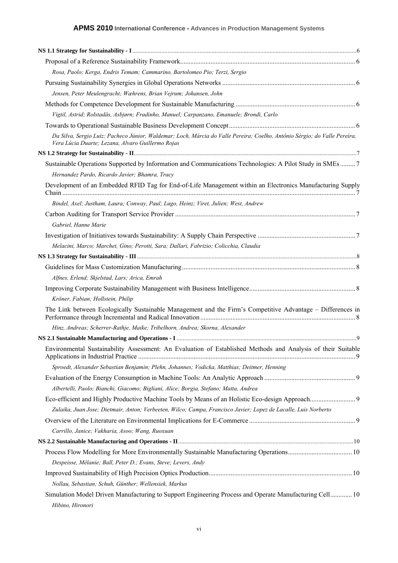| Rosa, Paolo; Kerga, Endris Temam; Cammarino, Bartolomeo Pio; Terzi, Sergio                                                                                                     |  |
|--------------------------------------------------------------------------------------------------------------------------------------------------------------------------------|--|
|                                                                                                                                                                                |  |
| Jensen, Peter Meulengracht; Wæhrens, Brian Vejrum; Johansen, John                                                                                                              |  |
|                                                                                                                                                                                |  |
| Vigtil, Astrid; Rolstadås, Asbjørn; Fradinho, Manuel; Carpanzano, Emanuele; Brondi, Carlo                                                                                      |  |
|                                                                                                                                                                                |  |
| Da Silva, Sergio Luiz; Pacheco Júnior, Waldemar; Loch, Márcia do Valle Pereira; Coelho, Antônio Sérgio; do Valle Pereira,<br>Vera Lúcia Duarte; Lezana, Alvaro Guillermo Rojas |  |
|                                                                                                                                                                                |  |
| Sustainable Operations Supported by Information and Communications Technologies: A Pilot Study in SMEs7<br>Hernandez Pardo, Ricardo Javier; Bhamra, Tracy                      |  |
| Development of an Embedded RFID Tag for End-of-Life Management within an Electronics Manufacturing Supply                                                                      |  |
| Bindel, Axel; Justham, Laura; Conway, Paul; Lugo, Heinz; Viret, Julien; West, Andrew                                                                                           |  |
|                                                                                                                                                                                |  |
| Gabriel, Hanne Marie                                                                                                                                                           |  |
|                                                                                                                                                                                |  |
| Melacini, Marco; Marchet, Gino; Perotti, Sara; Dallari, Fabrizio; Colicchia, Claudia                                                                                           |  |
|                                                                                                                                                                                |  |
|                                                                                                                                                                                |  |
| Alfnes, Erlend; Skjelstad, Lars; Arica, Emrah                                                                                                                                  |  |
|                                                                                                                                                                                |  |
| Kröner, Fabian; Hollstein, Philip                                                                                                                                              |  |
| The Link between Ecologically Sustainable Management and the Firm's Competitive Advantage – Differences in                                                                     |  |
| Hinz, Andreas; Scherrer-Rathje, Maike; Tribelhorn, Andrea; Skorna, Alexander                                                                                                   |  |
|                                                                                                                                                                                |  |
| Environmental Sustainability Assessment: An Evaluation of Established Methods and Analysis of their Suitable                                                                   |  |
| Sproedt, Alexander Sebastian Benjamin; Plehn, Johannes; Vodicka, Matthias; Deitmer, Henning                                                                                    |  |
|                                                                                                                                                                                |  |
| Albertelli, Paolo; Bianchi, Giacomo; Bigliani, Alice; Borgia, Stefano; Matta, Andrea                                                                                           |  |
|                                                                                                                                                                                |  |
| Zulaika, Juan Jose; Dietmair, Anton; Verbeeten, Wilco; Campa, Francisco Javier; Lopez de Lacalle, Luis Norberto                                                                |  |
|                                                                                                                                                                                |  |
| Carrillo, Janice; Vakharia, Asoo; Wang, Ruoxuan                                                                                                                                |  |
|                                                                                                                                                                                |  |
|                                                                                                                                                                                |  |
| Despeisse, Mélanie; Ball, Peter D.; Evans, Steve; Levers, Andy                                                                                                                 |  |
|                                                                                                                                                                                |  |
| Nollau, Sebastian; Schuh, Günther; Wellensiek, Markus                                                                                                                          |  |
| Simulation Model Driven Manufacturing to Support Engineering Process and Operate Manufacturing Cell 10<br>Hibino, Hironori                                                     |  |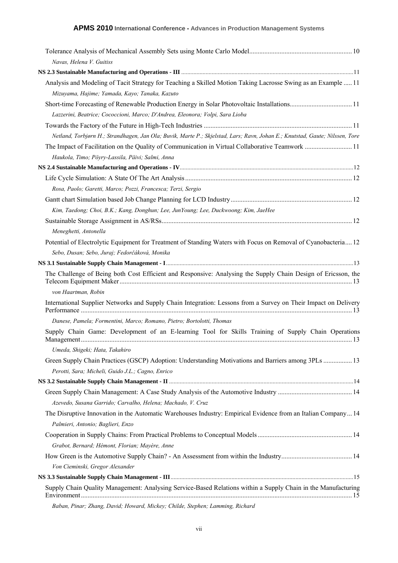| Navas, Helena V. Guitiss                                                                                                     |  |
|------------------------------------------------------------------------------------------------------------------------------|--|
|                                                                                                                              |  |
| Analysis and Modeling of Tacit Strategy for Teaching a Skilled Motion Taking Lacrosse Swing as an Example  11                |  |
| Mizuyama, Hajime; Yamada, Kayo; Tanaka, Kazuto                                                                               |  |
|                                                                                                                              |  |
| Lazzerini, Beatrice; Cococcioni, Marco; D'Andrea, Eleonora; Volpi, Sara Lioba                                                |  |
|                                                                                                                              |  |
| Netland, Torbjørn H.; Strandhagen, Jan Ola; Buvik, Marte P.; Skjelstad, Lars; Ravn, Johan E.; Knutstad, Gaute; Nilssen, Tore |  |
| The Impact of Facilitation on the Quality of Communication in Virtual Collaborative Teamwork  11                             |  |
| Haukola, Timo; Pöyry-Lassila, Päivi; Salmi, Anna                                                                             |  |
|                                                                                                                              |  |
|                                                                                                                              |  |
| Rosa, Paolo; Garetti, Marco; Pozzi, Francesca; Terzi, Sergio                                                                 |  |
|                                                                                                                              |  |
| Kim, Taedong; Choi, B.K.; Kang, Donghun; Lee, JunYoung; Lee, Duckwoong; Kim, JaeHee                                          |  |
|                                                                                                                              |  |
| Meneghetti, Antonella                                                                                                        |  |
| Potential of Electrolytic Equipment for Treatment of Standing Waters with Focus on Removal of Cyanobacteria 12               |  |
| Sebo, Dusan; Sebo, Juraj; Fedorčáková, Monika                                                                                |  |
|                                                                                                                              |  |
| The Challenge of Being both Cost Efficient and Responsive: Analysing the Supply Chain Design of Ericsson, the                |  |
| von Haartman, Robin                                                                                                          |  |
| International Supplier Networks and Supply Chain Integration: Lessons from a Survey on Their Impact on Delivery              |  |
| Danese, Pamela; Formentini, Marco; Romano, Pietro; Bortolotti, Thomas                                                        |  |
| Supply Chain Game: Development of an E-learning Tool for Skills Training of Supply Chain Operations                          |  |
| Umeda, Shigeki; Hata, Takahiro                                                                                               |  |
| Green Supply Chain Practices (GSCP) Adoption: Understanding Motivations and Barriers among 3PLs  13                          |  |
| Perotti, Sara; Micheli, Guido J.L.; Cagno, Enrico                                                                            |  |
|                                                                                                                              |  |
| Azevedo, Susana Garrido; Carvalho, Helena; Machado, V. Cruz                                                                  |  |
| The Disruptive Innovation in the Automatic Warehouses Industry: Empirical Evidence from an Italian Company 14                |  |
| Palmieri, Antonio; Baglieri, Enzo                                                                                            |  |
|                                                                                                                              |  |
| Grabot, Bernard; Hémont, Florian; Mayère, Anne                                                                               |  |
|                                                                                                                              |  |
| Von Cieminski, Gregor Alexander                                                                                              |  |
|                                                                                                                              |  |
| Supply Chain Quality Management: Analysing Service-Based Relations within a Supply Chain in the Manufacturing                |  |
|                                                                                                                              |  |

*Baban, Pinar; Zhang, David; Howard, Mickey; Childe, Stephen; Lamming, Richard*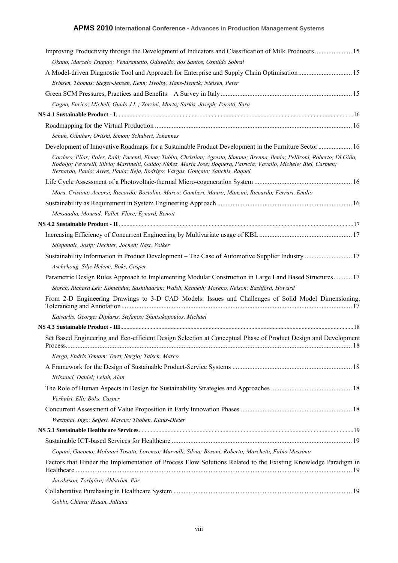| Improving Productivity through the Development of Indicators and Classification of Milk Producers 15                                                                                                                                                                                                                                     |  |
|------------------------------------------------------------------------------------------------------------------------------------------------------------------------------------------------------------------------------------------------------------------------------------------------------------------------------------------|--|
| Okano, Marcelo Tsuguio; Vendrametto, Oduvaldo; dos Santos, Osmildo Sobral                                                                                                                                                                                                                                                                |  |
|                                                                                                                                                                                                                                                                                                                                          |  |
| Eriksen, Thomas; Steger-Jensen, Kenn; Hvolby, Hans-Henrik; Nielsen, Peter                                                                                                                                                                                                                                                                |  |
|                                                                                                                                                                                                                                                                                                                                          |  |
| Cagno, Enrico; Micheli, Guido J.L.; Zorzini, Marta; Sarkis, Joseph; Perotti, Sara                                                                                                                                                                                                                                                        |  |
|                                                                                                                                                                                                                                                                                                                                          |  |
|                                                                                                                                                                                                                                                                                                                                          |  |
| Schuh, Günther; Orilski, Simon; Schubert, Johannes                                                                                                                                                                                                                                                                                       |  |
| Development of Innovative Roadmaps for a Sustainable Product Development in the Furniture Sector  16                                                                                                                                                                                                                                     |  |
| Cordero, Pilar; Poler, Raúl; Pacenti, Elena; Tubito, Christian; Agresta, Simona; Brenna, Ilenia; Pellizoni, Roberto; Di Gilio,<br>Rodolfo; Peverelli, Silvio; Martinelli, Guido; Núñez, María José; Boquera, Patricia; Vavallo, Michele; Biel, Carmen;<br>Bernardo, Paulo; Alves, Paula; Beja, Rodrigo; Vargas, Gonçalo; Sanchis, Raquel |  |
|                                                                                                                                                                                                                                                                                                                                          |  |
| Mora, Cristina; Accorsi, Riccardo; Bortolini, Marco; Gamberi, Mauro; Manzini, Riccardo; Ferrari, Emilio                                                                                                                                                                                                                                  |  |
|                                                                                                                                                                                                                                                                                                                                          |  |
| Messaadia, Mourad; Vallet, Flore; Eynard, Benoit                                                                                                                                                                                                                                                                                         |  |
|                                                                                                                                                                                                                                                                                                                                          |  |
|                                                                                                                                                                                                                                                                                                                                          |  |
| Stjepandic, Josip; Hechler, Jochen; Nast, Volker                                                                                                                                                                                                                                                                                         |  |
|                                                                                                                                                                                                                                                                                                                                          |  |
| Aschehoug, Silje Helene; Boks, Casper                                                                                                                                                                                                                                                                                                    |  |
| Parametric Design Rules Approach to Implementing Modular Construction in Large Land Based Structures 17                                                                                                                                                                                                                                  |  |
| Storch, Richard Lee; Komendur, Sashihadran; Walsh, Kenneth; Moreno, Nelson; Bashford, Howard                                                                                                                                                                                                                                             |  |
| From 2-D Engineering Drawings to 3-D CAD Models: Issues and Challenges of Solid Model Dimensioning,                                                                                                                                                                                                                                      |  |
| Kaisarlis, George; Diplaris, Stefanos; Sfantsikopoulos, Michael                                                                                                                                                                                                                                                                          |  |
|                                                                                                                                                                                                                                                                                                                                          |  |
| Set Based Engineering and Eco-efficient Design Selection at Conceptual Phase of Product Design and Development                                                                                                                                                                                                                           |  |
| Kerga, Endris Temam; Terzi, Sergio; Taisch, Marco                                                                                                                                                                                                                                                                                        |  |
|                                                                                                                                                                                                                                                                                                                                          |  |
| Brissaud, Daniel; Lelah, Alan                                                                                                                                                                                                                                                                                                            |  |
|                                                                                                                                                                                                                                                                                                                                          |  |
| Verhulst, Elli; Boks, Casper                                                                                                                                                                                                                                                                                                             |  |
|                                                                                                                                                                                                                                                                                                                                          |  |
| Westphal, Ingo; Seifert, Marcus; Thoben, Klaus-Dieter                                                                                                                                                                                                                                                                                    |  |
|                                                                                                                                                                                                                                                                                                                                          |  |
|                                                                                                                                                                                                                                                                                                                                          |  |
| Copani, Gacomo; Molinari Tosatti, Lorenzo; Marvulli, Silvia; Bosani, Roberto; Marchetti, Fabio Massimo                                                                                                                                                                                                                                   |  |
| Factors that Hinder the Implementation of Process Flow Solutions Related to the Existing Knowledge Paradigm in                                                                                                                                                                                                                           |  |
| Jacobsson, Torbjörn; Åhlström, Pär                                                                                                                                                                                                                                                                                                       |  |
|                                                                                                                                                                                                                                                                                                                                          |  |
| Gobbi, Chiara; Hsuan, Juliana                                                                                                                                                                                                                                                                                                            |  |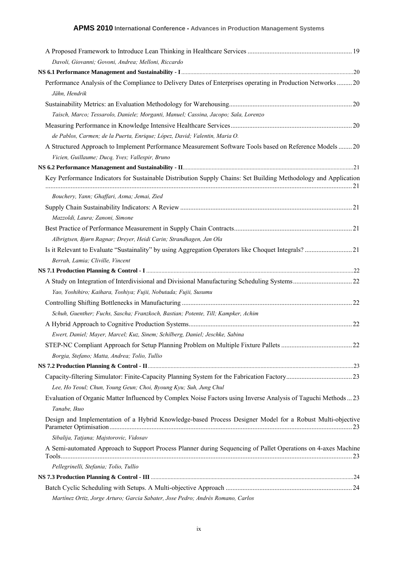| Davoli, Giovanni; Govoni, Andrea; Melloni, Riccardo                                                                                                                                                                           |  |
|-------------------------------------------------------------------------------------------------------------------------------------------------------------------------------------------------------------------------------|--|
|                                                                                                                                                                                                                               |  |
| Performance Analysis of the Compliance to Delivery Dates of Enterprises operating in Production Networks  20                                                                                                                  |  |
| Jähn, Hendrik                                                                                                                                                                                                                 |  |
|                                                                                                                                                                                                                               |  |
| Taisch, Marco; Tessarolo, Daniele; Morganti, Manuel; Cassina, Jacopo; Sala, Lorenzo                                                                                                                                           |  |
|                                                                                                                                                                                                                               |  |
| de Pablos, Carmen; de la Puerta, Enrique; López, David; Valentin, Maria O.                                                                                                                                                    |  |
| A Structured Approach to Implement Performance Measurement Software Tools based on Reference Models20                                                                                                                         |  |
| Vicien, Guillaume; Ducq, Yves; Vallespir, Bruno                                                                                                                                                                               |  |
|                                                                                                                                                                                                                               |  |
| Key Performance Indicators for Sustainable Distribution Supply Chains: Set Building Methodology and Application                                                                                                               |  |
| Bouchery, Yann; Ghaffari, Asma; Jemai, Zied                                                                                                                                                                                   |  |
|                                                                                                                                                                                                                               |  |
| Mazzoldi, Laura; Zanoni, Simone                                                                                                                                                                                               |  |
|                                                                                                                                                                                                                               |  |
| Albrigtsen, Bjørn Ragnar; Dreyer, Heidi Carin; Strandhagen, Jan Ola                                                                                                                                                           |  |
|                                                                                                                                                                                                                               |  |
| Berrah, Lamia; Cliville, Vincent                                                                                                                                                                                              |  |
|                                                                                                                                                                                                                               |  |
|                                                                                                                                                                                                                               |  |
| Yao, Yoshihiro; Kaihara, Toshiya; Fujii, Nobutada; Fujii, Susumu                                                                                                                                                              |  |
|                                                                                                                                                                                                                               |  |
| Schuh, Guenther; Fuchs, Sascha; Franzkoch, Bastian; Potente, Till; Kampker, Achim                                                                                                                                             |  |
|                                                                                                                                                                                                                               |  |
| Ewert, Daniel; Mayer, Marcel; Kuz, Sinem; Schilberg, Daniel; Jeschke, Sabina                                                                                                                                                  |  |
|                                                                                                                                                                                                                               |  |
| Borgia, Stefano; Matta, Andrea; Tolio, Tullio                                                                                                                                                                                 |  |
|                                                                                                                                                                                                                               |  |
|                                                                                                                                                                                                                               |  |
| Lee, Ho Yeoul; Chun, Young Geun; Choi, Byoung Kyu; Suh, Jung Chul                                                                                                                                                             |  |
| Evaluation of Organic Matter Influenced by Complex Noise Factors using Inverse Analysis of Taguchi Methods  23<br>Tanabe, Ikuo                                                                                                |  |
| Design and Implementation of a Hybrid Knowledge-based Process Designer Model for a Robust Multi-objective                                                                                                                     |  |
| Sibalija, Tatjana; Majstorovic, Vidosav                                                                                                                                                                                       |  |
| A Semi-automated Approach to Support Process Planner during Sequencing of Pallet Operations on 4-axes Machine                                                                                                                 |  |
| Pellegrinelli, Stefania; Tolio, Tullio                                                                                                                                                                                        |  |
| NS 7.3 Production Planning & Control - III manufactured and the control of the control of the control of the control of the control of the control of the control of the control of the control of the control of the control |  |
|                                                                                                                                                                                                                               |  |
| Martínez Ortiz, Jorge Arturo; Garcia Sabater, Jose Pedro; Andrés Romano, Carlos                                                                                                                                               |  |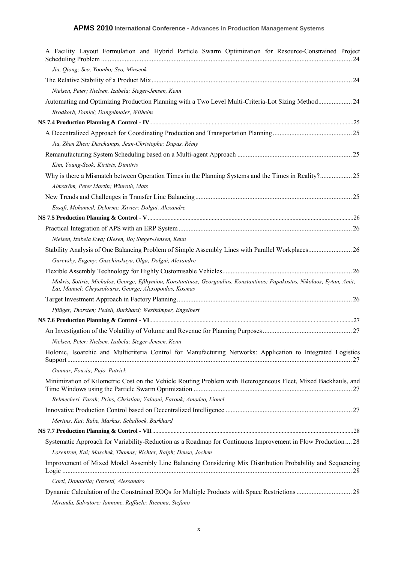| A Facility Layout Formulation and Hybrid Particle Swarm Optimization for Resource-Constrained Project                                                                                |  |
|--------------------------------------------------------------------------------------------------------------------------------------------------------------------------------------|--|
| Jia, Qiong; Seo, Yoonho; Seo, Minseok                                                                                                                                                |  |
|                                                                                                                                                                                      |  |
| Nielsen, Peter; Nielsen, Izabela; Steger-Jensen, Kenn                                                                                                                                |  |
| Automating and Optimizing Production Planning with a Two Level Multi-Criteria-Lot Sizing Method 24                                                                                   |  |
| Brodkorb, Daniel; Dangelmaier, Wilhelm                                                                                                                                               |  |
|                                                                                                                                                                                      |  |
|                                                                                                                                                                                      |  |
| Jia, Zhen Zhen; Deschamps, Jean-Christophe; Dupas, Rémy                                                                                                                              |  |
|                                                                                                                                                                                      |  |
| Kim, Young-Seok; Kiritsis, Dimitris                                                                                                                                                  |  |
| Why is there a Mismatch between Operation Times in the Planning Systems and the Times in Reality? 25                                                                                 |  |
| Almström, Peter Martin; Winroth, Mats                                                                                                                                                |  |
|                                                                                                                                                                                      |  |
| Essafi, Mohamed; Delorme, Xavier; Dolgui, Alexandre                                                                                                                                  |  |
|                                                                                                                                                                                      |  |
|                                                                                                                                                                                      |  |
| Nielsen, Izabela Ewa; Olesen, Bo; Steger-Jensen, Kenn                                                                                                                                |  |
|                                                                                                                                                                                      |  |
| Gurevsky, Evgeny; Guschinskaya, Olga; Dolgui, Alexandre                                                                                                                              |  |
|                                                                                                                                                                                      |  |
| Makris, Sotiris; Michalos, George; Efthymiou, Konstantinos; Georgoulias, Konstantinos; Papakostas, Nikolaos; Eytan, Amit;<br>Lai, Manuel; Chryssolouris, George; Alexopoulos, Kosmas |  |
|                                                                                                                                                                                      |  |
| Pflüger, Thorsten; Pedell, Burkhard; Westkämper, Engelbert                                                                                                                           |  |
|                                                                                                                                                                                      |  |
|                                                                                                                                                                                      |  |
| Nielsen, Peter; Nielsen, Izabela; Steger-Jensen, Kenn                                                                                                                                |  |
| Holonic, Isoarchic and Multicriteria Control for Manufacturing Networks: Application to Integrated Logistics                                                                         |  |
| Ounnar, Fouzia; Pujo, Patrick                                                                                                                                                        |  |
| Minimization of Kilometric Cost on the Vehicle Routing Problem with Heterogeneous Fleet, Mixed Backhauls, and                                                                        |  |
| Belmecheri, Farah; Prins, Christian; Yalaoui, Farouk; Amodeo, Lionel                                                                                                                 |  |
|                                                                                                                                                                                      |  |
| Mertins, Kai; Rabe, Markus; Schallock, Burkhard                                                                                                                                      |  |
|                                                                                                                                                                                      |  |
| Systematic Approach for Variability-Reduction as a Roadmap for Continuous Improvement in Flow Production28                                                                           |  |
| Lorentzen, Kai; Maschek, Thomas; Richter, Ralph; Deuse, Jochen                                                                                                                       |  |
| Improvement of Mixed Model Assembly Line Balancing Considering Mix Distribution Probability and Sequencing                                                                           |  |
| Corti, Donatella; Pozzetti, Alessandro                                                                                                                                               |  |
|                                                                                                                                                                                      |  |
| Miranda, Salvatore; Iannone, Raffaele; Riemma, Stefano                                                                                                                               |  |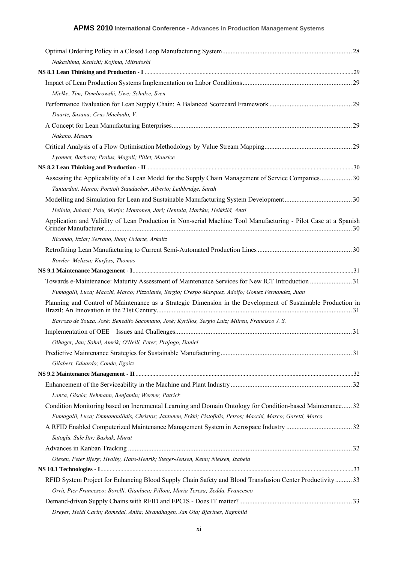| Nakashima, Kenichi; Kojima, Mitsutoshi                                                                         |  |
|----------------------------------------------------------------------------------------------------------------|--|
|                                                                                                                |  |
|                                                                                                                |  |
| Mielke, Tim; Dombrowski, Uwe; Schulze, Sven                                                                    |  |
|                                                                                                                |  |
| Duarte, Susana; Cruz Machado, V.                                                                               |  |
|                                                                                                                |  |
| Nakano, Masaru                                                                                                 |  |
|                                                                                                                |  |
| Lyonnet, Barbara; Pralus, Magali; Pillet, Maurice                                                              |  |
|                                                                                                                |  |
| Assessing the Applicability of a Lean Model for the Supply Chain Management of Service Companies 30            |  |
| Tantardini, Marco; Portioli Staudacher, Alberto; Lethbridge, Sarah                                             |  |
|                                                                                                                |  |
| Heilala, Juhani; Paju, Marja; Montonen, Jari; Hentula, Markku; Heikkilä, Antti                                 |  |
| Application and Validity of Lean Production in Non-serial Machine Tool Manufacturing - Pilot Case at a Spanish |  |
| Ricondo, Itziar; Serrano, Ibon; Uriarte, Arkaitz                                                               |  |
|                                                                                                                |  |
| Bowler, Melissa; Kurfess, Thomas                                                                               |  |
|                                                                                                                |  |
|                                                                                                                |  |
| Fumagalli, Luca; Macchi, Marco; Pizzolante, Sergio; Crespo Marquez, Adolfo; Gomez Fernandez, Juan              |  |
| Planning and Control of Maintenance as a Strategic Dimension in the Development of Sustainable Production in   |  |
| Barrozo de Souza, José; Benedito Sacomano, José; Kyrillos, Sergio Luiz; Milreu, Francisco J. S.                |  |
|                                                                                                                |  |
| Olhager, Jan; Sohal, Amrik; O'Neill, Peter; Prajogo, Daniel                                                    |  |
|                                                                                                                |  |
| Gilabert, Eduardo; Conde, Egoitz                                                                               |  |
|                                                                                                                |  |
|                                                                                                                |  |
| Lanza, Gisela; Behmann, Benjamin; Werner, Patrick                                                              |  |
| Condition Monitoring based on Incremental Learning and Domain Ontology for Condition-based Maintenance 32      |  |
| Fumagalli, Luca; Emmanouilidis, Christos; Jantunen, Erkki; Pistofidis, Petros; Macchi, Marco; Garetti, Marco   |  |
|                                                                                                                |  |
| Satoglu, Sule Itir; Baskak, Murat                                                                              |  |
|                                                                                                                |  |
| Olesen, Peter Bjerg; Hvolby, Hans-Henrik; Steger-Jensen, Kenn; Nielsen, Izabela                                |  |
|                                                                                                                |  |
| RFID System Project for Enhancing Blood Supply Chain Safety and Blood Transfusion Center Productivity33        |  |
| Orrù, Pier Francesco; Borelli, Gianluca; Pilloni, Maria Teresa; Zedda, Francesco                               |  |
|                                                                                                                |  |
| Dreyer, Heidi Carin; Romsdal, Anita; Strandhagen, Jan Ola; Bjartnes, Ragnhild                                  |  |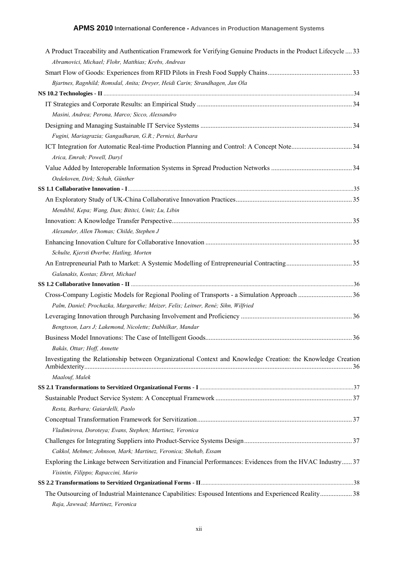| A Product Traceability and Authentication Framework for Verifying Genuine Products in the Product Lifecycle  33                                                                                                                |  |
|--------------------------------------------------------------------------------------------------------------------------------------------------------------------------------------------------------------------------------|--|
| Abramovici, Michael; Flohr, Matthias; Krebs, Andreas                                                                                                                                                                           |  |
|                                                                                                                                                                                                                                |  |
| Bjartnes, Ragnhild; Romsdal, Anita; Dreyer, Heidi Carin; Strandhagen, Jan Ola                                                                                                                                                  |  |
|                                                                                                                                                                                                                                |  |
|                                                                                                                                                                                                                                |  |
| Masini, Andrea; Perona, Marco; Sicco, Alessandro                                                                                                                                                                               |  |
|                                                                                                                                                                                                                                |  |
| Fugini, Mariagrazia; Gangadharan, G.R.; Pernici, Barbara                                                                                                                                                                       |  |
|                                                                                                                                                                                                                                |  |
| Arica, Emrah; Powell, Daryl                                                                                                                                                                                                    |  |
|                                                                                                                                                                                                                                |  |
| Oedekoven, Dirk; Schuh, Günther                                                                                                                                                                                                |  |
|                                                                                                                                                                                                                                |  |
|                                                                                                                                                                                                                                |  |
| Mendibil, Kepa; Wang, Dan; Bititci, Umit; Lu, Libin                                                                                                                                                                            |  |
|                                                                                                                                                                                                                                |  |
| Alexander, Allen Thomas; Childe, Stephen J                                                                                                                                                                                     |  |
|                                                                                                                                                                                                                                |  |
| Schulte, Kjersti Øverbø; Hatling, Morten                                                                                                                                                                                       |  |
|                                                                                                                                                                                                                                |  |
| Galanakis, Kostas; Ehret, Michael                                                                                                                                                                                              |  |
| SS 1.2 Collaborative Innovation - II manufacture and the contract of the contract of the contract of the contract of the contract of the contract of the contract of the contract of the contract of the contract of the contr |  |
|                                                                                                                                                                                                                                |  |
| Palm, Daniel; Prochazka, Margarethe; Meizer, Felix; Leitner, René; Sihn, Wilfried                                                                                                                                              |  |
|                                                                                                                                                                                                                                |  |
| Bengtsson, Lars J; Lakemond, Nicolette; Dabhilkar, Mandar                                                                                                                                                                      |  |
|                                                                                                                                                                                                                                |  |
| Bakås, Ottar; Hoff, Annette                                                                                                                                                                                                    |  |
| Investigating the Relationship between Organizational Context and Knowledge Creation: the Knowledge Creation                                                                                                                   |  |
|                                                                                                                                                                                                                                |  |
| Maalouf, Malek                                                                                                                                                                                                                 |  |
|                                                                                                                                                                                                                                |  |
|                                                                                                                                                                                                                                |  |
| Resta, Barbara; Gaiardelli, Paolo                                                                                                                                                                                              |  |
|                                                                                                                                                                                                                                |  |
| Vladimirova, Doroteya; Evans, Stephen; Martinez, Veronica                                                                                                                                                                      |  |
|                                                                                                                                                                                                                                |  |
| Cakkol, Mehmet; Johnson, Mark; Martinez, Veronica; Shehab, Essam                                                                                                                                                               |  |
| Exploring the Linkage between Servitization and Financial Performances: Evidences from the HVAC Industry 37                                                                                                                    |  |
| Visintin, Filippo; Rapaccini, Mario                                                                                                                                                                                            |  |
|                                                                                                                                                                                                                                |  |
| The Outsourcing of Industrial Maintenance Capabilities: Espoused Intentions and Experienced Reality 38                                                                                                                         |  |
| Raja, Jawwad; Martinez, Veronica                                                                                                                                                                                               |  |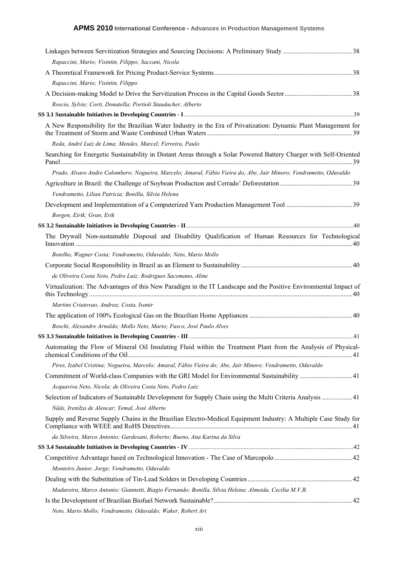| Rapaccini, Mario; Visintin, Filippo; Saccani, Nicola                                                                                                                                                                           |  |
|--------------------------------------------------------------------------------------------------------------------------------------------------------------------------------------------------------------------------------|--|
|                                                                                                                                                                                                                                |  |
| Rapaccini, Mario; Visintin, Filippo                                                                                                                                                                                            |  |
|                                                                                                                                                                                                                                |  |
| Roscio, Sylvie; Corti, Donatella; Portioli Staudacher, Alberto                                                                                                                                                                 |  |
| SS 3.1 Sustainable Initiatives in Developing Countries - I manufactured and an account of the Initiatives in Developing Countries - I manufactured and the Initiatives in Developing Countries - I manufactured and the Initia |  |
| A New Responsibility for the Brazilian Water Industry in the Era of Privatization: Dynamic Plant Management for                                                                                                                |  |
| Reda, André Luiz de Lima; Mendes, Marcel; Ferreira, Paulo                                                                                                                                                                      |  |
| Searching for Energetic Sustainability in Distant Areas through a Solar Powered Battery Charger with Self-Oriented                                                                                                             |  |
| Prado, Alvaro Andre Colombero; Nogueira, Marcelo; Amaral, Fábio Vieira do; Abe, Jair Minoro; Vendrametto, Oduvaldo                                                                                                             |  |
|                                                                                                                                                                                                                                |  |
| Vendrametto, Lilian Patricia; Bonilla, Silvia Helena                                                                                                                                                                           |  |
|                                                                                                                                                                                                                                |  |
| Borgen, Eirik; Gran, Erik                                                                                                                                                                                                      |  |
|                                                                                                                                                                                                                                |  |
| The Drywall Non-sustainable Disposal and Disability Qualification of Human Resources for Technological                                                                                                                         |  |
| Botelho, Wagner Costa; Vendrametto, Oduvaldo; Neto, Mario Mollo                                                                                                                                                                |  |
|                                                                                                                                                                                                                                |  |
| de Oliveira Costa Neto, Pedro Luiz; Rodrigues Sacomano, Aline                                                                                                                                                                  |  |
| Virtualization: The Advantages of this New Paradigm in the IT Landscape and the Positive Environmental Impact of                                                                                                               |  |
| Martins Criatovao, Andrea; Costa, Ivanir                                                                                                                                                                                       |  |
|                                                                                                                                                                                                                                |  |
| Boschi, Alexandre Arnaldo; Mollo Neto, Mario; Fusco, José Paulo Alves                                                                                                                                                          |  |
|                                                                                                                                                                                                                                |  |
| Automating the Flow of Mineral Oil Insulating Fluid within the Treatment Plant from the Analysis of Physical-                                                                                                                  |  |
| Pires, Izabel Cristina; Nogueira, Marcelo; Amaral, Fábio Vieira do; Abe, Jair Minoro; Vendrametto, Oduvaldo                                                                                                                    |  |
| Commitment of World-class Companies with the GRI Model for Environmental Sustainability  41                                                                                                                                    |  |
| Acquaviva Neto, Nicola; de Oliveira Costa Neto, Pedro Luiz                                                                                                                                                                     |  |
| Selection of Indicators of Sustainable Development for Supply Chain using the Multi Criteria Analysis  41                                                                                                                      |  |
| Nääs, Irenilza de Alencar; Yemal, José Alberto                                                                                                                                                                                 |  |
| Supply and Reverse Supply Chains in the Brazilian Electro-Medical Equipment Industry: A Multiple Case Study for                                                                                                                |  |
| da Silveira, Marco Antonio; Gardesani, Roberto; Bueno, Ana Karina da Silva                                                                                                                                                     |  |
|                                                                                                                                                                                                                                |  |
|                                                                                                                                                                                                                                |  |
| Monteiro Junior, Jorge; Vendrametto, Oduvaldo                                                                                                                                                                                  |  |
|                                                                                                                                                                                                                                |  |
| Madureira, Marco Antonio; Giannetti, Biagio Fernando; Bonilla, Silvia Helena; Almeida, Cecilia M.V.B.                                                                                                                          |  |
|                                                                                                                                                                                                                                |  |
| Neto, Mario Mollo; Vendrametto, Oduvaldo; Waker, Robert Ari                                                                                                                                                                    |  |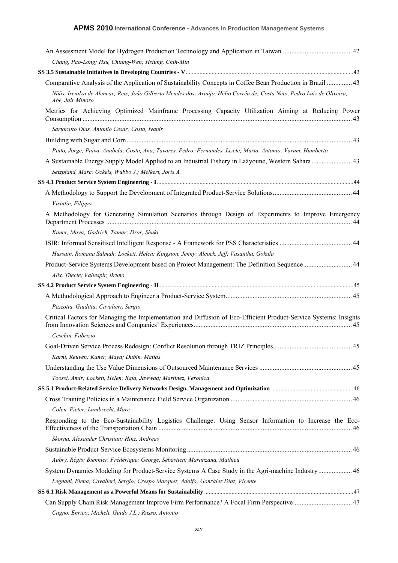| Chang, Pao-Long; Hsu, Chiung-Wen; Hsiung, Chih-Min                                                                                          |
|---------------------------------------------------------------------------------------------------------------------------------------------|
|                                                                                                                                             |
| Comparative Analysis of the Application of Sustainability Concepts in Coffee Bean Production in Brazil  43                                  |
| Nääs, Irenilza de Alencar; Reis, João Gilberto Mendes dos; Araújo, Hélio Corrêa de; Costa Neto, Pedro Luiz de Oliveira;<br>Abe, Jair Minoro |
| Metrics for Achieving Optimized Mainframe Processing Capacity Utilization Aiming at Reducing Power                                          |
| Sartoratto Dias, Antonio Cesar; Costa, Ivanir                                                                                               |
|                                                                                                                                             |
| Pinto, Jorge; Paiva, Anabela; Costa, Ana; Tavares, Pedro; Fernandes, Lizete; Murta, Antonio; Varum, Humberto                                |
|                                                                                                                                             |
| Setzpfand, Marc; Ockels, Wubbo J.; Melkert, Joris A.                                                                                        |
|                                                                                                                                             |
|                                                                                                                                             |
| Visintin, Filippo                                                                                                                           |
| A Methodology for Generating Simulation Scenarios through Design of Experiments to Improve Emergency                                        |
| Kaner, Maya; Gadrich, Tamar; Dror, Shuki                                                                                                    |
|                                                                                                                                             |
| Hussain, Romana Salmah; Lockett, Helen; Kingston, Jenny; Alcock, Jeff; Vasantha, Gokula                                                     |
| Product-Service Systems Development based on Project Management: The Definition Sequence 44                                                 |
| Alix, Thecle; Vallespir, Bruno                                                                                                              |
|                                                                                                                                             |
|                                                                                                                                             |
| Pezzotta, Giuditta; Cavalieri, Sergio                                                                                                       |
| Critical Factors for Managing the Implementation and Diffusion of Eco-Efficient Product-Service Systems: Insights                           |
| Ceschin, Fabrizio                                                                                                                           |
|                                                                                                                                             |
| Karni, Reuven; Kaner, Maya; Dubin, Matias                                                                                                   |
|                                                                                                                                             |
| Toossi, Amir; Lockett, Helen; Raja, Jawwad; Martinez, Veronica                                                                              |
|                                                                                                                                             |
|                                                                                                                                             |
| Colen, Pieter; Lambrecht, Marc                                                                                                              |
| Responding to the Eco-Sustainability Logistics Challenge: Using Sensor Information to Increase the Eco-                                     |
| Skorna, Alexander Christian; Hinz, Andreas                                                                                                  |
|                                                                                                                                             |
| Aubry, Régis; Biennier, Frédérique; George, Sébastien; Maranzana, Mathieu                                                                   |
| System Dynamics Modeling for Product-Service Systems A Case Study in the Agri-machine Industry  46                                          |
| Legnani, Elena; Cavalieri, Sergio; Crespo Marquez, Adolfo; González Díaz, Vicente                                                           |
|                                                                                                                                             |
| Can Supply Chain Risk Management Improve Firm Performance? A Focal Firm Perspective 47                                                      |
| Cagno, Enrico; Micheli, Guido J.L.; Russo, Antonio                                                                                          |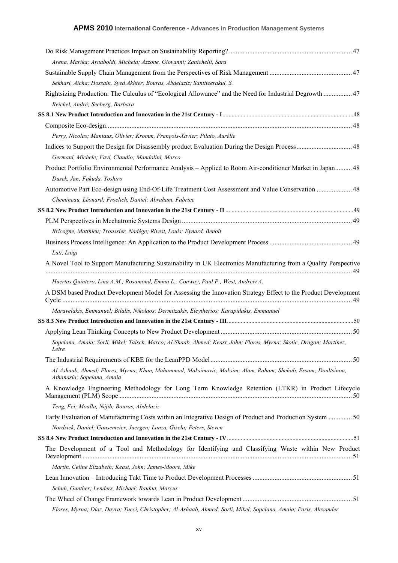| Arena, Marika; Arnaboldi, Michela; Azzone, Giovanni; Zanichelli, Sara                                                                      |  |
|--------------------------------------------------------------------------------------------------------------------------------------------|--|
|                                                                                                                                            |  |
| Sekhari, Aicha; Hossain, Syed Akhter; Bouras, Abdelaziz; Santiteerakul, S.                                                                 |  |
| Rightsizing Production: The Calculus of "Ecological Allowance" and the Need for Industrial Degrowth  47                                    |  |
| Reichel, André; Seeberg, Barbara                                                                                                           |  |
|                                                                                                                                            |  |
|                                                                                                                                            |  |
| Perry, Nicolas; Mantaux, Olivier; Kromm, François-Xavier; Pilato, Aurélie                                                                  |  |
|                                                                                                                                            |  |
| Germani, Michele; Favi, Claudio; Mandolini, Marco                                                                                          |  |
| Product Portfolio Environmental Performance Analysis - Applied to Room Air-conditioner Market in Japan 48                                  |  |
| Dusek, Jan; Fukuda, Yoshiro                                                                                                                |  |
| Automotive Part Eco-design using End-Of-Life Treatment Cost Assessment and Value Conservation  48                                          |  |
| Chemineau, Léonard; Froelich, Daniel; Abraham, Fabrice                                                                                     |  |
|                                                                                                                                            |  |
|                                                                                                                                            |  |
| Bricogne, Matthieu; Troussier, Nadège; Rivest, Louis; Eynard, Benoît                                                                       |  |
| Luti, Luigi                                                                                                                                |  |
| A Novel Tool to Support Manufacturing Sustainability in UK Electronics Manufacturing from a Quality Perspective                            |  |
|                                                                                                                                            |  |
| Huertas Quintero, Lina A.M.; Rosamond, Emma L.; Conway, Paul P.; West, Andrew A.                                                           |  |
| A DSM based Product Development Model for Assessing the Innovation Strategy Effect to the Product Development                              |  |
| Maravelakis, Emmanuel; Bilalis, Nikolaos; Dermitzakis, Eleytherios; Karapidakis, Emmanuel                                                  |  |
|                                                                                                                                            |  |
|                                                                                                                                            |  |
| Sopelana, Amaia; Sorli, Mikel; Taisch, Marco; Al-Shaab, Ahmed; Keast, John; Flores, Myrna; Skotic, Dragan; Martinez,<br>Leire              |  |
|                                                                                                                                            |  |
| Al-Ashaab, Ahmed; Flores, Myrna; Khan, Muhammad; Maksimovic, Maksim; Alam, Raham; Shehab, Essam; Doultsinou,<br>Athanasia; Sopelana, Amaia |  |
| A Knowledge Engineering Methodology for Long Term Knowledge Retention (LTKR) in Product Lifecycle                                          |  |
| Teng, Fei; Moalla, Néjib; Bouras, Abdelaziz                                                                                                |  |
| Early Evaluation of Manufacturing Costs within an Integrative Design of Product and Production System 50                                   |  |
| Nordsiek, Daniel; Gausemeier, Juergen; Lanza, Gisela; Peters, Steven                                                                       |  |
|                                                                                                                                            |  |
| The Development of a Tool and Methodology for Identifying and Classifying Waste within New Product                                         |  |
| Martin, Celine Elizabeth; Keast, John; James-Moore, Mike                                                                                   |  |
|                                                                                                                                            |  |
| Schuh, Gunther; Lenders, Michael; Rauhut, Marcus                                                                                           |  |
|                                                                                                                                            |  |
| Flores, Myrna; Díaz, Dayra; Tucci, Christopher; Al-Ashaab, Ahmed; Sorli, Mikel; Sopelana, Amaia; Paris, Alexander                          |  |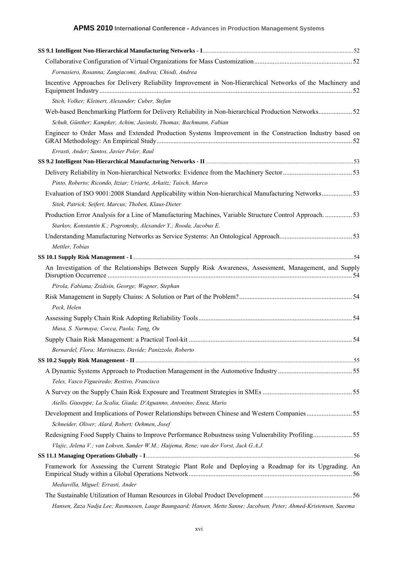| Fornasiero, Rosanna; Zangiacomi, Andrea; Chiodi, Andrea<br>Incentive Approaches for Delivery Reliability Improvement in Non-Hierarchical Networks of the Machinery and<br>Stich, Volker; Kleinert, Alexander; Cuber, Stefan<br>Web-based Benchmarking Platform for Delivery Reliability in Non-hierarchical Production Networks 52<br>Schuh, Günther; Kampker, Achim; Jasinski, Thomas; Bachmann, Fabian<br>Engineer to Order Mass and Extended Production Systems Improvement in the Construction Industry based on<br>Errasti, Ander; Santos, Javier Poler, Raul<br>Pinto, Roberto; Ricondo, Itziar; Uriarte, Arkaitz; Taisch, Marco<br>Evaluation of ISO 9001:2008 Standard Applicability within Non-hierarchical Manufacturing Networks53<br>Sitek, Patrick; Seifert, Marcus; Thoben, Klaus-Dieter<br>Production Error Analysis for a Line of Manufacturing Machines, Variable Structure Control Approach53<br>Starkov, Konstantin K.; Pogromsky, Alexander Y.; Rooda, Jacobus E.<br>Mettler, Tobias<br>An Investigation of the Relationships Between Supply Risk Awareness, Assessment, Management, and Supply<br>Pirola, Fabiana; Zsidisin, George; Wagner, Stephan<br>Peck, Helen<br>Musa, S. Nurmaya; Cocca, Paola; Tang, Ou<br>Bernardel, Flora; Martinazzo, Davide; Panizzolo, Roberto<br>Teles, Vasco Figueiredo; Restivo, Francisco<br>Aiello, Giuseppe; La Scalia, Giada; D'Aguanno, Antonino; Enea, Mario<br>Development and Implications of Power Relationships between Chinese and Western Companies55<br>Schneider, Oliver; Alard, Robert; Oehmen, Josef<br>Redesigning Food Supply Chains to Improve Performance Robustness using Vulnerability Profiling55<br>Vlajic, Jelena V.; van Lokven, Sander W.M.; Haijema, Rene; van der Vorst, Jack G.A.J.<br>Framework for Assessing the Current Strategic Plant Role and Deploying a Roadmap for its Upgrading. An<br>Mediavilla, Miguel; Errasti, Ander<br>Hansen, Zaza Nadja Lee; Rasmussen, Lauge Baungaard; Hansen, Mette Sanne; Jacobsen, Peter; Ahmed-Kristensen, Saeema |  |
|----------------------------------------------------------------------------------------------------------------------------------------------------------------------------------------------------------------------------------------------------------------------------------------------------------------------------------------------------------------------------------------------------------------------------------------------------------------------------------------------------------------------------------------------------------------------------------------------------------------------------------------------------------------------------------------------------------------------------------------------------------------------------------------------------------------------------------------------------------------------------------------------------------------------------------------------------------------------------------------------------------------------------------------------------------------------------------------------------------------------------------------------------------------------------------------------------------------------------------------------------------------------------------------------------------------------------------------------------------------------------------------------------------------------------------------------------------------------------------------------------------------------------------------------------------------------------------------------------------------------------------------------------------------------------------------------------------------------------------------------------------------------------------------------------------------------------------------------------------------------------------------------------------------------------------------------------------------------------------------------------------------------------------------------|--|
|                                                                                                                                                                                                                                                                                                                                                                                                                                                                                                                                                                                                                                                                                                                                                                                                                                                                                                                                                                                                                                                                                                                                                                                                                                                                                                                                                                                                                                                                                                                                                                                                                                                                                                                                                                                                                                                                                                                                                                                                                                              |  |
|                                                                                                                                                                                                                                                                                                                                                                                                                                                                                                                                                                                                                                                                                                                                                                                                                                                                                                                                                                                                                                                                                                                                                                                                                                                                                                                                                                                                                                                                                                                                                                                                                                                                                                                                                                                                                                                                                                                                                                                                                                              |  |
|                                                                                                                                                                                                                                                                                                                                                                                                                                                                                                                                                                                                                                                                                                                                                                                                                                                                                                                                                                                                                                                                                                                                                                                                                                                                                                                                                                                                                                                                                                                                                                                                                                                                                                                                                                                                                                                                                                                                                                                                                                              |  |
|                                                                                                                                                                                                                                                                                                                                                                                                                                                                                                                                                                                                                                                                                                                                                                                                                                                                                                                                                                                                                                                                                                                                                                                                                                                                                                                                                                                                                                                                                                                                                                                                                                                                                                                                                                                                                                                                                                                                                                                                                                              |  |
|                                                                                                                                                                                                                                                                                                                                                                                                                                                                                                                                                                                                                                                                                                                                                                                                                                                                                                                                                                                                                                                                                                                                                                                                                                                                                                                                                                                                                                                                                                                                                                                                                                                                                                                                                                                                                                                                                                                                                                                                                                              |  |
|                                                                                                                                                                                                                                                                                                                                                                                                                                                                                                                                                                                                                                                                                                                                                                                                                                                                                                                                                                                                                                                                                                                                                                                                                                                                                                                                                                                                                                                                                                                                                                                                                                                                                                                                                                                                                                                                                                                                                                                                                                              |  |
|                                                                                                                                                                                                                                                                                                                                                                                                                                                                                                                                                                                                                                                                                                                                                                                                                                                                                                                                                                                                                                                                                                                                                                                                                                                                                                                                                                                                                                                                                                                                                                                                                                                                                                                                                                                                                                                                                                                                                                                                                                              |  |
|                                                                                                                                                                                                                                                                                                                                                                                                                                                                                                                                                                                                                                                                                                                                                                                                                                                                                                                                                                                                                                                                                                                                                                                                                                                                                                                                                                                                                                                                                                                                                                                                                                                                                                                                                                                                                                                                                                                                                                                                                                              |  |
|                                                                                                                                                                                                                                                                                                                                                                                                                                                                                                                                                                                                                                                                                                                                                                                                                                                                                                                                                                                                                                                                                                                                                                                                                                                                                                                                                                                                                                                                                                                                                                                                                                                                                                                                                                                                                                                                                                                                                                                                                                              |  |
|                                                                                                                                                                                                                                                                                                                                                                                                                                                                                                                                                                                                                                                                                                                                                                                                                                                                                                                                                                                                                                                                                                                                                                                                                                                                                                                                                                                                                                                                                                                                                                                                                                                                                                                                                                                                                                                                                                                                                                                                                                              |  |
|                                                                                                                                                                                                                                                                                                                                                                                                                                                                                                                                                                                                                                                                                                                                                                                                                                                                                                                                                                                                                                                                                                                                                                                                                                                                                                                                                                                                                                                                                                                                                                                                                                                                                                                                                                                                                                                                                                                                                                                                                                              |  |
|                                                                                                                                                                                                                                                                                                                                                                                                                                                                                                                                                                                                                                                                                                                                                                                                                                                                                                                                                                                                                                                                                                                                                                                                                                                                                                                                                                                                                                                                                                                                                                                                                                                                                                                                                                                                                                                                                                                                                                                                                                              |  |
|                                                                                                                                                                                                                                                                                                                                                                                                                                                                                                                                                                                                                                                                                                                                                                                                                                                                                                                                                                                                                                                                                                                                                                                                                                                                                                                                                                                                                                                                                                                                                                                                                                                                                                                                                                                                                                                                                                                                                                                                                                              |  |
|                                                                                                                                                                                                                                                                                                                                                                                                                                                                                                                                                                                                                                                                                                                                                                                                                                                                                                                                                                                                                                                                                                                                                                                                                                                                                                                                                                                                                                                                                                                                                                                                                                                                                                                                                                                                                                                                                                                                                                                                                                              |  |
|                                                                                                                                                                                                                                                                                                                                                                                                                                                                                                                                                                                                                                                                                                                                                                                                                                                                                                                                                                                                                                                                                                                                                                                                                                                                                                                                                                                                                                                                                                                                                                                                                                                                                                                                                                                                                                                                                                                                                                                                                                              |  |
|                                                                                                                                                                                                                                                                                                                                                                                                                                                                                                                                                                                                                                                                                                                                                                                                                                                                                                                                                                                                                                                                                                                                                                                                                                                                                                                                                                                                                                                                                                                                                                                                                                                                                                                                                                                                                                                                                                                                                                                                                                              |  |
|                                                                                                                                                                                                                                                                                                                                                                                                                                                                                                                                                                                                                                                                                                                                                                                                                                                                                                                                                                                                                                                                                                                                                                                                                                                                                                                                                                                                                                                                                                                                                                                                                                                                                                                                                                                                                                                                                                                                                                                                                                              |  |
|                                                                                                                                                                                                                                                                                                                                                                                                                                                                                                                                                                                                                                                                                                                                                                                                                                                                                                                                                                                                                                                                                                                                                                                                                                                                                                                                                                                                                                                                                                                                                                                                                                                                                                                                                                                                                                                                                                                                                                                                                                              |  |
|                                                                                                                                                                                                                                                                                                                                                                                                                                                                                                                                                                                                                                                                                                                                                                                                                                                                                                                                                                                                                                                                                                                                                                                                                                                                                                                                                                                                                                                                                                                                                                                                                                                                                                                                                                                                                                                                                                                                                                                                                                              |  |
|                                                                                                                                                                                                                                                                                                                                                                                                                                                                                                                                                                                                                                                                                                                                                                                                                                                                                                                                                                                                                                                                                                                                                                                                                                                                                                                                                                                                                                                                                                                                                                                                                                                                                                                                                                                                                                                                                                                                                                                                                                              |  |
|                                                                                                                                                                                                                                                                                                                                                                                                                                                                                                                                                                                                                                                                                                                                                                                                                                                                                                                                                                                                                                                                                                                                                                                                                                                                                                                                                                                                                                                                                                                                                                                                                                                                                                                                                                                                                                                                                                                                                                                                                                              |  |
|                                                                                                                                                                                                                                                                                                                                                                                                                                                                                                                                                                                                                                                                                                                                                                                                                                                                                                                                                                                                                                                                                                                                                                                                                                                                                                                                                                                                                                                                                                                                                                                                                                                                                                                                                                                                                                                                                                                                                                                                                                              |  |
|                                                                                                                                                                                                                                                                                                                                                                                                                                                                                                                                                                                                                                                                                                                                                                                                                                                                                                                                                                                                                                                                                                                                                                                                                                                                                                                                                                                                                                                                                                                                                                                                                                                                                                                                                                                                                                                                                                                                                                                                                                              |  |
|                                                                                                                                                                                                                                                                                                                                                                                                                                                                                                                                                                                                                                                                                                                                                                                                                                                                                                                                                                                                                                                                                                                                                                                                                                                                                                                                                                                                                                                                                                                                                                                                                                                                                                                                                                                                                                                                                                                                                                                                                                              |  |
|                                                                                                                                                                                                                                                                                                                                                                                                                                                                                                                                                                                                                                                                                                                                                                                                                                                                                                                                                                                                                                                                                                                                                                                                                                                                                                                                                                                                                                                                                                                                                                                                                                                                                                                                                                                                                                                                                                                                                                                                                                              |  |
|                                                                                                                                                                                                                                                                                                                                                                                                                                                                                                                                                                                                                                                                                                                                                                                                                                                                                                                                                                                                                                                                                                                                                                                                                                                                                                                                                                                                                                                                                                                                                                                                                                                                                                                                                                                                                                                                                                                                                                                                                                              |  |
|                                                                                                                                                                                                                                                                                                                                                                                                                                                                                                                                                                                                                                                                                                                                                                                                                                                                                                                                                                                                                                                                                                                                                                                                                                                                                                                                                                                                                                                                                                                                                                                                                                                                                                                                                                                                                                                                                                                                                                                                                                              |  |
|                                                                                                                                                                                                                                                                                                                                                                                                                                                                                                                                                                                                                                                                                                                                                                                                                                                                                                                                                                                                                                                                                                                                                                                                                                                                                                                                                                                                                                                                                                                                                                                                                                                                                                                                                                                                                                                                                                                                                                                                                                              |  |
|                                                                                                                                                                                                                                                                                                                                                                                                                                                                                                                                                                                                                                                                                                                                                                                                                                                                                                                                                                                                                                                                                                                                                                                                                                                                                                                                                                                                                                                                                                                                                                                                                                                                                                                                                                                                                                                                                                                                                                                                                                              |  |
|                                                                                                                                                                                                                                                                                                                                                                                                                                                                                                                                                                                                                                                                                                                                                                                                                                                                                                                                                                                                                                                                                                                                                                                                                                                                                                                                                                                                                                                                                                                                                                                                                                                                                                                                                                                                                                                                                                                                                                                                                                              |  |
|                                                                                                                                                                                                                                                                                                                                                                                                                                                                                                                                                                                                                                                                                                                                                                                                                                                                                                                                                                                                                                                                                                                                                                                                                                                                                                                                                                                                                                                                                                                                                                                                                                                                                                                                                                                                                                                                                                                                                                                                                                              |  |
|                                                                                                                                                                                                                                                                                                                                                                                                                                                                                                                                                                                                                                                                                                                                                                                                                                                                                                                                                                                                                                                                                                                                                                                                                                                                                                                                                                                                                                                                                                                                                                                                                                                                                                                                                                                                                                                                                                                                                                                                                                              |  |
|                                                                                                                                                                                                                                                                                                                                                                                                                                                                                                                                                                                                                                                                                                                                                                                                                                                                                                                                                                                                                                                                                                                                                                                                                                                                                                                                                                                                                                                                                                                                                                                                                                                                                                                                                                                                                                                                                                                                                                                                                                              |  |
|                                                                                                                                                                                                                                                                                                                                                                                                                                                                                                                                                                                                                                                                                                                                                                                                                                                                                                                                                                                                                                                                                                                                                                                                                                                                                                                                                                                                                                                                                                                                                                                                                                                                                                                                                                                                                                                                                                                                                                                                                                              |  |
|                                                                                                                                                                                                                                                                                                                                                                                                                                                                                                                                                                                                                                                                                                                                                                                                                                                                                                                                                                                                                                                                                                                                                                                                                                                                                                                                                                                                                                                                                                                                                                                                                                                                                                                                                                                                                                                                                                                                                                                                                                              |  |
|                                                                                                                                                                                                                                                                                                                                                                                                                                                                                                                                                                                                                                                                                                                                                                                                                                                                                                                                                                                                                                                                                                                                                                                                                                                                                                                                                                                                                                                                                                                                                                                                                                                                                                                                                                                                                                                                                                                                                                                                                                              |  |
|                                                                                                                                                                                                                                                                                                                                                                                                                                                                                                                                                                                                                                                                                                                                                                                                                                                                                                                                                                                                                                                                                                                                                                                                                                                                                                                                                                                                                                                                                                                                                                                                                                                                                                                                                                                                                                                                                                                                                                                                                                              |  |
|                                                                                                                                                                                                                                                                                                                                                                                                                                                                                                                                                                                                                                                                                                                                                                                                                                                                                                                                                                                                                                                                                                                                                                                                                                                                                                                                                                                                                                                                                                                                                                                                                                                                                                                                                                                                                                                                                                                                                                                                                                              |  |
|                                                                                                                                                                                                                                                                                                                                                                                                                                                                                                                                                                                                                                                                                                                                                                                                                                                                                                                                                                                                                                                                                                                                                                                                                                                                                                                                                                                                                                                                                                                                                                                                                                                                                                                                                                                                                                                                                                                                                                                                                                              |  |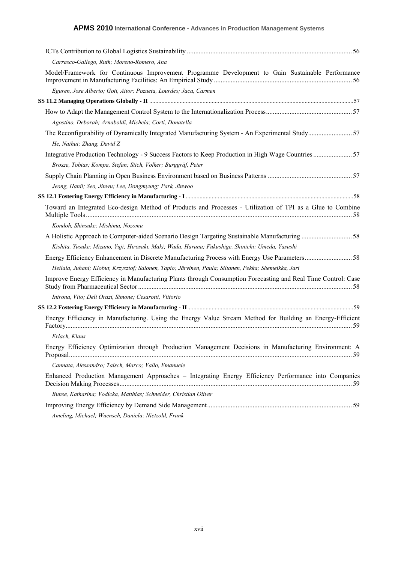| Carrasco-Gallego, Ruth; Moreno-Romero, Ana                                                                                   |
|------------------------------------------------------------------------------------------------------------------------------|
| Model/Framework for Continuous Improvement Programme Development to Gain Sustainable Performance                             |
| Eguren, Jose Alberto; Goti, Aitor; Pozueta, Lourdes; Jaca, Carmen                                                            |
|                                                                                                                              |
|                                                                                                                              |
| Agostino, Deborah; Arnaboldi, Michela; Corti, Donatella                                                                      |
| The Reconfigurability of Dynamically Integrated Manufacturing System - An Experimental Study57<br>He, Naihui; Zhang, David Z |
|                                                                                                                              |
| Brosze, Tobias; Kompa, Stefan; Stich, Volker; Burggräf, Peter                                                                |
|                                                                                                                              |
| Jeong, Hanil; Seo, Jinwu; Lee, Dongmyung; Park, Jinwoo                                                                       |
|                                                                                                                              |
| Toward an Integrated Eco-design Method of Products and Processes - Utilization of TPI as a Glue to Combine                   |
| Kondoh, Shinsuke; Mishima, Nozomu                                                                                            |
|                                                                                                                              |
| Kishita, Yusuke; Mizuno, Yuji; Hirosaki, Maki; Wada, Haruna; Fukushige, Shinichi; Umeda, Yasushi                             |
|                                                                                                                              |
| Heilala, Juhani; Klobut, Krzysztof; Salonen, Tapio; Järvinen, Paula; Siltanen, Pekka; Shemeikka, Jari                        |
| Improve Energy Efficiency in Manufacturing Plants through Consumption Forecasting and Real Time Control: Case                |
| Introna, Vito; Deli Orazi, Simone; Cesarotti, Vittorio                                                                       |
|                                                                                                                              |
| Energy Efficiency in Manufacturing. Using the Energy Value Stream Method for Building an Energy-Efficient                    |
| Erlach, Klaus                                                                                                                |
| Energy Efficiency Optimization through Production Management Decisions in Manufacturing Environment: A                       |
| Cannata, Alessandro; Taisch, Marco; Vallo, Emanuele                                                                          |
| Enhanced Production Management Approaches - Integrating Energy Efficiency Performance into Companies                         |
| Bunse, Katharina; Vodicka, Matthias; Schneider, Christian Oliver                                                             |
|                                                                                                                              |
| Ameling, Michael; Wuensch, Daniela; Nietzold, Frank                                                                          |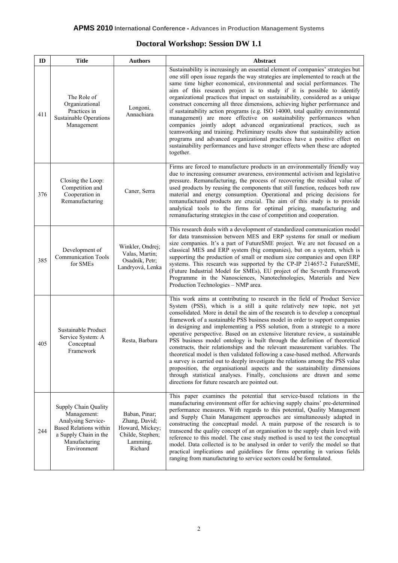#### **Doctoral Workshop: Session DW 1.1**

| ID  | <b>Title</b>                                                                                                                                               | <b>Authors</b>                                                                               | <b>Abstract</b>                                                                                                                                                                                                                                                                                                                                                                                                                                                                                                                                                                                                                                                                                                                                                                                                                                                                                                                                                                                                             |  |
|-----|------------------------------------------------------------------------------------------------------------------------------------------------------------|----------------------------------------------------------------------------------------------|-----------------------------------------------------------------------------------------------------------------------------------------------------------------------------------------------------------------------------------------------------------------------------------------------------------------------------------------------------------------------------------------------------------------------------------------------------------------------------------------------------------------------------------------------------------------------------------------------------------------------------------------------------------------------------------------------------------------------------------------------------------------------------------------------------------------------------------------------------------------------------------------------------------------------------------------------------------------------------------------------------------------------------|--|
| 411 | The Role of<br>Organizational<br>Practices in<br><b>Sustainable Operations</b><br>Management                                                               | Longoni,<br>Annachiara                                                                       | Sustainability is increasingly an essential element of companies' strategies but<br>one still open issue regards the way strategies are implemented to reach at the<br>same time higher economical, environmental and social performances. The<br>aim of this research project is to study if it is possible to identify<br>organizational practices that impact on sustainability, considered as a unique<br>construct concerning all three dimensions, achieving higher performance and<br>if sustainability action programs (e.g. ISO 14000, total quality environmental<br>management) are more effective on sustainability performances when<br>companies jointly adopt advanced organizational practices, such as<br>teamworking and training. Preliminary results show that sustainability action<br>programs and advanced organizational practices have a positive effect on<br>sustainability performances and have stronger effects when these are adopted<br>together.                                           |  |
| 376 | Closing the Loop:<br>Competition and<br>Cooperation in<br>Remanufacturing                                                                                  | Caner, Serra                                                                                 | Firms are forced to manufacture products in an environmentally friendly way<br>due to increasing consumer awareness, environmental activism and legislative<br>pressure. Remanufacturing, the process of recovering the residual value of<br>used products by reusing the components that still function, reduces both raw<br>material and energy consumption. Operational and pricing decisions for<br>remanufactured products are crucial. The aim of this study is to provide<br>analytical tools to the firms for optimal pricing, manufacturing and<br>remanufacturing strategies in the case of competition and cooperation.                                                                                                                                                                                                                                                                                                                                                                                          |  |
| 385 | Development of<br><b>Communication Tools</b><br>for SMEs                                                                                                   | Winkler, Ondrej;<br>Valas, Martin;<br>Osadník, Petr;<br>Landryová, Lenka                     | This research deals with a development of standardized communication model<br>for data transmission between MES and ERP systems for small or medium<br>size companies. It's a part of FutureSME project. We are not focused on a<br>classical MES and ERP system (big companies), but on a system, which is<br>supporting the production of small or medium size companies and open ERP<br>systems. This research was supported by the CP-IP 214657-2 FutureSME,<br>(Future Industrial Model for SMEs), EU project of the Seventh Framework<br>Programme in the Nanosciences, Nanotechnologies, Materials and New<br>Production Technologies - NMP area.                                                                                                                                                                                                                                                                                                                                                                    |  |
| 405 | Sustainable Product<br>Service System: A<br>Conceptual<br>Framework                                                                                        | Resta, Barbara                                                                               | This work aims at contributing to research in the field of Product Service<br>System (PSS), which is a still a quite relatively new topic, not yet<br>consolidated. More in detail the aim of the research is to develop a conceptual<br>framework of a sustainable PSS business model in order to support companies<br>in designing and implementing a PSS solution, from a strategic to a more<br>operative perspective. Based on an extensive literature review, a sustainable<br>PSS business model ontology is built through the definition of theoretical<br>constructs, their relationships and the relevant measurement variables. The<br>theoretical model is then validated following a case-based method. Afterwards<br>a survey is carried out to deeply investigate the relations among the PSS value<br>proposition, the organisational aspects and the sustainability dimensions<br>through statistical analyses. Finally, conclusions are drawn and some<br>directions for future research are pointed out. |  |
| 244 | <b>Supply Chain Quality</b><br>Management:<br>Analysing Service-<br><b>Based Relations within</b><br>a Supply Chain in the<br>Manufacturing<br>Environment | Baban, Pinar;<br>Zhang, David;<br>Howard, Mickey;<br>Childe, Stephen;<br>Lamming,<br>Richard | This paper examines the potential that service-based relations in the<br>manufacturing environment offer for achieving supply chains' pre-determined<br>performance measures. With regards to this potential, Quality Management<br>and Supply Chain Management approaches are simultaneously adapted in<br>constructing the conceptual model. A main purpose of the research is to<br>transcend the quality concept of an organisation to the supply chain level with<br>reference to this model. The case study method is used to test the conceptual<br>model. Data collected is to be analysed in order to verify the model so that<br>practical implications and guidelines for firms operating in various fields<br>ranging from manufacturing to service sectors could be formulated.                                                                                                                                                                                                                                |  |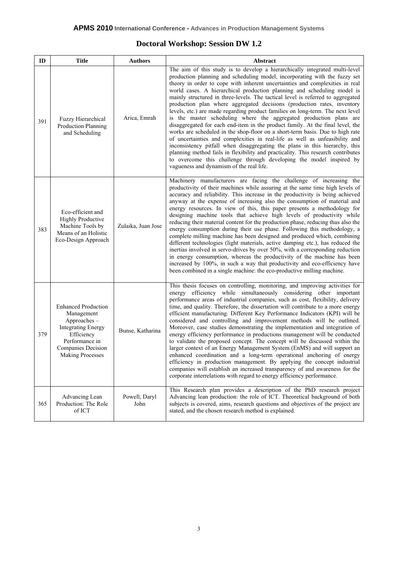#### **Doctoral Workshop: Session DW 1.2**

| ID  | <b>Title</b>                                                                                                                                                          | <b>Authors</b>        | Abstract                                                                                                                                                                                                                                                                                                                                                                                                                                                                                                                                                                                                                                                                                                                                                                                                                                                                                                                                                                                                                                                                                                                                                                           |  |  |
|-----|-----------------------------------------------------------------------------------------------------------------------------------------------------------------------|-----------------------|------------------------------------------------------------------------------------------------------------------------------------------------------------------------------------------------------------------------------------------------------------------------------------------------------------------------------------------------------------------------------------------------------------------------------------------------------------------------------------------------------------------------------------------------------------------------------------------------------------------------------------------------------------------------------------------------------------------------------------------------------------------------------------------------------------------------------------------------------------------------------------------------------------------------------------------------------------------------------------------------------------------------------------------------------------------------------------------------------------------------------------------------------------------------------------|--|--|
| 391 | Fuzzy Hierarchical<br>Production Planning<br>and Scheduling                                                                                                           | Arica, Emrah          | The aim of this study is to develop a hierarchically integrated multi-level<br>production planning and scheduling model, incorporating with the fuzzy set<br>theory in order to cope with inherent uncertainties and complexities in real<br>world cases. A hierarchical production planning and scheduling model is<br>mainly structured in three-levels. The tactical level is referred to aggregated<br>production plan where aggregated decisions (production rates, inventory<br>levels, etc.) are made regarding product families on long-term. The next level<br>is the master scheduling where the aggregated production plans are<br>disaggregated for each end-item in the product family. At the final level, the<br>works are scheduled in the shop-floor on a short-term basis. Due to high rate<br>of uncertainties and complexities in real-life as well as unfeasibility and<br>inconsistency pitfall when disaggregating the plans in this hierarchy, this<br>planning method fails in flexibility and practicality. This research contributes<br>to overcome this challenge through developing the model inspired by<br>vagueness and dynamism of the real life. |  |  |
| 383 | Eco-efficient and<br><b>Highly Productive</b><br>Machine Tools by<br>Means of an Holistic<br>Eco-Design Approach                                                      | Zulaika, Juan Jose    | Machinery manufacturers are facing the challenge of increasing the<br>productivity of their machines while assuring at the same time high levels of<br>accuracy and reliability. This increase in the productivity is being achieved<br>anyway at the expense of increasing also the consumption of material and<br>energy resources. In view of this, this paper presents a methodology for<br>designing machine tools that achieve high levels of productivity while<br>reducing their material content for the production phase, reducing thus also the<br>energy consumption during their use phase. Following this methodology, a<br>complete milling machine has been designed and produced which, combining<br>different technologies (light materials, active damping etc.), has reduced the<br>inertias involved in servo-drives by over 50%, with a corresponding reduction<br>in energy consumption, whereas the productivity of the machine has been<br>increased by 100%, in such a way that productivity and eco-efficiency have<br>been combined in a single machine: the eco-productive milling machine.                                                           |  |  |
| 379 | <b>Enhanced Production</b><br>Management<br>Approaches-<br><b>Integrating Energy</b><br>Efficiency<br>Performance in<br>Companies Decision<br><b>Making Processes</b> | Bunse, Katharina      | This thesis focuses on controlling, monitoring, and improving activities for<br>energy efficiency while simultaneously considering other important<br>performance areas of industrial companies, such as cost, flexibility, delivery<br>time, and quality. Therefore, the dissertation will contribute to a more energy<br>efficient manufacturing. Different Key Performance Indicators (KPI) will be<br>considered and controlling and improvement methods will be outlined.<br>Moreover, case studies demonstrating the implementation and integration of<br>energy efficiency performance in productions management will be conducted<br>to validate the proposed concept. The concept will be discussed within the<br>larger context of an Energy Management System (EnMS) and will support an<br>enhanced coordination and a long-term operational anchoring of energy<br>efficiency in production management. By applying the concept industrial<br>companies will establish an increased transparency of and awareness for the<br>corporate interrelations with regard to energy efficiency performance.                                                                   |  |  |
| 365 | Advancing Lean<br>Production: The Role<br>of ICT                                                                                                                      | Powell, Daryl<br>John | This Research plan provides a description of the PhD research project<br>Advancing lean production: the role of ICT. Theoretical background of both<br>subjects is covered, aims, research questions and objectives of the project are<br>stated, and the chosen research method is explained.                                                                                                                                                                                                                                                                                                                                                                                                                                                                                                                                                                                                                                                                                                                                                                                                                                                                                     |  |  |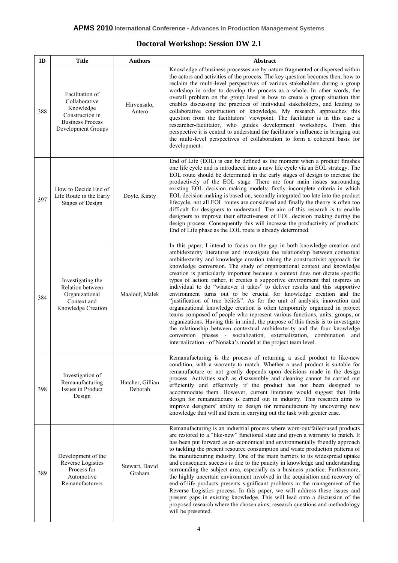#### **Doctoral Workshop: Session DW 2.1**

| ID  | <b>Title</b>                                                                                                      | <b>Authors</b>              | Abstract                                                                                                                                                                                                                                                                                                                                                                                                                                                                                                                                                                                                                                                                                                                                                                                                                                                                                                                                                                                                                                                                                                                                                                                             |  |
|-----|-------------------------------------------------------------------------------------------------------------------|-----------------------------|------------------------------------------------------------------------------------------------------------------------------------------------------------------------------------------------------------------------------------------------------------------------------------------------------------------------------------------------------------------------------------------------------------------------------------------------------------------------------------------------------------------------------------------------------------------------------------------------------------------------------------------------------------------------------------------------------------------------------------------------------------------------------------------------------------------------------------------------------------------------------------------------------------------------------------------------------------------------------------------------------------------------------------------------------------------------------------------------------------------------------------------------------------------------------------------------------|--|
| 388 | Facilitation of<br>Collaborative<br>Knowledge<br>Construction in<br><b>Business Process</b><br>Development Groups | Hirvensalo,<br>Antero       | Knowledge of business processes are by nature fragmented or dispersed within<br>the actors and activities of the process. The key question becomes then, how to<br>reclaim the multi-level perspectives of various stakeholders during a group<br>workshop in order to develop the process as a whole. In other words, the<br>overall problem on the group level is how to create a group situation that<br>enables discussing the practices of individual stakeholders, and leading to<br>collaborative construction of knowledge. My research approaches this<br>question from the facilitators' viewpoint. The facilitator is in this case a<br>researcher-facilitator, who guides development workshops. From this<br>perspective it is central to understand the facilitator's influence in bringing out<br>the multi-level perspectives of collaboration to form a coherent basis for<br>development.                                                                                                                                                                                                                                                                                          |  |
| 397 | How to Decide End of<br>Life Route in the Early<br><b>Stages of Design</b>                                        | Doyle, Kirsty               | End of Life (EOL) is can be defined as the moment when a product finishes<br>one life cycle and is introduced into a new life cycle via an EOL strategy. The<br>EOL route should be determined in the early stages of design to increase the<br>productively of the EOL stage. There are four main issues surrounding<br>existing EOL decision making models; firstly incomplete criteria in which<br>EOL decision making is based on, secondly integrated too late into the product<br>lifecycle, not all EOL routes are considered and finally the theory is often too<br>difficult for designers to understand. The aim of this research is to enable<br>designers to improve their effectiveness of EOL decision making during the<br>design process. Consequently this will increase the productivity of products'<br>End of Life phase as the EOL route is already determined.                                                                                                                                                                                                                                                                                                                 |  |
| 384 | Investigating the<br>Relation between<br>Organizational<br>Context and<br>Knowledge Creation                      | Maalouf, Malek              | In this paper, I intend to focus on the gap in both knowledge creation and<br>ambidexterity literatures and investigate the relationship between contextual<br>ambidexterity and knowledge creation taking the constructivist approach for<br>knowledge conversion. The study of organizational context and knowledge<br>creation is particularly important because a context does not dictate specific<br>types of action; rather, it creates a supportive environment that inspires an<br>individual to do "whatever it takes" to deliver results and this supportive<br>environment turns out to be crucial for knowledge creation and the<br>"justification of true beliefs". As for the unit of analysis, innovation and<br>organizational knowledge creation is often temporarily organized in project<br>teams composed of people who represent various functions, units, groups, or<br>organizations. Having this in mind, the purpose of this thesis is to investigate<br>the relationship between contextual ambidexterity and the four knowledge<br>conversion phases - socialization, externalization, combination and<br>internalization - of Nonaka's model at the project team level. |  |
| 398 | Investigation of<br>Remanufacturing<br>Issues in Product<br>Design                                                | Hatcher, Gillian<br>Deborah | Remanufacturing is the process of returning a used product to like-new<br>condition, with a warranty to match. Whether a used product is suitable for<br>remanufacture or not greatly depends upon decisions made in the design<br>process. Activities such as disassembly and cleaning cannot be carried out<br>efficiently and effectively if the product has not been designed to<br>accommodate them. However, current literature would suggest that little<br>design for remanufacture is carried out in industry. This research aims to<br>improve designers' ability to design for remanufacture by uncovering new<br>knowledge that will aid them in carrying out the task with greater ease.                                                                                                                                                                                                                                                                                                                                                                                                                                                                                                |  |
| 389 | Development of the<br>Reverse Logistics<br>Process for<br>Automotive<br>Remanufacturers                           | Stewart, David<br>Graham    | Remanufacturing is an industrial process where worn-out/failed/used products<br>are restored to a "like-new" functional state and given a warranty to match. It<br>has been put forward as an economical and environmentally friendly approach<br>to tackling the present resource consumption and waste production patterns of<br>the manufacturing industry. One of the main barriers to its widespread uptake<br>and consequent success is due to the paucity in knowledge and understanding<br>surrounding the subject area, especially as a business practice. Furthermore,<br>the highly uncertain environment involved in the acquisition and recovery of<br>end-of-life products presents significant problems in the management of the<br>Reverse Logistics process. In this paper, we will address these issues and<br>present gaps in existing knowledge. This will lead onto a discussion of the<br>proposed research where the chosen aims, research questions and methodology<br>will be presented.                                                                                                                                                                                    |  |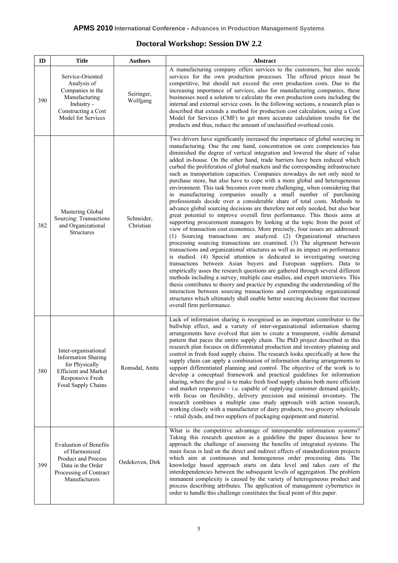#### **Doctoral Workshop: Session DW 2.2**

| ID  | <b>Title</b>                                                                                                                                  | <b>Authors</b>          | Abstract                                                                                                                                                                                                                                                                                                                                                                                                                                                                                                                                                                                                                                                                                                                                                                                                                                                                                                                                                                                                                                                                                                                                                                                                                                                                                                                                                                                                                                                                                                                                                                                                                                                                                                                                                                                                                                                                                                                                                                       |  |
|-----|-----------------------------------------------------------------------------------------------------------------------------------------------|-------------------------|--------------------------------------------------------------------------------------------------------------------------------------------------------------------------------------------------------------------------------------------------------------------------------------------------------------------------------------------------------------------------------------------------------------------------------------------------------------------------------------------------------------------------------------------------------------------------------------------------------------------------------------------------------------------------------------------------------------------------------------------------------------------------------------------------------------------------------------------------------------------------------------------------------------------------------------------------------------------------------------------------------------------------------------------------------------------------------------------------------------------------------------------------------------------------------------------------------------------------------------------------------------------------------------------------------------------------------------------------------------------------------------------------------------------------------------------------------------------------------------------------------------------------------------------------------------------------------------------------------------------------------------------------------------------------------------------------------------------------------------------------------------------------------------------------------------------------------------------------------------------------------------------------------------------------------------------------------------------------------|--|
| 390 | Service-Oriented<br>Analysis of<br>Companies in the<br>Manufacturing<br>Industry -<br>Constructing a Cost<br>Model for Services               | Seiringer,<br>Wolfgang  | A manufacturing company offers services to the customers, but also needs<br>services for the own production processes. The offered prices must be<br>competitive, but should not exceed the own production costs. Due to the<br>increasing importance of services, also for manufacturing companies, these<br>businesses need a solution to calculate the own production costs including the<br>internal and external service costs. In the following sections, a research plan is<br>described that extends a method for production cost calculation, using a Cost<br>Model for Services (CMF) to get more accurate calculation results for the<br>products and thus, reduce the amount of unclassified overhead costs.                                                                                                                                                                                                                                                                                                                                                                                                                                                                                                                                                                                                                                                                                                                                                                                                                                                                                                                                                                                                                                                                                                                                                                                                                                                       |  |
| 382 | Mastering Global<br>Sourcing: Transactions<br>and Organizational<br><b>Structures</b>                                                         | Schneider,<br>Christian | Two drivers have significantly increased the importance of global sourcing in<br>manufacturing. One the one hand, concentration on core competencies has<br>diminished the degree of vertical integration and lowered the share of value<br>added in-house. On the other hand, trade barriers have been reduced which<br>curbed the proliferation of global markets and the corresponding infrastructure<br>such as transportation capacities. Companies nowadays do not only need to<br>purchase more, but also have to cope with a more global and heterogeneous<br>environment. This task becomes even more challenging, when considering that<br>in manufacturing companies usually a small number of purchasing<br>professionals decide over a considerable share of total costs. Methods to<br>advance global sourcing decisions are therefore not only needed, but also bear<br>great potential to improve overall firm performance. This thesis aims at<br>supporting procurement managers by looking at the topic from the point of<br>view of transaction cost economics. More precisely, four issues are addressed:<br>(1) Sourcing transactions are analyzed. (2) Organizational structures<br>processing sourcing transactions are examined. (3) The alignment between<br>transactions and organizational structures as well as its impact on performance<br>is studied. (4) Special attention is dedicated to investigating sourcing<br>transactions between Asian buyers and European suppliers. Data to<br>empirically asses the research questions are gathered through several different<br>methods including a survey, multiple case studies, and expert interviews. This<br>thesis contributes to theory and practice by expanding the understanding of the<br>interaction between sourcing transactions and corresponding organizational<br>structures which ultimately shall enable better sourcing decisions that increase<br>overall firm performance. |  |
| 380 | Inter-organisational<br><b>Information Sharing</b><br>for Physically<br><b>Efficient and Market</b><br>Responsive Fresh<br>Food Supply Chains | Romsdal, Anita          | Lack of information sharing is recognised as an important contributor to the<br>bullwhip effect, and a variety of inter-organisational information sharing<br>arrangements have evolved that aim to create a transparent, visible demand<br>pattern that paces the entire supply chain. The PhD project described in this<br>research plan focuses on differentiated production and inventory planning and<br>control in fresh food supply chains. The research looks specifically at how the<br>supply chain can apply a combination of information sharing arrangements to<br>support differentiated planning and control. The objective of the work is to<br>develop a conceptual framework and practical guidelines for information<br>sharing, where the goal is to make fresh food supply chains both more efficient<br>and market responsive $-$ i.e. capable of supplying customer demand quickly,<br>with focus on flexibility, delivery precision and minimal inventory. The<br>research combines a multiple case study approach with action research,<br>working closely with a manufacturer of dairy products, two grocery wholesale<br>- retail dyads, and two suppliers of packaging equipment and material.                                                                                                                                                                                                                                                                                                                                                                                                                                                                                                                                                                                                                                                                                                                                                     |  |
| 399 | <b>Evaluation of Benefits</b><br>of Harmonized<br>Product and Process<br>Data in the Order<br>Processing of Contract<br>Manufacturers         | Oedekoven, Dirk         | What is the competitive advantage of interoperable information systems?<br>Taking this research question as a guideline the paper discusses how to<br>approach the challenge of assessing the benefits of integrated systems. The<br>main focus is laid on the direct and indirect effects of standardization projects<br>which aim at continuous and homogenous order processing data. The<br>knowledge based approach starts on data level and takes care of the<br>interdependencies between the subsequent levels of aggregation. The problem<br>immanent complexity is caused by the variety of heterogeneous product and<br>process describing attributes. The application of management cybernetics in<br>order to handle this challenge constitutes the focal point of this paper.                                                                                                                                                                                                                                                                                                                                                                                                                                                                                                                                                                                                                                                                                                                                                                                                                                                                                                                                                                                                                                                                                                                                                                                     |  |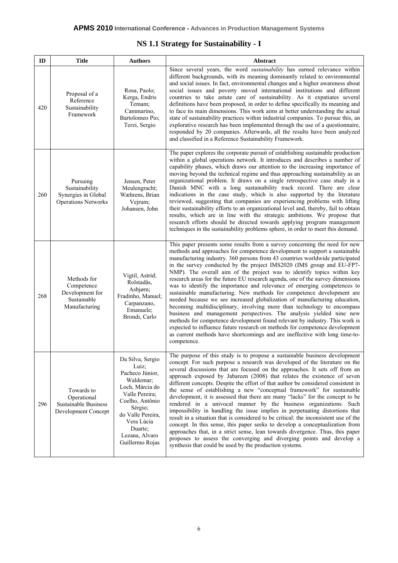#### **NS 1.1 Strategy for Sustainability - I**

| ID  | <b>Title</b>                                                                    | <b>Authors</b>                                                                                                                                                                                                  | Abstract                                                                                                                                                                                                                                                                                                                                                                                                                                                                                                                                                                                                                                                                                                                                                                                                                                                                                                                                                                                                                                                                                                                     |
|-----|---------------------------------------------------------------------------------|-----------------------------------------------------------------------------------------------------------------------------------------------------------------------------------------------------------------|------------------------------------------------------------------------------------------------------------------------------------------------------------------------------------------------------------------------------------------------------------------------------------------------------------------------------------------------------------------------------------------------------------------------------------------------------------------------------------------------------------------------------------------------------------------------------------------------------------------------------------------------------------------------------------------------------------------------------------------------------------------------------------------------------------------------------------------------------------------------------------------------------------------------------------------------------------------------------------------------------------------------------------------------------------------------------------------------------------------------------|
| 420 | Proposal of a<br>Reference<br>Sustainability<br>Framework                       | Rosa, Paolo;<br>Kerga, Endris<br>Temam;<br>Cammarino,<br>Bartolomeo Pio;<br>Terzi, Sergio                                                                                                                       | Since several years, the word <i>sustainability</i> has earned relevance within<br>different backgrounds, with its meaning dominantly related to environmental<br>and social issues. In fact, environmental changes and a higher awareness about<br>social issues and poverty moved international institutions and different<br>countries to take astute care of sustainability. As it expatiates several<br>definitions have been proposed, in order to define specifically its meaning and<br>to face its main dimensions. This work aims at better understanding the actual<br>state of sustainability practices within industrial companies. To pursue this, an<br>explorative research has been implemented through the use of a questionnaire,<br>responded by 20 companies. Afterwards, all the results have been analyzed<br>and classified in a Reference Sustainability Framework.                                                                                                                                                                                                                                 |
| 260 | Pursuing<br>Sustainability<br>Synergies in Global<br><b>Operations Networks</b> | Jensen, Peter<br>Meulengracht;<br>Wæhrens, Brian<br>Vejrum;<br>Johansen, John                                                                                                                                   | The paper explores the corporate pursuit of establishing sustainable production<br>within a global operations network. It introduces and describes a number of<br>capability phases, which draws our attention to the increasing importance of<br>moving beyond the technical regime and thus approaching sustainability as an<br>organizational problem. It draws on a single retrospective case study in a<br>Danish MNC with a long sustainability track record. There are clear<br>indications in the case study, which is also supported by the literature<br>reviewed, suggesting that companies are experiencing problems with lifting<br>their sustainability efforts to an organizational level and, thereby, fail to obtain<br>results, which are in line with the strategic ambitions. We propose that<br>research efforts should be directed towards applying program management<br>techniques in the sustainability problems sphere, in order to meet this demand.                                                                                                                                              |
| 268 | Methods for<br>Competence<br>Development for<br>Sustainable<br>Manufacturing    | Vigtil, Astrid;<br>Rolstadås,<br>Asbjørn;<br>Fradinho, Manuel;<br>Carpanzano,<br>Emanuele;<br>Brondi, Carlo                                                                                                     | This paper presents some results from a survey concerning the need for new<br>methods and approaches for competence development to support a sustainable<br>manufacturing industry. 360 persons from 43 countries worldwide participated<br>in the survey conducted by the project IMS2020 (IMS group and EU-FP7-<br>NMP). The overall aim of the project was to identify topics within key<br>research areas for the future EU research agenda, one of the survey dimensions<br>was to identify the importance and relevance of emerging competences to<br>sustainable manufacturing. New methods for competence development are<br>needed because we see increased globalization of manufacturing education,<br>becoming multidisciplinary, involving more than technology to encompass<br>business and management perspectives. The analysis yielded nine new<br>methods for competence development found relevant by industry. This work is<br>expected to influence future research on methods for competence development<br>as current methods have shortcomings and are ineffective with long time-to-<br>competence. |
| 296 | Towards to<br>Operational<br><b>Sustainable Business</b><br>Development Concept | Da Silva, Sergio<br>Luiz;<br>Pacheco Júnior,<br>Waldemar;<br>Loch, Márcia do<br>Valle Pereira;<br>Coelho, Antônio<br>Sérgio;<br>do Valle Pereira,<br>Vera Lúcia<br>Duarte:<br>Lezana, Alvaro<br>Guillermo Rojas | The purpose of this study is to propose a sustainable business development<br>concept. For such purpose a research was developed of the literature on the<br>several discussions that are focused on the approaches. It sets off from an<br>approach exposed by Jabareen (2008) that relates the existence of seven<br>different concepts. Despite the effort of that author be considered consistent in<br>the sense of establishing a new "conceptual framework" for sustainable<br>development, it is assessed that there are many "lacks" for the concept to be<br>rendered in a univocal manner by the business organizations. Such<br>impossibility in handling the issue implies in perpetuating distortions that<br>result in a situation that is considered to be critical: the inconsistent use of the<br>concept. In this sense, this paper seeks to develop a conceptualization from<br>approaches that, in a strict sense, lean towards divergence. Thus, this paper<br>proposes to assess the converging and diverging points and develop a<br>synthesis that could be used by the production systems.         |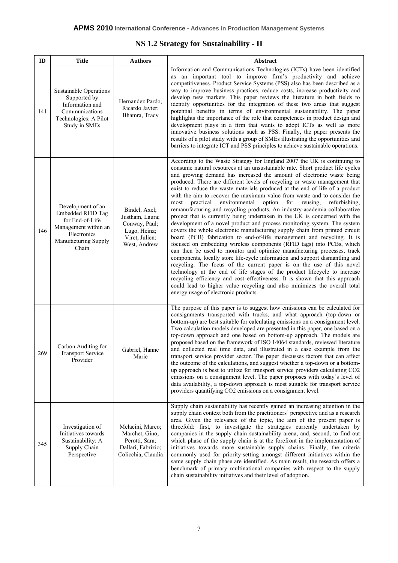#### **NS 1.2 Strategy for Sustainability - II**

| ID  | <b>Title</b>                                                                                                                             | <b>Authors</b>                                                                                      | Abstract                                                                                                                                                                                                                                                                                                                                                                                                                                                                                                                                                                                                                                                                                                                                                                                                                                                                                                                                                                                                                                                                                                                                                                                                                                                                                                                                                                                                                                                                                                                                                        |  |
|-----|------------------------------------------------------------------------------------------------------------------------------------------|-----------------------------------------------------------------------------------------------------|-----------------------------------------------------------------------------------------------------------------------------------------------------------------------------------------------------------------------------------------------------------------------------------------------------------------------------------------------------------------------------------------------------------------------------------------------------------------------------------------------------------------------------------------------------------------------------------------------------------------------------------------------------------------------------------------------------------------------------------------------------------------------------------------------------------------------------------------------------------------------------------------------------------------------------------------------------------------------------------------------------------------------------------------------------------------------------------------------------------------------------------------------------------------------------------------------------------------------------------------------------------------------------------------------------------------------------------------------------------------------------------------------------------------------------------------------------------------------------------------------------------------------------------------------------------------|--|
| 141 | <b>Sustainable Operations</b><br>Supported by<br>Information and<br>Communications<br>Technologies: A Pilot<br>Study in SMEs             | Hernandez Pardo,<br>Ricardo Javier;<br>Bhamra, Tracy                                                | Information and Communications Technologies (ICTs) have been identified<br>as an important tool to improve firm's productivity and achieve<br>competitiveness. Product Service Systems (PSS) also has been described as a<br>way to improve business practices, reduce costs, increase productivity and<br>develop new markets. This paper reviews the literature in both fields to<br>identify opportunities for the integration of these two areas that suggest<br>potential benefits in terms of environmental sustainability. The paper<br>highlights the importance of the role that competences in product design and<br>development plays in a firm that wants to adopt ICTs as well as more<br>innovative business solutions such as PSS. Finally, the paper presents the<br>results of a pilot study with a group of SMEs illustrating the opportunities and<br>barriers to integrate ICT and PSS principles to achieve sustainable operations.                                                                                                                                                                                                                                                                                                                                                                                                                                                                                                                                                                                                        |  |
| 146 | Development of an<br><b>Embedded RFID Tag</b><br>for End-of-Life<br>Management within an<br>Electronics<br>Manufacturing Supply<br>Chain | Bindel, Axel;<br>Justham, Laura;<br>Conway, Paul;<br>Lugo, Heinz;<br>Viret, Julien;<br>West, Andrew | According to the Waste Strategy for England 2007 the UK is continuing to<br>consume natural resources at an unsustainable rate. Short product life cycles<br>and growing demand has increased the amount of electronic waste being<br>produced. There are different levels of recycling or waste management that<br>exist to reduce the waste materials produced at the end of life of a product<br>with the aim to recover the maximum value from waste and to consider the<br>environmental<br>option<br>most<br>practical<br>for<br>reusing,<br>refurbishing,<br>remanufacturing and recycling products. An industry-academia collaborative<br>project that is currently being undertaken in the UK is concerned with the<br>development of a novel product and process monitoring system. The system<br>covers the whole electronic manufacturing supply chain from printed circuit<br>board (PCB) fabrication to end-of-life management and recycling. It is<br>focused on embedding wireless components (RFID tags) into PCBs, which<br>can then be used to monitor and optimize manufacturing processes, track<br>components, locally store life-cycle information and support dismantling and<br>recycling. The focus of the current paper is on the use of this novel<br>technology at the end of life stages of the product lifecycle to increase<br>recycling efficiency and cost effectiveness. It is shown that this approach<br>could lead to higher value recycling and also minimizes the overall total<br>energy usage of electronic products. |  |
| 269 | Carbon Auditing for<br><b>Transport Service</b><br>Provider                                                                              | Gabriel, Hanne<br>Marie                                                                             | The purpose of this paper is to suggest how emissions can be calculated for<br>consignments transported with trucks, and what approach (top-down or<br>bottom-up) are best suitable for calculating emissions on a consignment level.<br>Two calculation models developed are presented in this paper, one based on a<br>top-down approach and one based on bottom-up approach. The models are<br>proposed based on the framework of ISO 14064 standards, reviewed literature<br>and collected real time data, and illustrated in a case example from the<br>transport service provider sector. The paper discusses factors that can affect<br>the outcome of the calculations, and suggest whether a top-down or a bottom-<br>up approach is best to utilize for transport service providers calculating CO2<br>emissions on a consignment level. The paper proposes with today's level of<br>data availability, a top-down approach is most suitable for transport service<br>providers quantifying CO2 emissions on a consignment level.                                                                                                                                                                                                                                                                                                                                                                                                                                                                                                                     |  |
| 345 | Investigation of<br>Initiatives towards<br>Sustainability: A<br>Supply Chain<br>Perspective                                              | Melacini, Marco;<br>Marchet, Gino;<br>Perotti, Sara;<br>Dallari, Fabrizio;<br>Colicchia, Claudia    | Supply chain sustainability has recently gained an increasing attention in the<br>supply chain context both from the practitioners' perspective and as a research<br>area. Given the relevance of the topic, the aim of the present paper is<br>threefold: first, to investigate the strategies currently undertaken by<br>companies in the supply chain sustainability arena, and, second, to find out<br>which phase of the supply chain is at the forefront in the implementation of<br>initiatives towards more sustainable supply chains. Finally, the criteria<br>commonly used for priority-setting amongst different initiatives within the<br>same supply chain phase are identified. As main result, the research offers a<br>benchmark of primary multinational companies with respect to the supply<br>chain sustainability initiatives and their level of adoption.                                                                                                                                                                                                                                                                                                                                                                                                                                                                                                                                                                                                                                                                                |  |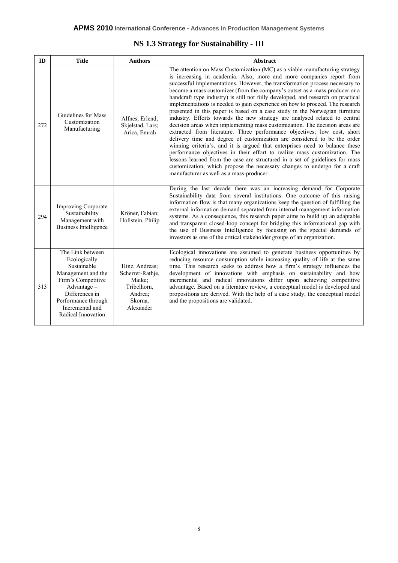| NS 1.3 Strategy for Sustainability - III |  |  |  |
|------------------------------------------|--|--|--|
|------------------------------------------|--|--|--|

| ID  | <b>Title</b>                                                                                                                                                                                   | <b>Authors</b>                                                                                 | <b>Abstract</b>                                                                                                                                                                                                                                                                                                                                                                                                                                                                                                                                                                                                                                                                                                                                                                                                                                                                                                                                                                                                                                                                                                                                                                                                                                                 |
|-----|------------------------------------------------------------------------------------------------------------------------------------------------------------------------------------------------|------------------------------------------------------------------------------------------------|-----------------------------------------------------------------------------------------------------------------------------------------------------------------------------------------------------------------------------------------------------------------------------------------------------------------------------------------------------------------------------------------------------------------------------------------------------------------------------------------------------------------------------------------------------------------------------------------------------------------------------------------------------------------------------------------------------------------------------------------------------------------------------------------------------------------------------------------------------------------------------------------------------------------------------------------------------------------------------------------------------------------------------------------------------------------------------------------------------------------------------------------------------------------------------------------------------------------------------------------------------------------|
| 272 | Guidelines for Mass<br>Customization<br>Manufacturing                                                                                                                                          | Alfnes, Erlend;<br>Skjelstad, Lars;<br>Arica, Emrah                                            | The attention on Mass Customization (MC) as a viable manufacturing strategy<br>is increasing in academia. Also, more and more companies report from<br>successful implementations. However, the transformation process necessary to<br>become a mass customizer (from the company's outset as a mass producer or a<br>handcraft type industry) is still not fully developed, and research on practical<br>implementations is needed to gain experience on how to proceed. The research<br>presented in this paper is based on a case study in the Norwegian furniture<br>industry. Efforts towards the new strategy are analysed related to central<br>decision areas when implementing mass customization. The decision areas are<br>extracted from literature. Three performance objectives; low cost, short<br>delivery time and degree of customization are considered to be the order<br>winning criteria's, and it is argued that enterprises need to balance these<br>performance objectives in their effort to realize mass customization. The<br>lessons learned from the case are structured in a set of guidelines for mass<br>customization, which propose the necessary changes to undergo for a craft<br>manufacturer as well as a mass-producer. |
| 294 | <b>Improving Corporate</b><br>Sustainability<br>Management with<br><b>Business Intelligence</b>                                                                                                | Kröner, Fabian;<br>Hollstein, Philip                                                           | During the last decade there was an increasing demand for Corporate<br>Sustainability data from several institutions. One outcome of this raising<br>information flow is that many organizations keep the question of fulfilling the<br>external information demand separated from internal management information<br>systems. As a consequence, this research paper aims to build up an adaptable<br>and transparent closed-loop concept for bridging this informational gap with<br>the use of Business Intelligence by focusing on the special demands of<br>investors as one of the critical stakeholder groups of an organization.                                                                                                                                                                                                                                                                                                                                                                                                                                                                                                                                                                                                                         |
| 313 | The Link between<br>Ecologically<br>Sustainable<br>Management and the<br>Firm's Competitive<br>$Advantage -$<br>Differences in<br>Performance through<br>Incremental and<br>Radical Innovation | Hinz, Andreas;<br>Scherrer-Rathje,<br>Maike;<br>Tribelhorn,<br>Andrea;<br>Skorna.<br>Alexander | Ecological innovations are assumed to generate business opportunities by<br>reducing resource consumption while increasing quality of life at the same<br>time. This research seeks to address how a firm's strategy influences the<br>development of innovations with emphasis on sustainability and how<br>incremental and radical innovations differ upon achieving competitive<br>advantage. Based on a literature review, a conceptual model is developed and<br>propositions are derived. With the help of a case study, the conceptual model<br>and the propositions are validated.                                                                                                                                                                                                                                                                                                                                                                                                                                                                                                                                                                                                                                                                      |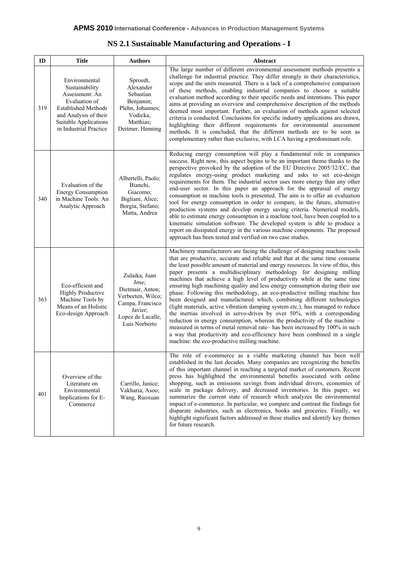| NS 2.1 Sustainable Manufacturing and Operations - I |  |  |
|-----------------------------------------------------|--|--|
|-----------------------------------------------------|--|--|

| ID  | <b>Title</b>                                                                                                                                                                 | <b>Authors</b>                                                                                                                       | Abstract                                                                                                                                                                                                                                                                                                                                                                                                                                                                                                                                                                                                                                                                                                                                                                                                                                                                                                                                                                                                                                                                                          |  |
|-----|------------------------------------------------------------------------------------------------------------------------------------------------------------------------------|--------------------------------------------------------------------------------------------------------------------------------------|---------------------------------------------------------------------------------------------------------------------------------------------------------------------------------------------------------------------------------------------------------------------------------------------------------------------------------------------------------------------------------------------------------------------------------------------------------------------------------------------------------------------------------------------------------------------------------------------------------------------------------------------------------------------------------------------------------------------------------------------------------------------------------------------------------------------------------------------------------------------------------------------------------------------------------------------------------------------------------------------------------------------------------------------------------------------------------------------------|--|
| 319 | Environmental<br>Sustainability<br>Assessment: An<br>Evaluation of<br><b>Established Methods</b><br>and Analysis of their<br>Suitable Applications<br>in Industrial Practice | Sproedt,<br>Alexander<br>Sebastian<br>Benjamin;<br>Plehn, Johannes;<br>Vodicka,<br>Matthias;<br>Deitmer, Henning                     | The large number of different environmental assessment methods presents a<br>challenge for industrial practice. They differ strongly in their characteristics,<br>scope and the units measured. There is a lack of a comprehensive comparison<br>of these methods, enabling industrial companies to choose a suitable<br>evaluation method according to their specific needs and intentions. This paper<br>aims at providing an overview and comprehensive description of the methods<br>deemed most important. Further, an evaluation of methods against selected<br>criteria is conducted. Conclusions for specific industry applications are drawn,<br>highlighting their different requirements for environmental assessment<br>methods. It is concluded, that the different methods are to be seen as<br>complementary rather than exclusive, with LCA having a predominant role.                                                                                                                                                                                                            |  |
| 340 | Evaluation of the<br><b>Energy Consumption</b><br>in Machine Tools: An<br>Analytic Approach                                                                                  | Albertelli, Paolo;<br>Bianchi,<br>Giacomo;<br>Bigliani, Alice;<br>Borgia, Stefano;<br>Matta, Andrea                                  | Reducing energy consumption will play a fundamental role in companies<br>success. Right now, this aspect begins to be an important theme thanks to the<br>perspective provoked by the adoption of the EU Directive 2005/32/EC, that<br>regulates energy-using product marketing and asks to set eco-design<br>requirements for them. The industrial sector uses more energy than any other<br>end-user sector. In this paper an approach for the appraisal of energy<br>consumption in machine tools is presented. The aim is to offer an evaluation<br>tool for energy consumption in order to compare, in the future, alternative<br>production systems and develop energy saving criteria. Numerical models,<br>able to estimate energy consumption in a machine tool, have been coupled to a<br>kinematic simulation software. The developed system is able to produce a<br>report on dissipated energy in the various machine components. The proposed<br>approach has been tested and verified on two case studies.                                                                         |  |
| 363 | Eco-efficient and<br><b>Highly Productive</b><br>Machine Tools by<br>Means of an Holistic<br>Eco-design Approach                                                             | Zulaika, Juan<br>Jose;<br>Dietmair, Anton;<br>Verbeeten, Wilco;<br>Campa, Francisco<br>Javier;<br>Lopez de Lacalle,<br>Luis Norberto | Machinery manufacturers are facing the challenge of designing machine tools<br>that are productive, accurate and reliable and that at the same time consume<br>the least possible amount of material and energy resources. In view of this, this<br>paper presents a multidisciplinary methodology for designing milling<br>machines that achieve a high level of productivity while at the same time<br>ensuring high machining quality and less energy consumption during their use<br>phase. Following this methodology, an eco-productive milling machine has<br>been designed and manufactured which, combining different technologies<br>(light materials, active vibration damping system etc.), has managed to reduce<br>the inertias involved in servo-drives by over 50%, with a corresponding<br>reduction in energy consumption, whereas the productivity of the machine -<br>measured in terms of metal removal rate-has been increased by 100% in such<br>a way that productivity and eco-efficiency have been combined in a single<br>machine: the eco-productive milling machine. |  |
| 401 | Overview of the<br>Literature on<br>Environmental<br>Implications for E-<br>Commerce                                                                                         | Carrillo, Janice;<br>Vakharia, Asoo;<br>Wang, Ruoxuan                                                                                | The role of e-commerce as a viable marketing channel has been well<br>established in the last decades. Many companies are recognizing the benefits<br>of this important channel in reaching a targeted market of customers. Recent<br>press has highlighted the environmental benefits associated with online<br>shopping, such as emissions savings from individual drivers, economies of<br>scale in package delivery, and decreased inventories. In this paper, we<br>summarize the current state of research which analyzes the environmental<br>impact of e-commerce. In particular, we compare and contrast the findings for<br>disparate industries, such as electronics, books and groceries. Finally, we<br>highlight significant factors addressed in these studies and identify key themes<br>for future research.                                                                                                                                                                                                                                                                     |  |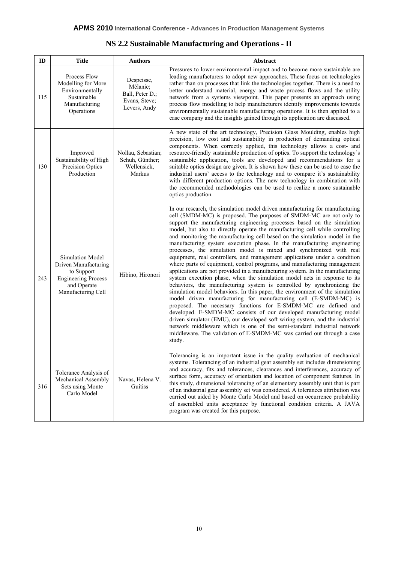| NS 2.2 Sustainable Manufacturing and Operations - II |  |  |  |
|------------------------------------------------------|--|--|--|
|------------------------------------------------------|--|--|--|

| ID  | <b>Title</b><br><b>Authors</b>                                                                                                                |                                                                            | Abstract                                                                                                                                                                                                                                                                                                                                                                                                                                                                                                                                                                                                                                                                                                                                                                                                                                                                                                                                                                                                                                                                                                                                                                                                                                                                                                                                                                                                                                                                                    |
|-----|-----------------------------------------------------------------------------------------------------------------------------------------------|----------------------------------------------------------------------------|---------------------------------------------------------------------------------------------------------------------------------------------------------------------------------------------------------------------------------------------------------------------------------------------------------------------------------------------------------------------------------------------------------------------------------------------------------------------------------------------------------------------------------------------------------------------------------------------------------------------------------------------------------------------------------------------------------------------------------------------------------------------------------------------------------------------------------------------------------------------------------------------------------------------------------------------------------------------------------------------------------------------------------------------------------------------------------------------------------------------------------------------------------------------------------------------------------------------------------------------------------------------------------------------------------------------------------------------------------------------------------------------------------------------------------------------------------------------------------------------|
| 115 | Process Flow<br>Modelling for More<br>Environmentally<br>Sustainable<br>Manufacturing<br>Operations                                           | Despeisse,<br>Mélanie;<br>Ball, Peter D.;<br>Evans, Steve;<br>Levers, Andy | Pressures to lower environmental impact and to become more sustainable are<br>leading manufacturers to adopt new approaches. These focus on technologies<br>rather than on processes that link the technologies together. There is a need to<br>better understand material, energy and waste process flows and the utility<br>network from a systems viewpoint. This paper presents an approach using<br>process flow modelling to help manufacturers identify improvements towards<br>environmentally sustainable manufacturing operations. It is then applied to a<br>case company and the insights gained through its application are discussed.                                                                                                                                                                                                                                                                                                                                                                                                                                                                                                                                                                                                                                                                                                                                                                                                                                         |
| 130 | Improved<br>Nollau, Sebastian;<br>Sustainability of High<br>Schuh, Günther;<br>Precision Optics<br>Wellensiek,<br>Production<br>Markus        |                                                                            | A new state of the art technology, Precision Glass Moulding, enables high<br>precision, low cost and sustainability in production of demanding optical<br>components. When correctly applied, this technology allows a cost- and<br>resource-friendly sustainable production of optics. To support the technology's<br>sustainable application, tools are developed and recommendations for a<br>suitable optics design are given. It is shown how these can be used to ease the<br>industrial users' access to the technology and to compare it's sustainability<br>with different production options. The new technology in combination with<br>the recommended methodologies can be used to realize a more sustainable<br>optics production.                                                                                                                                                                                                                                                                                                                                                                                                                                                                                                                                                                                                                                                                                                                                             |
| 243 | Simulation Model<br>Driven Manufacturing<br>to Support<br>Hibino, Hironori<br><b>Engineering Process</b><br>and Operate<br>Manufacturing Cell |                                                                            | In our research, the simulation model driven manufacturing for manufacturing<br>cell (SMDM-MC) is proposed. The purposes of SMDM-MC are not only to<br>support the manufacturing engineering processes based on the simulation<br>model, but also to directly operate the manufacturing cell while controlling<br>and monitoring the manufacturing cell based on the simulation model in the<br>manufacturing system execution phase. In the manufacturing engineering<br>processes, the simulation model is mixed and synchronized with real<br>equipment, real controllers, and management applications under a condition<br>where parts of equipment, control programs, and manufacturing management<br>applications are not provided in a manufacturing system. In the manufacturing<br>system execution phase, when the simulation model acts in response to its<br>behaviors, the manufacturing system is controlled by synchronizing the<br>simulation model behaviors. In this paper, the environment of the simulation<br>model driven manufacturing for manufacturing cell (E-SMDM-MC) is<br>proposed. The necessary functions for E-SMDM-MC are defined and<br>developed. E-SMDM-MC consists of our developed manufacturing model<br>driven simulator (EMU), our developed soft wiring system, and the industrial<br>network middleware which is one of the semi-standard industrial network<br>middleware. The validation of E-SMDM-MC was carried out through a case<br>study. |
| 316 | Tolerance Analysis of<br>Mechanical Assembly<br>Sets using Monte<br>Carlo Model                                                               | Navas, Helena V.<br>Guitiss                                                | Tolerancing is an important issue in the quality evaluation of mechanical<br>systems. Tolerancing of an industrial gear assembly set includes dimensioning<br>and accuracy, fits and tolerances, clearances and interferences, accuracy of<br>surface form, accuracy of orientation and location of component features. In<br>this study, dimensional tolerancing of an elementary assembly unit that is part<br>of an industrial gear assembly set was considered. A tolerances attribution was<br>carried out aided by Monte Carlo Model and based on occurrence probability<br>of assembled units acceptance by functional condition criteria. A JAVA<br>program was created for this purpose.                                                                                                                                                                                                                                                                                                                                                                                                                                                                                                                                                                                                                                                                                                                                                                                           |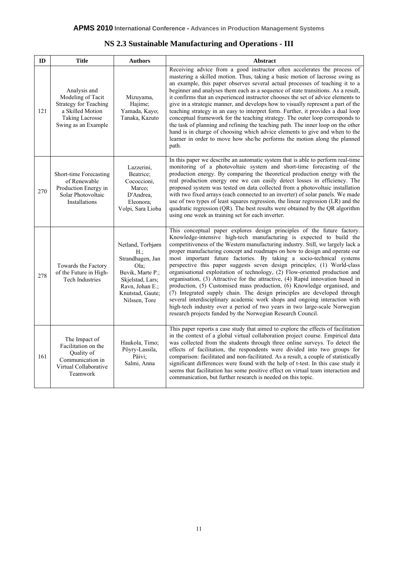| NS 2.3 Sustainable Manufacturing and Operations - III |  |
|-------------------------------------------------------|--|
|-------------------------------------------------------|--|

| ID  | <b>Title</b>                                                                                                                           | <b>Authors</b>                                                                                                                                          | Abstract                                                                                                                                                                                                                                                                                                                                                                                                                                                                                                                                                                                                                                                                                                                                                                                                                                                                                                                                                                                                                 |
|-----|----------------------------------------------------------------------------------------------------------------------------------------|---------------------------------------------------------------------------------------------------------------------------------------------------------|--------------------------------------------------------------------------------------------------------------------------------------------------------------------------------------------------------------------------------------------------------------------------------------------------------------------------------------------------------------------------------------------------------------------------------------------------------------------------------------------------------------------------------------------------------------------------------------------------------------------------------------------------------------------------------------------------------------------------------------------------------------------------------------------------------------------------------------------------------------------------------------------------------------------------------------------------------------------------------------------------------------------------|
| 121 | Analysis and<br>Modeling of Tacit<br><b>Strategy for Teaching</b><br>a Skilled Motion<br><b>Taking Lacrosse</b><br>Swing as an Example | Mizuyama,<br>Hajime:<br>Yamada, Kayo;<br>Tanaka, Kazuto                                                                                                 | Receiving advice from a good instructor often accelerates the process of<br>mastering a skilled motion. Thus, taking a basic motion of lacrosse swing as<br>an example, this paper observes several actual processes of teaching it to a<br>beginner and analyses them each as a sequence of state transitions. As a result,<br>it confirms that an experienced instructor chooses the set of advice elements to<br>give in a strategic manner, and develops how to visually represent a part of the<br>teaching strategy in an easy to interpret form. Further, it provides a dual loop<br>conceptual framework for the teaching strategy. The outer loop corresponds to<br>the task of planning and refining the teaching path. The inner loop on the other<br>hand is in charge of choosing which advice elements to give and when to the<br>learner in order to move how she/he performs the motion along the planned<br>path.                                                                                       |
| 270 | Short-time Forecasting<br>of Renewable<br>Production Energy in<br>Solar Photovoltaic<br>Installations                                  | Lazzerini,<br>Beatrice;<br>Cococcioni,<br>Marco;<br>D'Andrea,<br>Eleonora;<br>Volpi, Sara Lioba                                                         | In this paper we describe an automatic system that is able to perform real-time<br>monitoring of a photovoltaic system and short-time forecasting of the<br>production energy. By comparing the theoretical production energy with the<br>real production energy one we can easily detect losses in efficiency. The<br>proposed system was tested on data collected from a photovoltaic installation<br>with two fixed arrays (each connected to an inverter) of solar panels. We made<br>use of two types of least squares regression, the linear regression (LR) and the<br>quadratic regression (QR). The best results were obtained by the QR algorithm<br>using one week as training set for each inverter.                                                                                                                                                                                                                                                                                                         |
| 278 | Towards the Factory<br>of the Future in High-<br><b>Tech Industries</b>                                                                | Netland, Torbjørn<br>$H$ .:<br>Strandhagen, Jan<br>Ola:<br>Buvik, Marte P.;<br>Skjelstad, Lars;<br>Ravn, Johan E.;<br>Knutstad, Gaute;<br>Nilssen, Tore | This conceptual paper explores design principles of the future factory.<br>Knowledge-intensive high-tech manufacturing is expected to build the<br>competitiveness of the Western manufacturing industry. Still, we largely lack a<br>proper manufacturing concept and roadmaps on how to design and operate our<br>most important future factories. By taking a socio-technical systems<br>perspective this paper suggests seven design principles; (1) World-class<br>organisational exploitation of technology, (2) Flow-oriented production and<br>organisation, (3) Attractive for the attractive, (4) Rapid innovation based in<br>production, (5) Customised mass production, (6) Knowledge organised, and<br>(7) Integrated supply chain. The design principles are developed through<br>several interdisciplinary academic work shops and ongoing interaction with<br>high-tech industry over a period of two years in two large-scale Norwegian<br>research projects funded by the Norwegian Research Council. |
| 161 | The Impact of<br>Facilitation on the<br>Quality of<br>Communication in<br>Virtual Collaborative<br>Teamwork                            | Haukola, Timo;<br>Pöyry-Lassila,<br>Päivi:<br>Salmi, Anna                                                                                               | This paper reports a case study that aimed to explore the effects of facilitation<br>in the context of a global virtual collaboration project course. Empirical data<br>was collected from the students through three online surveys. To detect the<br>effects of facilitation, the respondents were divided into two groups for<br>comparison: facilitated and non-facilitated. As a result, a couple of statistically<br>significant differences were found with the help of t-test. In this case study it<br>seems that facilitation has some positive effect on virtual team interaction and<br>communication, but further research is needed on this topic.                                                                                                                                                                                                                                                                                                                                                         |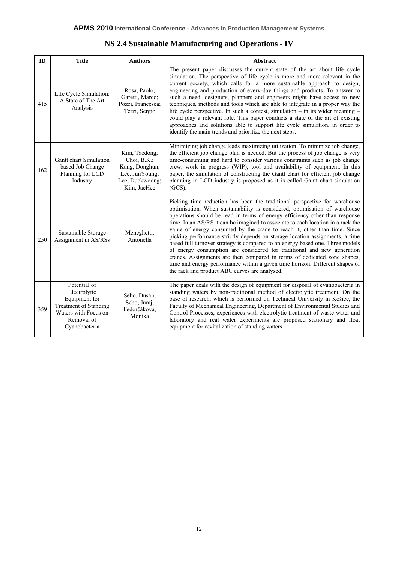| NS 2.4 Sustainable Manufacturing and Operations - IV |  |  |  |
|------------------------------------------------------|--|--|--|
|------------------------------------------------------|--|--|--|

| ID  | <b>Title</b>                                                                                                                         | <b>Authors</b>                                                                                        | Abstract                                                                                                                                                                                                                                                                                                                                                                                                                                                                                                                                                                                                                                                                                                                                                                                                                                                         |
|-----|--------------------------------------------------------------------------------------------------------------------------------------|-------------------------------------------------------------------------------------------------------|------------------------------------------------------------------------------------------------------------------------------------------------------------------------------------------------------------------------------------------------------------------------------------------------------------------------------------------------------------------------------------------------------------------------------------------------------------------------------------------------------------------------------------------------------------------------------------------------------------------------------------------------------------------------------------------------------------------------------------------------------------------------------------------------------------------------------------------------------------------|
| 415 | Rosa, Paolo;<br>Life Cycle Simulation:<br>Garetti, Marco;<br>A State of The Art<br>Pozzi, Francesca;<br>Analysis<br>Terzi, Sergio    |                                                                                                       | The present paper discusses the current state of the art about life cycle<br>simulation. The perspective of life cycle is more and more relevant in the<br>current society, which calls for a more sustainable approach to design,<br>engineering and production of every-day things and products. To answer to<br>such a need, designers, planners and engineers might have access to new<br>techniques, methods and tools which are able to integrate in a proper way the<br>life cycle perspective. In such a contest, simulation – in its wider meaning –<br>could play a relevant role. This paper conducts a state of the art of existing<br>approaches and solutions able to support life cycle simulation, in order to<br>identify the main trends and prioritize the next steps.                                                                        |
| 162 | Gantt chart Simulation<br>based Job Change<br>Planning for LCD<br>Industry                                                           | Kim, Taedong;<br>Choi, $B.K.$ ;<br>Kang, Donghun;<br>Lee, JunYoung;<br>Lee, Duckwoong;<br>Kim, JaeHee | Minimizing job change leads maximizing utilization. To minimize job change,<br>the efficient job change plan is needed. But the process of job change is very<br>time-consuming and hard to consider various constraints such as job change<br>crew, work in progress (WIP), tool and availability of equipment. In this<br>paper, the simulation of constructing the Gantt chart for efficient job change<br>planning in LCD industry is proposed as it is called Gantt chart simulation<br>$(GCS)$ .                                                                                                                                                                                                                                                                                                                                                           |
| 250 | Sustainable Storage<br>Assignment in AS/RSs                                                                                          | Meneghetti,<br>Antonella                                                                              | Picking time reduction has been the traditional perspective for warehouse<br>optimisation. When sustainability is considered, optimisation of warehouse<br>operations should be read in terms of energy efficiency other than response<br>time. In an AS/RS it can be imagined to associate to each location in a rack the<br>value of energy consumed by the crane to reach it, other than time. Since<br>picking performance strictly depends on storage location assignments, a time<br>based full turnover strategy is compared to an energy based one. Three models<br>of energy consumption are considered for traditional and new generation<br>cranes. Assignments are then compared in terms of dedicated zone shapes,<br>time and energy performance within a given time horizon. Different shapes of<br>the rack and product ABC curves are analysed. |
| 359 | Potential of<br>Electrolytic<br>Equipment for<br><b>Treatment of Standing</b><br>Waters with Focus on<br>Removal of<br>Cyanobacteria | Sebo, Dusan;<br>Sebo, Juraj;<br>Fedorčáková,<br>Monika                                                | The paper deals with the design of equipment for disposal of cyanobacteria in<br>standing waters by non-traditional method of electrolytic treatment. On the<br>base of research, which is performed on Technical University in Košice, the<br>Faculty of Mechanical Engineering, Department of Environmental Studies and<br>Control Processes, experiences with electrolytic treatment of waste water and<br>laboratory and real water experiments are proposed stationary and float<br>equipment for revitalization of standing waters.                                                                                                                                                                                                                                                                                                                        |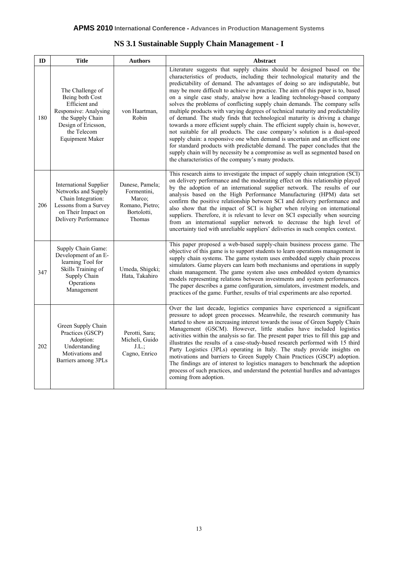|  |  |  | NS 3.1 Sustainable Supply Chain Management - I |  |
|--|--|--|------------------------------------------------|--|
|--|--|--|------------------------------------------------|--|

| ID  | <b>Title</b>                                                                                                                                                                                | <b>Authors</b>                                                                       | Abstract                                                                                                                                                                                                                                                                                                                                                                                                                                                                                                                                                                                                                                                                                                                                                                                                                                                                                                                                                                                                                                                                                                               |  |  |
|-----|---------------------------------------------------------------------------------------------------------------------------------------------------------------------------------------------|--------------------------------------------------------------------------------------|------------------------------------------------------------------------------------------------------------------------------------------------------------------------------------------------------------------------------------------------------------------------------------------------------------------------------------------------------------------------------------------------------------------------------------------------------------------------------------------------------------------------------------------------------------------------------------------------------------------------------------------------------------------------------------------------------------------------------------------------------------------------------------------------------------------------------------------------------------------------------------------------------------------------------------------------------------------------------------------------------------------------------------------------------------------------------------------------------------------------|--|--|
| 180 | The Challenge of<br>Being both Cost<br>Efficient and<br>Responsive: Analysing<br>von Haartman,<br>the Supply Chain<br>Robin<br>Design of Ericsson,<br>the Telecom<br><b>Equipment Maker</b> |                                                                                      | Literature suggests that supply chains should be designed based on the<br>characteristics of products, including their technological maturity and the<br>predictability of demand. The advantages of doing so are indisputable, but<br>may be more difficult to achieve in practice. The aim of this paper is to, based<br>on a single case study, analyse how a leading technology-based company<br>solves the problems of conflicting supply chain demands. The company sells<br>multiple products with varying degrees of technical maturity and predictability<br>of demand. The study finds that technological maturity is driving a change<br>towards a more efficient supply chain. The efficient supply chain is, however,<br>not suitable for all products. The case company's solution is a dual-speed<br>supply chain: a responsive one when demand is uncertain and an efficient one<br>for standard products with predictable demand. The paper concludes that the<br>supply chain will by necessity be a compromise as well as segmented based on<br>the characteristics of the company's many products. |  |  |
| 206 | <b>International Supplier</b><br>Networks and Supply<br>Chain Integration:<br>Lessons from a Survey<br>on Their Impact on<br>Delivery Performance                                           | Danese, Pamela;<br>Formentini,<br>Marco;<br>Romano, Pietro;<br>Bortolotti,<br>Thomas | This research aims to investigate the impact of supply chain integration (SCI)<br>on delivery performance and the moderating effect on this relationship played<br>by the adoption of an international supplier network. The results of our<br>analysis based on the High Performance Manufacturing (HPM) data set<br>confirm the positive relationship between SCI and delivery performance and<br>also show that the impact of SCI is higher when relying on international<br>suppliers. Therefore, it is relevant to lever on SCI especially when sourcing<br>from an international supplier network to decrease the high level of<br>uncertainty tied with unreliable suppliers' deliveries in such complex context.                                                                                                                                                                                                                                                                                                                                                                                               |  |  |
| 347 | Supply Chain Game:<br>Development of an E-<br>learning Tool for<br>Skills Training of<br>Supply Chain<br>Operations<br>Management                                                           | Umeda, Shigeki;<br>Hata, Takahiro                                                    | This paper proposed a web-based supply-chain business process game. The<br>objective of this game is to support students to learn operations management in<br>supply chain systems. The game system uses embedded supply chain process<br>simulators. Game players can learn both mechanisms and operations in supply<br>chain management. The game system also uses embedded system dynamics<br>models representing relations between investments and system performances.<br>The paper describes a game configuration, simulators, investment models, and<br>practices of the game. Further, results of trial experiments are also reported.                                                                                                                                                                                                                                                                                                                                                                                                                                                                         |  |  |
| 202 | Green Supply Chain<br>Practices (GSCP)<br>Adoption:<br>Understanding<br>Motivations and<br>Barriers among 3PLs                                                                              | Perotti, Sara;<br>Micheli, Guido<br>J.L.<br>Cagno, Enrico                            | Over the last decade, logistics companies have experienced a significant<br>pressure to adopt green processes. Meanwhile, the research community has<br>started to show an increasing interest towards the issue of Green Supply Chain<br>Management (GSCM). However, little studies have included logistics<br>activities within the analysis so far. The present paper tries to fill this gap and<br>illustrates the results of a case-study-based research performed with 15 third<br>Party Logistics (3PLs) operating in Italy. The study provide insights on<br>motivations and barriers to Green Supply Chain Practices (GSCP) adoption.<br>The findings are of interest to logistics managers to benchmark the adoption<br>process of such practices, and understand the potential hurdles and advantages<br>coming from adoption.                                                                                                                                                                                                                                                                              |  |  |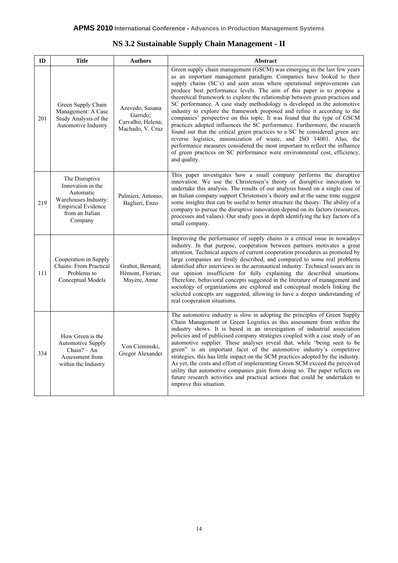| NS 3.2 Sustainable Supply Chain Management - II |  |  |  |  |  |  |
|-------------------------------------------------|--|--|--|--|--|--|
|-------------------------------------------------|--|--|--|--|--|--|

| ID  | <b>Title</b>                                                                                                                                                                | <b>Authors</b>                                       | Abstract                                                                                                                                                                                                                                                                                                                                                                                                                                                                                                                                                                                                                                                                                                                                                                                                                                                                                                                                                                                                                                |
|-----|-----------------------------------------------------------------------------------------------------------------------------------------------------------------------------|------------------------------------------------------|-----------------------------------------------------------------------------------------------------------------------------------------------------------------------------------------------------------------------------------------------------------------------------------------------------------------------------------------------------------------------------------------------------------------------------------------------------------------------------------------------------------------------------------------------------------------------------------------------------------------------------------------------------------------------------------------------------------------------------------------------------------------------------------------------------------------------------------------------------------------------------------------------------------------------------------------------------------------------------------------------------------------------------------------|
| 201 | Green Supply Chain<br>Azevedo, Susana<br>Management: A Case<br>Garrido:<br>Study Analysis of the<br>Carvalho, Helena;<br>Automotive Industry<br>Machado, V. Cruz            |                                                      | Green supply chain management (GSCM) was emerging in the last few years<br>as an important management paradigm. Companies have looked to their<br>supply chains (SC's) and seen areas where operational improvements can<br>produce best performance levels. The aim of this paper is to propose a<br>theoretical framework to explore the relationship between green practices and<br>SC performance. A case study methodology is developed in the automotive<br>industry to explore the framework proposed and refine it according to the<br>companies' perspective on this topic. It was found that the type of GSCM<br>practices adopted influences the SC performance. Furthermore, the research<br>found out that the critical green practices to a SC be considered green are:<br>reverse logistics, minimization of waste, and ISO 14001. Also, the<br>performance measures considered the most important to reflect the influence<br>of green practices on SC performance were environmental cost, efficiency,<br>and quality. |
| 219 | The Disruptive<br>Innovation in the<br>Automatic<br>Palmieri, Antonio;<br>Warehouses Industry:<br>Baglieri, Enzo<br><b>Empirical Evidence</b><br>from an Italian<br>Company |                                                      | This paper investigates how a small company performs the disruptive<br>innovation. We use the Christensen's theory of disruptive innovation to<br>undertake this analysis. The results of our analysis based on a single case of<br>an Italian company support Christensen's theory and at the same time suggest<br>some insights that can be useful to better structure the theory. The ability of a<br>company to pursue the disruptive innovation depend on its factors (resources,<br>processes and values). Our study goes in depth identifying the key factors of a<br>small company.                                                                                                                                                                                                                                                                                                                                                                                                                                             |
| 111 | Cooperation in Supply<br>Chains: From Practical<br>Problems to<br>Conceptual Models                                                                                         | Grabot, Bernard;<br>Hémont, Florian;<br>Mayère, Anne | Improving the performance of supply chains is a critical issue in nowadays<br>industry. In that purpose, cooperation between partners motivates a great<br>attention. Technical aspects of current cooperation procedures as promoted by<br>large companies are firstly described, and compared to some real problems<br>identified after interviews in the aeronautical industry. Technical issues are in<br>our opinion insufficient for fully explaining the described situations.<br>Therefore, behavioral concepts suggested in the literature of management and<br>sociology of organizations are explored and conceptual models linking the<br>selected concepts are suggested, allowing to have a deeper understanding of<br>real cooperation situations.                                                                                                                                                                                                                                                                       |
| 334 | How Green is the<br><b>Automotive Supply</b><br>$Chain? - An$<br>Assessment from<br>within the Industry                                                                     | Von Cieminski,<br>Gregor Alexander                   | The automotive industry is slow in adopting the principles of Green Supply<br>Chain Management or Green Logistics as this assessment from within the<br>industry shows. It is based in an investigation of industrial association<br>policies and of publicised company strategies coupled with a case study of an<br>automotive supplier. These analyses reveal that, while "being seen to be<br>green" is an important facet of the automotive industry's competitive<br>strategies, this has little impact on the SCM practices adopted by the industry.<br>As yet, the costs and effort of implementing Green SCM exceed the perceived<br>utility that automotive companies gain from doing so. The paper reflects on<br>future research activities and practical actions that could be undertaken to<br>improve this situation.                                                                                                                                                                                                    |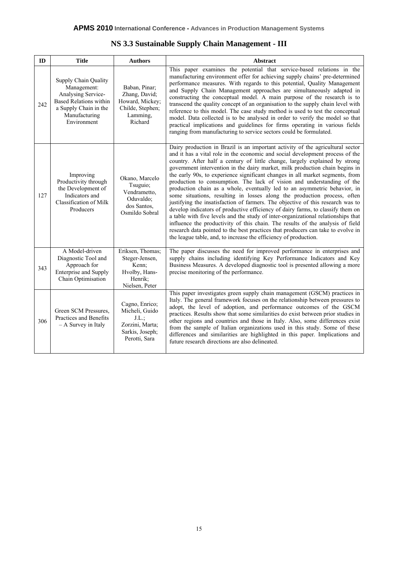| NS 3.3 Sustainable Supply Chain Management - III |  |  |  |  |  |  |  |  |  |
|--------------------------------------------------|--|--|--|--|--|--|--|--|--|
|--------------------------------------------------|--|--|--|--|--|--|--|--|--|

| ID  | <b>Title</b>                                                                                                                                                                                                                                        | <b>Authors</b>                                                                            | <b>Abstract</b>                                                                                                                                                                                                                                                                                                                                                                                                                                                                                                                                                                                                                                                                                                                                                                                                                                                                                                                                                                                                                                                                                                                                         |
|-----|-----------------------------------------------------------------------------------------------------------------------------------------------------------------------------------------------------------------------------------------------------|-------------------------------------------------------------------------------------------|---------------------------------------------------------------------------------------------------------------------------------------------------------------------------------------------------------------------------------------------------------------------------------------------------------------------------------------------------------------------------------------------------------------------------------------------------------------------------------------------------------------------------------------------------------------------------------------------------------------------------------------------------------------------------------------------------------------------------------------------------------------------------------------------------------------------------------------------------------------------------------------------------------------------------------------------------------------------------------------------------------------------------------------------------------------------------------------------------------------------------------------------------------|
| 242 | Supply Chain Quality<br>Management:<br>Baban, Pinar;<br>Analysing Service-<br>Zhang, David;<br><b>Based Relations within</b><br>Howard, Mickey;<br>a Supply Chain in the<br>Childe, Stephen;<br>Manufacturing<br>Lamming,<br>Environment<br>Richard |                                                                                           | This paper examines the potential that service-based relations in the<br>manufacturing environment offer for achieving supply chains' pre-determined<br>performance measures. With regards to this potential, Quality Management<br>and Supply Chain Management approaches are simultaneously adapted in<br>constructing the conceptual model. A main purpose of the research is to<br>transcend the quality concept of an organisation to the supply chain level with<br>reference to this model. The case study method is used to test the conceptual<br>model. Data collected is to be analysed in order to verify the model so that<br>practical implications and guidelines for firms operating in various fields<br>ranging from manufacturing to service sectors could be formulated.                                                                                                                                                                                                                                                                                                                                                            |
| 127 | Improving<br>Okano, Marcelo<br>Productivity through<br>Tsuguio;<br>the Development of<br>Vendrametto,<br>Indicators and<br>Oduvaldo;<br>Classification of Milk<br>dos Santos,<br>Producers<br>Osmildo Sobral                                        |                                                                                           | Dairy production in Brazil is an important activity of the agricultural sector<br>and it has a vital role in the economic and social development process of the<br>country. After half a century of little change, largely explained by strong<br>government intervention in the dairy market, milk production chain begins in<br>the early 90s, to experience significant changes in all market segments, from<br>production to consumption. The lack of vision and understanding of the<br>production chain as a whole, eventually led to an asymmetric behavior, in<br>some situations, resulting in losses along the production process, often<br>justifying the insatisfaction of farmers. The objective of this research was to<br>develop indicators of productive efficiency of dairy farms, to classify them on<br>a table with five levels and the study of inter-organizational relationships that<br>influence the productivity of this chain. The results of the analysis of field<br>research data pointed to the best practices that producers can take to evolve in<br>the league table, and, to increase the efficiency of production. |
| 343 | A Model-driven<br>Diagnostic Tool and<br>Approach for<br><b>Enterprise and Supply</b><br>Chain Optimisation                                                                                                                                         | Eriksen, Thomas;<br>Steger-Jensen,<br>Kenn;<br>Hvolby, Hans-<br>Henrik:<br>Nielsen, Peter | The paper discusses the need for improved performance in enterprises and<br>supply chains including identifying Key Performance Indicators and Key<br>Business Measures. A developed diagnostic tool is presented allowing a more<br>precise monitoring of the performance.                                                                                                                                                                                                                                                                                                                                                                                                                                                                                                                                                                                                                                                                                                                                                                                                                                                                             |
| 306 | Cagno, Enrico;<br>Micheli, Guido<br>Green SCM Pressures,<br>Practices and Benefits<br>J.L.<br>- A Survey in Italy<br>Zorzini, Marta;<br>Sarkis, Joseph;<br>Perotti, Sara                                                                            |                                                                                           | This paper investigates green supply chain management (GSCM) practices in<br>Italy. The general framework focuses on the relationship between pressures to<br>adopt, the level of adoption, and performance outcomes of the GSCM<br>practices. Results show that some similarities do exist between prior studies in<br>other regions and countries and those in Italy. Also, some differences exist<br>from the sample of Italian organizations used in this study. Some of these<br>differences and similarities are highlighted in this paper. Implications and<br>future research directions are also delineated.                                                                                                                                                                                                                                                                                                                                                                                                                                                                                                                                   |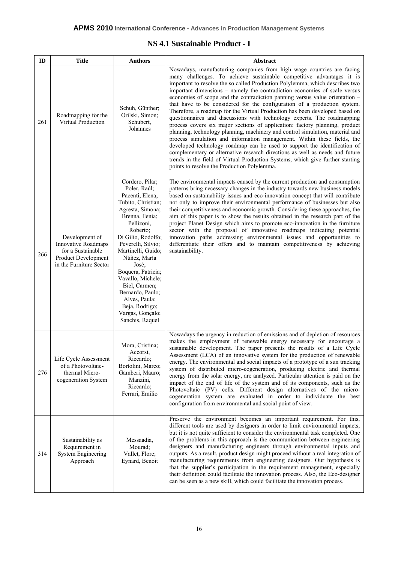#### **NS 4.1 Sustainable Product - I**

| ID  | <b>Authors</b><br><b>Title</b>                                                                                      |                                                                                                                                                                                                                                                                                                                                                                                                | Abstract                                                                                                                                                                                                                                                                                                                                                                                                                                                                                                                                                                                                                                                                                                                                                                                                                                                                                                                                                                                                                                                                                                                                                                 |  |  |
|-----|---------------------------------------------------------------------------------------------------------------------|------------------------------------------------------------------------------------------------------------------------------------------------------------------------------------------------------------------------------------------------------------------------------------------------------------------------------------------------------------------------------------------------|--------------------------------------------------------------------------------------------------------------------------------------------------------------------------------------------------------------------------------------------------------------------------------------------------------------------------------------------------------------------------------------------------------------------------------------------------------------------------------------------------------------------------------------------------------------------------------------------------------------------------------------------------------------------------------------------------------------------------------------------------------------------------------------------------------------------------------------------------------------------------------------------------------------------------------------------------------------------------------------------------------------------------------------------------------------------------------------------------------------------------------------------------------------------------|--|--|
| 261 | Roadmapping for the<br><b>Virtual Production</b>                                                                    | Schuh, Günther;<br>Orilski, Simon;<br>Schubert,<br>Johannes                                                                                                                                                                                                                                                                                                                                    | Nowadays, manufacturing companies from high wage countries are facing<br>many challenges. To achieve sustainable competitive advantages it is<br>important to resolve the so called Production Polylemma, which describes two<br>important dimensions – namely the contradiction economies of scale versus<br>economies of scope and the contradiction panning versus value orientation -<br>that have to be considered for the configuration of a production system.<br>Therefore, a roadmap for the Virtual Production has been developed based on<br>questionnaires and discussions with technology experts. The roadmapping<br>process covers six major sections of application: factory planning, product<br>planning, technology planning, machinery and control simulation, material and<br>process simulation and information management. Within these fields, the<br>developed technology roadmap can be used to support the identification of<br>complementary or alternative research directions as well as needs and future<br>trends in the field of Virtual Production Systems, which give further starting<br>points to resolve the Production Polylemma. |  |  |
| 266 | Development of<br><b>Innovative Roadmaps</b><br>for a Sustainable<br>Product Development<br>in the Furniture Sector | Cordero, Pilar;<br>Poler, Raúl;<br>Pacenti, Elena;<br>Tubito, Christian;<br>Agresta, Simona;<br>Brenna, Ilenia;<br>Pellizoni,<br>Roberto;<br>Di Gilio, Rodolfo;<br>Peverelli, Silvio;<br>Martinelli, Guido;<br>Núñez, María<br>José;<br>Boquera, Patricia;<br>Vavallo, Michele;<br>Biel, Carmen;<br>Bernardo, Paulo;<br>Alves, Paula;<br>Beja, Rodrigo;<br>Vargas, Gonçalo;<br>Sanchis, Raquel | The environmental impacts caused by the current production and consumption<br>patterns bring necessary changes in the industry towards new business models<br>based on sustainability issues and eco-innovation concept that will contribute<br>not only to improve their environmental performance of businesses but also<br>their competitiveness and economic growth. Considering these approaches, the<br>aim of this paper is to show the results obtained in the research part of the<br>project Planet Design which aims to promote eco-innovation in the furniture<br>sector with the proposal of innovative roadmaps indicating potential<br>innovation paths addressing environmental issues and opportunities to<br>differentiate their offers and to maintain competitiveness by achieving<br>sustainability.                                                                                                                                                                                                                                                                                                                                                |  |  |
| 276 | Life Cycle Assessment<br>of a Photovoltaic-<br>thermal Micro-<br>cogeneration System                                | Mora, Cristina;<br>Accorsi,<br>Riccardo;<br>Bortolini, Marco;<br>Gamberi, Mauro;<br>Manzini,<br>Riccardo;<br>Ferrari, Emilio                                                                                                                                                                                                                                                                   | Nowadays the urgency in reduction of emissions and of depletion of resources<br>makes the employment of renewable energy necessary for encourage a<br>sustainable development. The paper presents the results of a Life Cycle<br>Assessment (LCA) of an innovative system for the production of renewable<br>energy. The environmental and social impacts of a prototype of a sun tracking<br>system of distributed micro-cogeneration, producing electric and thermal<br>energy from the solar energy, are analyzed. Particular attention is paid on the<br>impact of the end of life of the system and of its components, such as the<br>Photovoltaic (PV) cells. Different design alternatives of the micro-<br>cogeneration system are evaluated in order to individuate the best<br>configuration from environmental and social point of view.                                                                                                                                                                                                                                                                                                                      |  |  |
| 314 | Sustainability as<br>Requirement in<br><b>System Engineering</b><br>Approach                                        | Messaadia,<br>Mourad;<br>Vallet, Flore;<br>Eynard, Benoit                                                                                                                                                                                                                                                                                                                                      | Preserve the environment becomes an important requirement. For this,<br>different tools are used by designers in order to limit environmental impacts,<br>but it is not quite sufficient to consider the environmental task completed. One<br>of the problems in this approach is the communication between engineering<br>designers and manufacturing engineers through environmental inputs and<br>outputs. As a result, product design might proceed without a real integration of<br>manufacturing requirements from engineering designers. Our hypothesis is<br>that the supplier's participation in the requirement management, especially<br>their definition could facilitate the innovation process. Also, the Eco-designer<br>can be seen as a new skill, which could facilitate the innovation process.                                                                                                                                                                                                                                                                                                                                                       |  |  |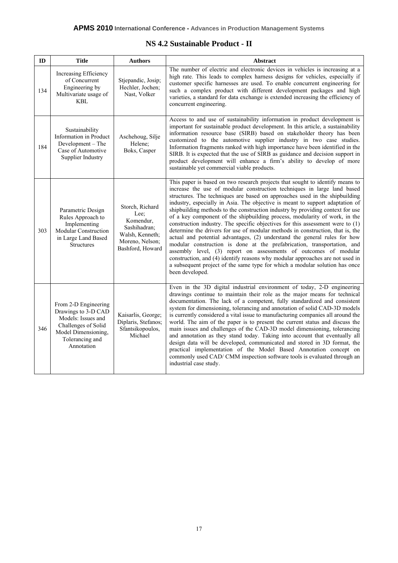#### **NS 4.2 Sustainable Product - II**

| ID  | <b>Title</b>                                                                                                                                     | <b>Authors</b>                                                                                                 | Abstract                                                                                                                                                                                                                                                                                                                                                                                                                                                                                                                                                                                                                                                                                                                                                                                                                                                                                                                                                                                                                                                                      |
|-----|--------------------------------------------------------------------------------------------------------------------------------------------------|----------------------------------------------------------------------------------------------------------------|-------------------------------------------------------------------------------------------------------------------------------------------------------------------------------------------------------------------------------------------------------------------------------------------------------------------------------------------------------------------------------------------------------------------------------------------------------------------------------------------------------------------------------------------------------------------------------------------------------------------------------------------------------------------------------------------------------------------------------------------------------------------------------------------------------------------------------------------------------------------------------------------------------------------------------------------------------------------------------------------------------------------------------------------------------------------------------|
| 134 | Increasing Efficiency<br>of Concurrent<br>Engineering by<br>Multivariate usage of<br><b>KBL</b>                                                  | Stjepandic, Josip;<br>Hechler, Jochen;<br>Nast, Volker                                                         | The number of electric and electronic devices in vehicles is increasing at a<br>high rate. This leads to complex harness designs for vehicles, especially if<br>customer specific harnesses are used. To enable concurrent engineering for<br>such a complex product with different development packages and high<br>varieties, a standard for data exchange is extended increasing the efficiency of<br>concurrent engineering.                                                                                                                                                                                                                                                                                                                                                                                                                                                                                                                                                                                                                                              |
| 184 | Sustainability<br>Information in Product<br>Development - The<br>Case of Automotive<br>Supplier Industry                                         | Aschehoug, Silje<br>Helene;<br>Boks, Casper                                                                    | Access to and use of sustainability information in product development is<br>important for sustainable product development. In this article, a sustainability<br>information resource base (SIRB) based on stakeholder theory has been<br>customized to the automotive supplier industry in two case studies.<br>Information fragments ranked with high importance have been identified in the<br>SIRB. It is expected that the use of SIRB as guidance and decision support in<br>product development will enhance a firm's ability to develop of more<br>sustainable yet commercial viable products.                                                                                                                                                                                                                                                                                                                                                                                                                                                                        |
| 303 | Parametric Design<br>Rules Approach to<br>Implementing<br><b>Modular Construction</b><br>in Large Land Based<br><b>Structures</b>                | Storch, Richard<br>Lee;<br>Komendur,<br>Sashihadran;<br>Walsh, Kenneth;<br>Moreno, Nelson;<br>Bashford, Howard | This paper is based on two research projects that sought to identify means to<br>increase the use of modular construction techniques in large land based<br>structures. The techniques are based on approaches used in the shipbuilding<br>industry, especially in Asia. The objective is meant to support adaptation of<br>shipbuilding methods to the construction industry by providing context for use<br>of a key component of the shipbuilding process, modularity of work, in the<br>construction industry. The specific objectives for this assessment were to $(1)$<br>determine the drivers for use of modular methods in construction, that is, the<br>actual and potential advantages, (2) understand the general rules for how<br>modular construction is done at the prefabrication, transportation, and<br>assembly level, (3) report on assessments of outcomes of modular<br>construction, and (4) identify reasons why modular approaches are not used in<br>a subsequent project of the same type for which a modular solution has once<br>been developed. |
| 346 | From 2-D Engineering<br>Drawings to 3-D CAD<br>Models: Issues and<br>Challenges of Solid<br>Model Dimensioning,<br>Tolerancing and<br>Annotation | Kaisarlis, George;<br>Diplaris, Stefanos;<br>Sfantsikopoulos,<br>Michael                                       | Even in the 3D digital industrial environment of today, 2-D engineering<br>drawings continue to maintain their role as the major means for technical<br>documentation. The lack of a competent, fully standardized and consistent<br>system for dimensioning, tolerancing and annotation of solid CAD-3D models<br>is currently considered a vital issue to manufacturing companies all around the<br>world. The aim of the paper is to present the current status and discuss the<br>main issues and challenges of the CAD-3D model dimensioning, tolerancing<br>and annotation as they stand today. Taking into account that eventually all<br>design data will be developed, communicated and stored in 3D format, the<br>practical implementation of the Model Based Annotation concept on<br>commonly used CAD/ CMM inspection software tools is evaluated through an<br>industrial case study.                                                                                                                                                                          |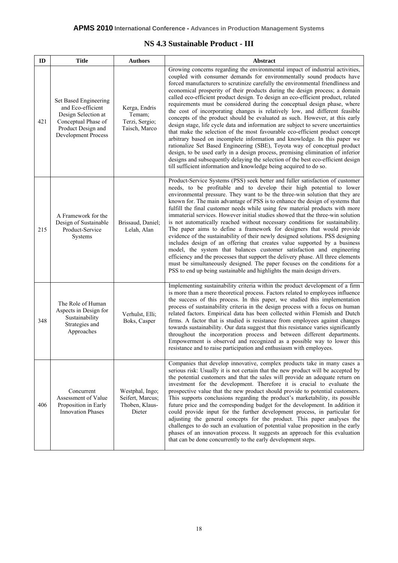#### **NS 4.3 Sustainable Product - III**

| ID  | <b>Title</b>                                                                                                                                 | <b>Authors</b>                                                  | Abstract                                                                                                                                                                                                                                                                                                                                                                                                                                                                                                                                                                                                                                                                                                                                                                                                                                                                                                                                                                                                                                                                                                                                                                                                                            |
|-----|----------------------------------------------------------------------------------------------------------------------------------------------|-----------------------------------------------------------------|-------------------------------------------------------------------------------------------------------------------------------------------------------------------------------------------------------------------------------------------------------------------------------------------------------------------------------------------------------------------------------------------------------------------------------------------------------------------------------------------------------------------------------------------------------------------------------------------------------------------------------------------------------------------------------------------------------------------------------------------------------------------------------------------------------------------------------------------------------------------------------------------------------------------------------------------------------------------------------------------------------------------------------------------------------------------------------------------------------------------------------------------------------------------------------------------------------------------------------------|
| 421 | Set Based Engineering<br>and Eco-efficient<br>Design Selection at<br>Conceptual Phase of<br>Product Design and<br><b>Development Process</b> | Kerga, Endris<br>Temam;<br>Terzi, Sergio;<br>Taisch, Marco      | Growing concerns regarding the environmental impact of industrial activities,<br>coupled with consumer demands for environmentally sound products have<br>forced manufacturers to scrutinize carefully the environmental friendliness and<br>economical prosperity of their products during the design process; a domain<br>called eco-efficient product design. To design an eco-efficient product, related<br>requirements must be considered during the conceptual design phase, where<br>the cost of incorporating changes is relatively low, and different feasible<br>concepts of the product should be evaluated as such. However, at this early<br>design stage, life cycle data and information are subject to severe uncertainties<br>that make the selection of the most favourable eco-efficient product concept<br>arbitrary based on incomplete information and knowledge. In this paper we<br>rationalize Set Based Engineering (SBE), Toyota way of conceptual product<br>design, to be used early in a design process, premising elimination of inferior<br>designs and subsequently delaying the selection of the best eco-efficient design<br>till sufficient information and knowledge being acquired to do so. |
| 215 | A Framework for the<br>Design of Sustainable<br>Product-Service<br>Systems                                                                   | Brissaud, Daniel;<br>Lelah, Alan                                | Product-Service Systems (PSS) seek better and fuller satisfaction of customer<br>needs, to be profitable and to develop their high potential to lower<br>environmental pressure. They want to be the three-win solution that they are<br>known for. The main advantage of PSS is to enhance the design of systems that<br>fulfill the final customer needs while using few material products with more<br>immaterial services. However initial studies showed that the three-win solution<br>is not automatically reached without necessary conditions for sustainability.<br>The paper aims to define a framework for designers that would provide<br>evidence of the sustainability of their newly designed solutions. PSS designing<br>includes design of an offering that creates value supported by a business<br>model, the system that balances customer satisfaction and engineering<br>efficiency and the processes that support the delivery phase. All three elements<br>must be simultaneously designed. The paper focuses on the conditions for a<br>PSS to end up being sustainable and highlights the main design drivers.                                                                                           |
| 348 | The Role of Human<br>Aspects in Design for<br>Sustainability<br>Strategies and<br>Approaches                                                 | Verhulst, Elli;<br>Boks, Casper                                 | Implementing sustainability criteria within the product development of a firm<br>is more than a mere theoretical process. Factors related to employees influence<br>the success of this process. In this paper, we studied this implementation<br>process of sustainability criteria in the design process with a focus on human<br>related factors. Empirical data has been collected within Flemish and Dutch<br>firms. A factor that is studied is resistance from employees against changes<br>towards sustainability. Our data suggest that this resistance varies significantly<br>throughout the incorporation process and between different departments.<br>Empowerment is observed and recognized as a possible way to lower this<br>resistance and to raise participation and enthusiasm with employees.                                                                                                                                                                                                                                                                                                                                                                                                                  |
| 406 | Concurrent<br>Assessment of Value<br>Proposition in Early<br><b>Innovation Phases</b>                                                        | Westphal, Ingo;<br>Seifert, Marcus;<br>Thoben, Klaus-<br>Dieter | Companies that develop innovative, complex products take in many cases a<br>serious risk: Usually it is not certain that the new product will be accepted by<br>the potential customers and that the sales will provide an adequate return on<br>investment for the development. Therefore it is crucial to evaluate the<br>prospective value that the new product should provide to potential customers.<br>This supports conclusions regarding the product's marketability, its possible<br>future price and the corresponding budget for the development. In addition it<br>could provide input for the further development process, in particular for<br>adjusting the general concepts for the product. This paper analyses the<br>challenges to do such an evaluation of potential value proposition in the early<br>phases of an innovation process. It suggests an approach for this evaluation<br>that can be done concurrently to the early development steps.                                                                                                                                                                                                                                                            |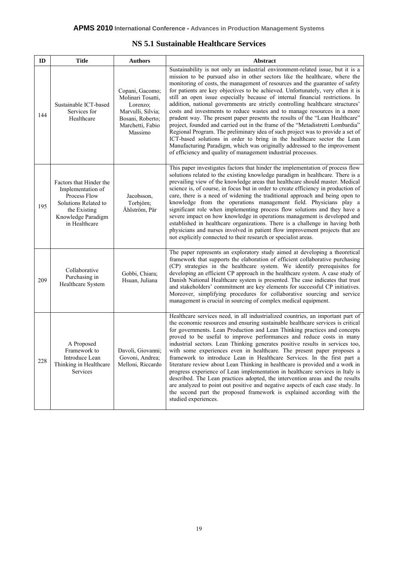#### **NS 5.1 Sustainable Healthcare Services**

| ID  | <b>Title</b>                                                                                                                                | <b>Authors</b>                                                                                                           | Abstract                                                                                                                                                                                                                                                                                                                                                                                                                                                                                                                                                                                                                                                                                                                                                                                                                                                                                                                                                                                                                                                     |
|-----|---------------------------------------------------------------------------------------------------------------------------------------------|--------------------------------------------------------------------------------------------------------------------------|--------------------------------------------------------------------------------------------------------------------------------------------------------------------------------------------------------------------------------------------------------------------------------------------------------------------------------------------------------------------------------------------------------------------------------------------------------------------------------------------------------------------------------------------------------------------------------------------------------------------------------------------------------------------------------------------------------------------------------------------------------------------------------------------------------------------------------------------------------------------------------------------------------------------------------------------------------------------------------------------------------------------------------------------------------------|
| 144 | Sustainable ICT-based<br>Services for<br>Healthcare                                                                                         | Copani, Gacomo;<br>Molinari Tosatti,<br>Lorenzo;<br>Marvulli, Silvia;<br>Bosani, Roberto;<br>Marchetti, Fabio<br>Massimo | Sustainability is not only an industrial environment-related issue, but it is a<br>mission to be pursued also in other sectors like the healthcare, where the<br>monitoring of costs, the management of resources and the guarantee of safety<br>for patients are key objectives to be achieved. Unfortunately, very often it is<br>still an open issue especially because of internal financial restrictions. In<br>addition, national governments are strictly controlling healthcare structures'<br>costs and investments to reduce wastes and to manage resources in a more<br>prudent way. The present paper presents the results of the "Lean Healthcare"<br>project, founded and carried out in the frame of the "Metadistretti Lombardia"<br>Regional Program. The preliminary idea of such project was to provide a set of<br>ICT-based solutions in order to bring in the healthcare sector the Lean<br>Manufacturing Paradigm, which was originally addressed to the improvement<br>of efficiency and quality of management industrial processes. |
| 195 | Factors that Hinder the<br>Implementation of<br>Process Flow<br>Solutions Related to<br>the Existing<br>Knowledge Paradigm<br>in Healthcare | Jacobsson,<br>Torbjörn;<br>Åhlström, Pär                                                                                 | This paper investigates factors that hinder the implementation of process flow<br>solutions related to the existing knowledge paradigm in healthcare. There is a<br>prevailing view of the knowledge areas that healthcare should master. Medical<br>science is, of course, in focus but in order to create efficiency in production of<br>care, there is a need of widening the traditional approach and being open to<br>knowledge from the operations management field. Physicians play a<br>significant role when implementing process flow solutions and they have a<br>severe impact on how knowledge in operations management is developed and<br>established in healthcare organizations. There is a challenge in having both<br>physicians and nurses involved in patient flow improvement projects that are<br>not explicitly connected to their research or specialist areas.                                                                                                                                                                     |
| 209 | Collaborative<br>Purchasing in<br>Healthcare System                                                                                         | Gobbi, Chiara;<br>Hsuan, Juliana                                                                                         | The paper represents an exploratory study aimed at developing a theoretical<br>framework that supports the elaboration of efficient collaborative purchasing<br>(CP) strategies in the healthcare system. We identify prerequisites for<br>developing an efficient CP approach in the healthcare system. A case study of<br>Danish National Healthcare system is presented. The case indicates that trust<br>and stakeholders' commitment are key elements for successful CP initiatives.<br>Moreover, simplifying procedures for collaborative sourcing and service<br>management is crucial in sourcing of complex medical equipment.                                                                                                                                                                                                                                                                                                                                                                                                                      |
| 228 | A Proposed<br>Framework to<br>Introduce Lean<br>Thinking in Healthcare<br>Services                                                          | Davoli, Giovanni;<br>Govoni, Andrea;<br>Melloni, Riccardo                                                                | Healthcare services need, in all industrialized countries, an important part of<br>the economic resources and ensuring sustainable healthcare services is critical<br>for governments. Lean Production and Lean Thinking practices and concepts<br>proved to be useful to improve performances and reduce costs in many<br>industrial sectors. Lean Thinking generates positive results in services too,<br>with some experiences even in healthcare. The present paper proposes a<br>framework to introduce Lean in Healthcare Services. In the first part a<br>literature review about Lean Thinking in healthcare is provided and a work in<br>progress experience of Lean implementation in healthcare services in Italy is<br>described. The Lean practices adopted, the intervention areas and the results<br>are analyzed to point out positive and negative aspects of each case study. In<br>the second part the proposed framework is explained according with the<br>studied experiences.                                                         |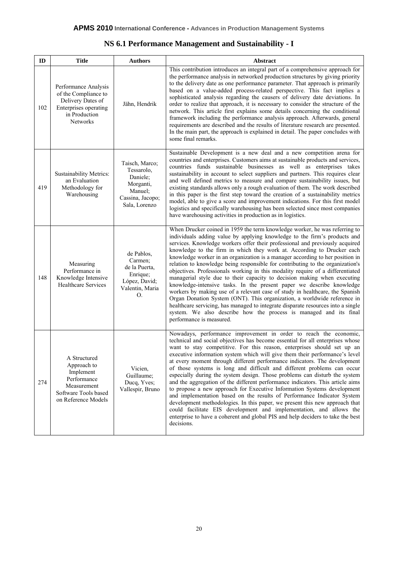## **NS 6.1 Performance Management and Sustainability - I**

| ID  | <b>Title</b>                                                                                                                   | <b>Authors</b>                                                                                        | Abstract                                                                                                                                                                                                                                                                                                                                                                                                                                                                                                                                                                                                                                                                                                                                                                                                                                                                                                                                                                                                                                                                     |
|-----|--------------------------------------------------------------------------------------------------------------------------------|-------------------------------------------------------------------------------------------------------|------------------------------------------------------------------------------------------------------------------------------------------------------------------------------------------------------------------------------------------------------------------------------------------------------------------------------------------------------------------------------------------------------------------------------------------------------------------------------------------------------------------------------------------------------------------------------------------------------------------------------------------------------------------------------------------------------------------------------------------------------------------------------------------------------------------------------------------------------------------------------------------------------------------------------------------------------------------------------------------------------------------------------------------------------------------------------|
| 102 | Performance Analysis<br>of the Compliance to<br>Delivery Dates of<br>Enterprises operating<br>in Production<br><b>Networks</b> | Jähn, Hendrik                                                                                         | This contribution introduces an integral part of a comprehensive approach for<br>the performance analysis in networked production structures by giving priority<br>to the delivery date as one performance parameter. That approach is primarily<br>based on a value-added process-related perspective. This fact implies a<br>sophisticated analysis regarding the causers of delivery date deviations. In<br>order to realize that approach, it is necessary to consider the structure of the<br>network. This article first explains some details concerning the conditional<br>framework including the performance analysis approach. Afterwards, general<br>requirements are described and the results of literature research are presented.<br>In the main part, the approach is explained in detail. The paper concludes with<br>some final remarks.                                                                                                                                                                                                                  |
| 419 | <b>Sustainability Metrics:</b><br>an Evaluation<br>Methodology for<br>Warehousing                                              | Taisch, Marco;<br>Tessarolo,<br>Daniele;<br>Morganti,<br>Manuel;<br>Cassina, Jacopo;<br>Sala, Lorenzo | Sustainable Development is a new deal and a new competition arena for<br>countries and enterprises. Customers aims at sustainable products and services,<br>countries funds sustainable businesses as well as enterprises takes<br>sustainability in account to select suppliers and partners. This requires clear<br>and well defined metrics to measure and compare sustainability issues, but<br>existing standards allows only a rough evaluation of them. The work described<br>in this paper is the first step toward the creation of a sustainability metrics<br>model, able to give a score and improvement indications. For this first model<br>logistics and specifically warehousing has been selected since most companies<br>have warehousing activities in production as in logistics.                                                                                                                                                                                                                                                                         |
| 148 | Measuring<br>Performance in<br>Knowledge Intensive<br><b>Healthcare Services</b>                                               | de Pablos,<br>Carmen;<br>de la Puerta,<br>Enrique;<br>López, David;<br>Valentin, Maria<br>O.          | When Drucker coined in 1959 the term knowledge worker, he was referring to<br>individuals adding value by applying knowledge to the firm's products and<br>services. Knowledge workers offer their professional and previously acquired<br>knowledge to the firm in which they work at. According to Drucker each<br>knowledge worker in an organization is a manager according to her position in<br>relation to knowledge being responsible for contributing to the organization's<br>objectives. Professionals working in this modality require of a differentiated<br>managerial style due to their capacity to decision making when executing<br>knowledge-intensive tasks. In the present paper we describe knowledge<br>workers by making use of a relevant case of study in healthcare, the Spanish<br>Organ Donation System (ONT). This organization, a worldwide reference in<br>healthcare servicing, has managed to integrate disparate resources into a single<br>system. We also describe how the process is managed and its final<br>performance is measured. |
| 274 | A Structured<br>Approach to<br>Implement<br>Performance<br>Measurement<br>Software Tools based<br>on Reference Models          | Vicien,<br>Guillaume;<br>Ducq, Yves;<br>Vallespir, Bruno                                              | Nowadays, performance improvement in order to reach the economic,<br>technical and social objectives has become essential for all enterprises whose<br>want to stay competitive. For this reason, enterprises should set up an<br>executive information system which will give them their performance's level<br>at every moment through different performance indicators. The development<br>of those systems is long and difficult and different problems can occur<br>especially during the system design. Those problems can disturb the system<br>and the aggregation of the different performance indicators. This article aims<br>to propose a new approach for Executive Information Systems development<br>and implementation based on the results of Performance Indicator System<br>development methodologies. In this paper, we present this new approach that<br>could facilitate EIS development and implementation, and allows the<br>enterprise to have a coherent and global PIS and help deciders to take the best<br>decisions.                           |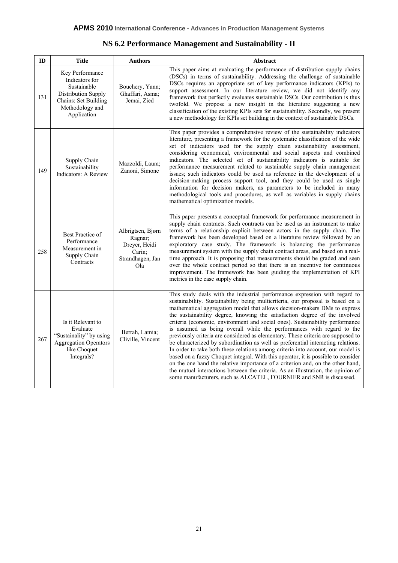|  |  | NS 6.2 Performance Management and Sustainability - II |  |  |  |
|--|--|-------------------------------------------------------|--|--|--|
|  |  |                                                       |  |  |  |

| ID  | <b>Title</b>                                                                                                                      | <b>Authors</b>                                                                     | Abstract                                                                                                                                                                                                                                                                                                                                                                                                                                                                                                                                                                                                                                                                                                                                                                                                                                                                                                                                                                                                                                                                      |
|-----|-----------------------------------------------------------------------------------------------------------------------------------|------------------------------------------------------------------------------------|-------------------------------------------------------------------------------------------------------------------------------------------------------------------------------------------------------------------------------------------------------------------------------------------------------------------------------------------------------------------------------------------------------------------------------------------------------------------------------------------------------------------------------------------------------------------------------------------------------------------------------------------------------------------------------------------------------------------------------------------------------------------------------------------------------------------------------------------------------------------------------------------------------------------------------------------------------------------------------------------------------------------------------------------------------------------------------|
| 131 | Key Performance<br>Indicators for<br>Sustainable<br>Distribution Supply<br>Chains: Set Building<br>Methodology and<br>Application | Bouchery, Yann;<br>Ghaffari, Asma;<br>Jemai, Zied                                  | This paper aims at evaluating the performance of distribution supply chains<br>(DSCs) in terms of sustainability. Addressing the challenge of sustainable<br>DSCs requires an appropriate set of key performance indicators (KPIs) to<br>support assessment. In our literature review, we did not identify any<br>framework that perfectly evaluates sustainable DSCs. Our contribution is thus<br>twofold. We propose a new insight in the literature suggesting a new<br>classification of the existing KPIs sets for sustainability. Secondly, we present<br>a new methodology for KPIs set building in the context of sustainable DSCs.                                                                                                                                                                                                                                                                                                                                                                                                                                   |
| 149 | Supply Chain<br>Sustainability<br>Indicators: A Review                                                                            | Mazzoldi, Laura;<br>Zanoni, Simone                                                 | This paper provides a comprehensive review of the sustainability indicators<br>literature, presenting a framework for the systematic classification of the wide<br>set of indicators used for the supply chain sustainability assessment,<br>considering economical, environmental and social aspects and combined<br>indicators. The selected set of sustainability indicators is suitable for<br>performance measurement related to sustainable supply chain management<br>issues; such indicators could be used as reference in the development of a<br>decision-making process support tool, and they could be used as single<br>information for decision makers, as parameters to be included in many<br>methodological tools and procedures, as well as variables in supply chains<br>mathematical optimization models.                                                                                                                                                                                                                                                 |
| 258 | Best Practice of<br>Performance<br>Measurement in<br>Supply Chain<br>Contracts                                                    | Albrigtsen, Bjørn<br>Ragnar;<br>Dreyer, Heidi<br>Carin;<br>Strandhagen, Jan<br>O1a | This paper presents a conceptual framework for performance measurement in<br>supply chain contracts. Such contracts can be used as an instrument to make<br>terms of a relationship explicit between actors in the supply chain. The<br>framework has been developed based on a literature review followed by an<br>exploratory case study. The framework is balancing the performance<br>measurement system with the supply chain contract areas, and based on a real-<br>time approach. It is proposing that measurements should be graded and seen<br>over the whole contract period so that there is an incentive for continuous<br>improvement. The framework has been guiding the implementation of KPI<br>metrics in the case supply chain.                                                                                                                                                                                                                                                                                                                            |
| 267 | Is it Relevant to<br>Evaluate<br>"Sustainality" by using<br><b>Aggregation Operators</b><br>like Choquet<br>Integrals?            | Berrah, Lamia;<br>Cliville, Vincent                                                | This study deals with the industrial performance expression with regard to<br>sustainability. Sustainability being multicriteria, our proposal is based on a<br>mathematical aggregation model that allows decision-makers DMs to express<br>the sustainability degree, knowing the satisfaction degree of the involved<br>criteria (economic, environment and social ones). Sustainability performance<br>is assumed as being overall while the performances with regard to the<br>previously criteria are considered as elementary. These criteria are supposed to<br>be characterized by subordination as well as preferential interacting relations.<br>In order to take both these relations among criteria into account, our model is<br>based on a fuzzy Choquet integral. With this operator, it is possible to consider<br>on the one hand the relative importance of a criterion and, on the other hand,<br>the mutual interactions between the criteria. As an illustration, the opinion of<br>some manufacturers, such as ALCATEL, FOURNIER and SNR is discussed. |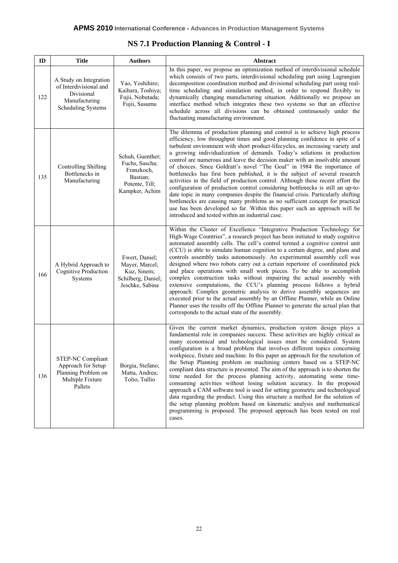| ID  | <b>Title</b>                                                                                                 | <b>Authors</b>                                                                                   | Abstract                                                                                                                                                                                                                                                                                                                                                                                                                                                                                                                                                                                                                                                                                                                                                                                                                                                                                                                                                                                                                                  |
|-----|--------------------------------------------------------------------------------------------------------------|--------------------------------------------------------------------------------------------------|-------------------------------------------------------------------------------------------------------------------------------------------------------------------------------------------------------------------------------------------------------------------------------------------------------------------------------------------------------------------------------------------------------------------------------------------------------------------------------------------------------------------------------------------------------------------------------------------------------------------------------------------------------------------------------------------------------------------------------------------------------------------------------------------------------------------------------------------------------------------------------------------------------------------------------------------------------------------------------------------------------------------------------------------|
| 122 | A Study on Integration<br>of Interdivisional and<br>Divisional<br>Manufacturing<br><b>Scheduling Systems</b> | Yao, Yoshihiro;<br>Kaihara, Toshiya;<br>Fujii, Nobutada;<br>Fujii, Susumu                        | In this paper, we propose an optimization method of interdivisional schedule<br>which consists of two parts, interdivisional scheduling part using Lagrangian<br>decomposition coordination method and divisional scheduling part using real-<br>time scheduling and simulation method, in order to respond flexibly to<br>dynamically changing manufacturing situation. Additionally we propose an<br>interface method which integrates these two systems so that an effective<br>schedule across all divisions can be obtained continuously under the<br>fluctuating manufacturing environment.                                                                                                                                                                                                                                                                                                                                                                                                                                         |
| 135 | Controlling Shifting<br>Bottlenecks in<br>Manufacturing                                                      | Schuh, Guenther;<br>Fuchs, Sascha;<br>Franzkoch,<br>Bastian:<br>Potente, Till;<br>Kampker, Achim | The dilemma of production planning and control is to achieve high process<br>efficiency, low throughput times and good planning confidence in spite of a<br>turbulent environment with short product-lifecycles, an increasing variety and<br>a growing individualization of demands. Today's solutions in production<br>control are numerous and leave the decision maker with an insolvable amount<br>of choices. Since Goldratt's novel "The Goal" in 1984 the importance of<br>bottlenecks has first been published, it is the subject of several research<br>activities in the field of production control. Although these recent effort the<br>configuration of production control considering bottlenecks is still an up-to-<br>date topic in many companies despite the financial crisis. Particularly shifting<br>bottlenecks are causing many problems as no sufficient concept for practical<br>use has been developed so far. Within this paper such an approach will be<br>introduced and tested within an industrial case.  |
| 166 | A Hybrid Approach to<br><b>Cognitive Production</b><br>Systems                                               | Ewert, Daniel;<br>Mayer, Marcel;<br>Kuz, Sinem;<br>Schilberg, Daniel;<br>Jeschke, Sabina         | Within the Cluster of Excellence "Integrative Production Technology for<br>High-Wage Countries", a research project has been initiated to study cognitive<br>automated assembly cells. The cell's control termed a cognitive control unit<br>(CCU) is able to simulate human cognition to a certain degree, and plans and<br>controls assembly tasks autonomously. An experimental assembly cell was<br>designed where two robots carry out a certain repertoire of coordinated pick<br>and place operations with small work pieces. To be able to accomplish<br>complex construction tasks without impairing the actual assembly with<br>extensive computations, the CCU's planning process follows a hybrid<br>approach: Complex geometric analysis to derive assembly sequences are<br>executed prior to the actual assembly by an Offline Planner, while an Online<br>Planner uses the results off the Offline Planner to generate the actual plan that<br>corresponds to the actual state of the assembly.                           |
| 136 | <b>STEP-NC Compliant</b><br>Approach for Setup<br>Planning Problem on<br>Multiple Fixture<br>Pallets         | Borgia, Stefano;<br>Matta, Andrea;<br>Tolio, Tullio                                              | Given the current market dynamics, production system design plays a<br>fundamental role in companies success. These activities are highly critical as<br>many economical and technological issues must be considered. System<br>configuration is a broad problem that involves different topics concerning<br>workpiece, fixture and machine. In this paper an approach for the resolution of<br>the Setup Planning problem on machining centers based on a STEP-NC<br>compliant data structure is presented. The aim of the approach is to shorten the<br>time needed for the process planning activity, automating some time-<br>consuming activities without losing solution accuracy. In the proposed<br>approach a CAM software tool is used for setting geometric and technological<br>data regarding the product. Using this structure a method for the solution of<br>the setup planning problem based on kinematic analysis and mathematical<br>programming is proposed. The proposed approach has been tested on real<br>cases. |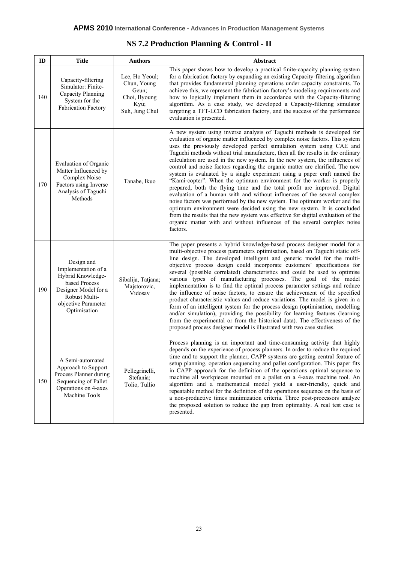| ID  | <b>Title</b>                                                                                                                                            | <b>Authors</b>                                                                   | Abstract                                                                                                                                                                                                                                                                                                                                                                                                                                                                                                                                                                                                                                                                                                                                                                                                                                                                                                                                                                                                                                                                                                                               |
|-----|---------------------------------------------------------------------------------------------------------------------------------------------------------|----------------------------------------------------------------------------------|----------------------------------------------------------------------------------------------------------------------------------------------------------------------------------------------------------------------------------------------------------------------------------------------------------------------------------------------------------------------------------------------------------------------------------------------------------------------------------------------------------------------------------------------------------------------------------------------------------------------------------------------------------------------------------------------------------------------------------------------------------------------------------------------------------------------------------------------------------------------------------------------------------------------------------------------------------------------------------------------------------------------------------------------------------------------------------------------------------------------------------------|
| 140 | Capacity-filtering<br>Simulator: Finite-<br>Capacity Planning<br>System for the<br><b>Fabrication Factory</b>                                           | Lee, Ho Yeoul;<br>Chun, Young<br>Geun;<br>Choi, Byoung<br>Kyu;<br>Suh, Jung Chul | This paper shows how to develop a practical finite-capacity planning system<br>for a fabrication factory by expanding an existing Capacity-filtering algorithm<br>that provides fundamental planning operations under capacity constraints. To<br>achieve this, we represent the fabrication factory's modeling requirements and<br>how to logically implement them in accordance with the Capacity-filtering<br>algorithm. As a case study, we developed a Capacity-filtering simulator<br>targeting a TFT-LCD fabrication factory, and the success of the performance<br>evaluation is presented.                                                                                                                                                                                                                                                                                                                                                                                                                                                                                                                                    |
| 170 | Evaluation of Organic<br>Matter Influenced by<br>Complex Noise<br>Factors using Inverse<br>Analysis of Taguchi<br>Methods                               | Tanabe, Ikuo                                                                     | A new system using inverse analysis of Taguchi methods is developed for<br>evaluation of organic matter influenced by complex noise factors. This system<br>uses the previously developed perfect simulation system using CAE and<br>Taguchi methods without trial manufacture, then all the results in the ordinary<br>calculation are used in the new system. In the new system, the influences of<br>control and noise factors regarding the organic matter are clarified. The new<br>system is evaluated by a single experiment using a paper craft named the<br>"Kami-copter". When the optimum environment for the worker is properly<br>prepared, both the flying time and the total profit are improved. Digital<br>evaluation of a human with and without influences of the several complex<br>noise factors was performed by the new system. The optimum worker and the<br>optimum environment were decided using the new system. It is concluded<br>from the results that the new system was effective for digital evaluation of the<br>organic matter with and without influences of the several complex noise<br>factors. |
| 190 | Design and<br>Implementation of a<br>Hybrid Knowledge-<br>based Process<br>Designer Model for a<br>Robust Multi-<br>objective Parameter<br>Optimisation | Sibalija, Tatjana;<br>Majstorovic,<br>Vidosav                                    | The paper presents a hybrid knowledge-based process designer model for a<br>multi-objective process parameters optimisation, based on Taguchi static off-<br>line design. The developed intelligent and generic model for the multi-<br>objective process design could incorporate customers' specifications for<br>several (possible correlated) characteristics and could be used to optimise<br>various types of manufacturing processes. The goal of the model<br>implementation is to find the optimal process parameter settings and reduce<br>the influence of noise factors, to ensure the achievement of the specified<br>product characteristic values and reduce variations. The model is given in a<br>form of an intelligent system for the process design (optimisation, modelling<br>and/or simulation), providing the possibility for learning features (learning<br>from the experimental or from the historical data). The effectiveness of the<br>proposed process designer model is illustrated with two case studies.                                                                                             |
| 150 | A Semi-automated<br>Approach to Support<br>Process Planner during<br>Sequencing of Pallet<br>Operations on 4-axes<br>Machine Tools                      | Pellegrinelli,<br>Stefania;<br>Tolio, Tullio                                     | Process planning is an important and time-consuming activity that highly<br>depends on the experience of process planners. In order to reduce the required<br>time and to support the planner, CAPP systems are getting central feature of<br>setup planning, operation sequencing and pallet configuration. This paper fits<br>in CAPP approach for the definition of the operations optimal sequence to<br>machine all workpieces mounted on a pallet on a 4-axes machine tool. An<br>algorithm and a mathematical model yield a user-friendly, quick and<br>repeatable method for the definition of the operations sequence on the basis of<br>a non-productive times minimization criteria. Three post-processors analyze<br>the proposed solution to reduce the gap from optimality. A real test case is<br>presented.                                                                                                                                                                                                                                                                                                            |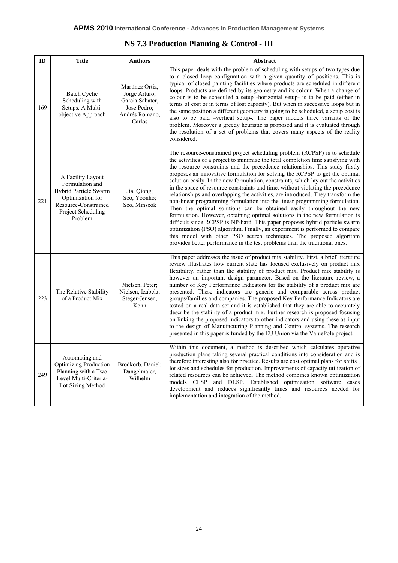| <b>NS 7.3 Production Planning &amp; Control - III</b> |
|-------------------------------------------------------|
|-------------------------------------------------------|

| ID  | <b>Title</b>                                                                                                                               | <b>Authors</b>                                                                                 | Abstract                                                                                                                                                                                                                                                                                                                                                                                                                                                                                                                                                                                                                                                                                                                                                                                                                                                                                                                                                                                                                                                                                                                                                |
|-----|--------------------------------------------------------------------------------------------------------------------------------------------|------------------------------------------------------------------------------------------------|---------------------------------------------------------------------------------------------------------------------------------------------------------------------------------------------------------------------------------------------------------------------------------------------------------------------------------------------------------------------------------------------------------------------------------------------------------------------------------------------------------------------------------------------------------------------------------------------------------------------------------------------------------------------------------------------------------------------------------------------------------------------------------------------------------------------------------------------------------------------------------------------------------------------------------------------------------------------------------------------------------------------------------------------------------------------------------------------------------------------------------------------------------|
| 169 | <b>Batch Cyclic</b><br>Scheduling with<br>Setups. A Multi-<br>objective Approach                                                           | Martínez Ortiz,<br>Jorge Arturo;<br>Garcia Sabater,<br>Jose Pedro;<br>Andrés Romano,<br>Carlos | This paper deals with the problem of scheduling with setups of two types due<br>to a closed loop configuration with a given quantity of positions. This is<br>typical of closed painting facilities where products are scheduled in different<br>loops. Products are defined by its geometry and its colour. When a change of<br>colour is to be scheduled a setup -horizontal setup- is to be paid (either in<br>terms of cost or in terms of lost capacity). But when in successive loops but in<br>the same position a different geometry is going to be scheduled, a setup cost is<br>also to be paid -vertical setup-. The paper models three variants of the<br>problem. Moreover a greedy heuristic is proposed and it is evaluated through<br>the resolution of a set of problems that covers many aspects of the reality<br>considered.                                                                                                                                                                                                                                                                                                        |
| 221 | A Facility Layout<br>Formulation and<br>Hybrid Particle Swarm<br>Optimization for<br>Resource-Constrained<br>Project Scheduling<br>Problem | Jia, Qiong;<br>Seo, Yoonho;<br>Seo, Minseok                                                    | The resource-constrained project scheduling problem (RCPSP) is to schedule<br>the activities of a project to minimize the total completion time satisfying with<br>the resource constraints and the precedence relationships. This study firstly<br>proposes an innovative formulation for solving the RCPSP to get the optimal<br>solution easily. In the new formulation, constraints, which lay out the activities<br>in the space of resource constraints and time, without violating the precedence<br>relationships and overlapping the activities, are introduced. They transform the<br>non-linear programming formulation into the linear programming formulation.<br>Then the optimal solutions can be obtained easily throughout the new<br>formulation. However, obtaining optimal solutions in the new formulation is<br>difficult since RCPSP is NP-hard. This paper proposes hybrid particle swarm<br>optimization (PSO) algorithm. Finally, an experiment is performed to compare<br>this model with other PSO search techniques. The proposed algorithm<br>provides better performance in the test problems than the traditional ones. |
| 223 | The Relative Stability<br>of a Product Mix                                                                                                 | Nielsen, Peter;<br>Nielsen, Izabela;<br>Steger-Jensen,<br>Kenn                                 | This paper addresses the issue of product mix stability. First, a brief literature<br>review illustrates how current state has focused exclusively on product mix<br>flexibility, rather than the stability of product mix. Product mix stability is<br>however an important design parameter. Based on the literature review, a<br>number of Key Performance Indicators for the stability of a product mix are<br>presented. These indicators are generic and comparable across product<br>groups/families and companies. The proposed Key Performance Indicators are<br>tested on a real data set and it is established that they are able to accurately<br>describe the stability of a product mix. Further research is proposed focusing<br>on linking the proposed indicators to other indicators and using these as input<br>to the design of Manufacturing Planning and Control systems. The research<br>presented in this paper is funded by the EU Union via the ValuePole project.                                                                                                                                                            |
| 249 | Automating and<br><b>Optimizing Production</b><br>Planning with a Two<br>Level Multi-Criteria-<br>Lot Sizing Method                        | Brodkorb, Daniel;<br>Dangelmaier,<br>Wilhelm                                                   | Within this document, a method is described which calculates operative<br>production plans taking several practical conditions into consideration and is<br>therefore interesting also for practice. Results are cost optimal plans for shifts,<br>lot sizes and schedules for production. Improvements of capacity utilization of<br>related resources can be achieved. The method combines known optimization<br>models CLSP and DLSP. Established optimization software eases<br>development and reduces significantly times and resources needed for<br>implementation and integration of the method.                                                                                                                                                                                                                                                                                                                                                                                                                                                                                                                                               |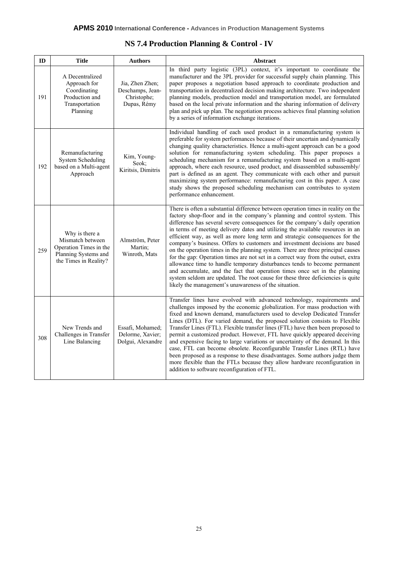| ID  | <b>Title</b>                                                                                                  | <b>Authors</b>                                                    | <b>Abstract</b>                                                                                                                                                                                                                                                                                                                                                                                                                                                                                                                                                                                                                                                                                                                                                                                                                                                                                                                                                             |
|-----|---------------------------------------------------------------------------------------------------------------|-------------------------------------------------------------------|-----------------------------------------------------------------------------------------------------------------------------------------------------------------------------------------------------------------------------------------------------------------------------------------------------------------------------------------------------------------------------------------------------------------------------------------------------------------------------------------------------------------------------------------------------------------------------------------------------------------------------------------------------------------------------------------------------------------------------------------------------------------------------------------------------------------------------------------------------------------------------------------------------------------------------------------------------------------------------|
| 191 | A Decentralized<br>Approach for<br>Coordinating<br>Production and<br>Transportation<br>Planning               | Jia, Zhen Zhen;<br>Deschamps, Jean-<br>Christophe;<br>Dupas, Rémy | In third party logistic (3PL) context, it's important to coordinate the<br>manufacturer and the 3PL provider for successful supply chain planning. This<br>paper proposes a negotiation based approach to coordinate production and<br>transportation in decentralized decision making architecture. Two independent<br>planning models, production model and transportation model, are formulated<br>based on the local private information and the sharing information of delivery<br>plan and pick up plan. The negotiation process achieves final planning solution<br>by a series of information exchange iterations.                                                                                                                                                                                                                                                                                                                                                  |
| 192 | Remanufacturing<br><b>System Scheduling</b><br>based on a Multi-agent<br>Approach                             | Kim, Young-<br>Seok;<br>Kiritsis, Dimitris                        | Individual handling of each used product in a remanufacturing system is<br>preferable for system performances because of their uncertain and dynamically<br>changing quality characteristics. Hence a multi-agent approach can be a good<br>solution for remanufacturing system scheduling. This paper proposes a<br>scheduling mechanism for a remanufacturing system based on a multi-agent<br>approach, where each resource, used product, and disassembled subassembly/<br>part is defined as an agent. They communicate with each other and pursuit<br>maximizing system performance: remanufacturing cost in this paper. A case<br>study shows the proposed scheduling mechanism can contributes to system<br>performance enhancement.                                                                                                                                                                                                                                |
| 259 | Why is there a<br>Mismatch between<br>Operation Times in the<br>Planning Systems and<br>the Times in Reality? | Almström, Peter<br>Martin;<br>Winroth, Mats                       | There is often a substantial difference between operation times in reality on the<br>factory shop-floor and in the company's planning and control system. This<br>difference has several severe consequences for the company's daily operation<br>in terms of meeting delivery dates and utilizing the available resources in an<br>efficient way, as well as more long term and strategic consequences for the<br>company's business. Offers to customers and investment decisions are based<br>on the operation times in the planning system. There are three principal causes<br>for the gap: Operation times are not set in a correct way from the outset, extra<br>allowance time to handle temporary disturbances tends to become permanent<br>and accumulate, and the fact that operation times once set in the planning<br>system seldom are updated. The root cause for these three deficiencies is quite<br>likely the management's unawareness of the situation. |
| 308 | New Trends and<br>Challenges in Transfer<br>Line Balancing                                                    | Essafi, Mohamed;<br>Delorme, Xavier;<br>Dolgui, Alexandre         | Transfer lines have evolved with advanced technology, requirements and<br>challenges imposed by the economic globalization. For mass production with<br>fixed and known demand, manufacturers used to develop Dedicated Transfer<br>Lines (DTL). For varied demand, the proposed solution consists to Flexible<br>Transfer Lines (FTL). Flexible transfer lines (FTL) have then been proposed to<br>permit a customized product. However, FTL have quickly appeared deceiving<br>and expensive facing to large variations or uncertainty of the demand. In this<br>case, FTL can become obsolete. Reconfigurable Transfer Lines (RTL) have<br>been proposed as a response to these disadvantages. Some authors judge them<br>more flexible than the FTLs because they allow hardware reconfiguration in<br>addition to software reconfiguration of FTL.                                                                                                                     |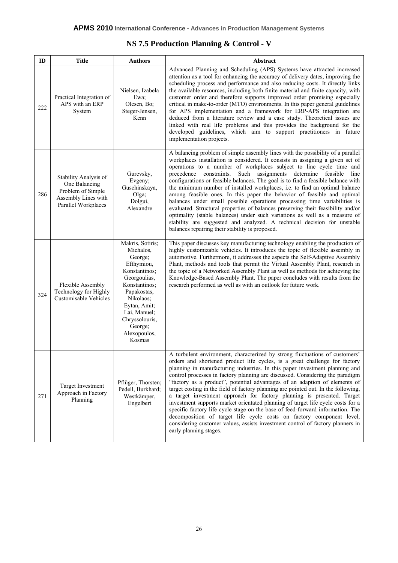| ID  | <b>Title</b>                                                                                              | <b>Authors</b>                                                                                                                                                                                                              | Abstract                                                                                                                                                                                                                                                                                                                                                                                                                                                                                                                                                                                                                                                                                                                                                                                                                                                                                                                                      |
|-----|-----------------------------------------------------------------------------------------------------------|-----------------------------------------------------------------------------------------------------------------------------------------------------------------------------------------------------------------------------|-----------------------------------------------------------------------------------------------------------------------------------------------------------------------------------------------------------------------------------------------------------------------------------------------------------------------------------------------------------------------------------------------------------------------------------------------------------------------------------------------------------------------------------------------------------------------------------------------------------------------------------------------------------------------------------------------------------------------------------------------------------------------------------------------------------------------------------------------------------------------------------------------------------------------------------------------|
| 222 | Practical Integration of<br>APS with an ERP<br>System                                                     | Nielsen, Izabela<br>Ewa:<br>Olesen, Bo;<br>Steger-Jensen,<br>Kenn                                                                                                                                                           | Advanced Planning and Scheduling (APS) Systems have attracted increased<br>attention as a tool for enhancing the accuracy of delivery dates, improving the<br>scheduling process and performance and also reducing costs. It directly links<br>the available resources, including both finite material and finite capacity, with<br>customer order and therefore supports improved order promising especially<br>critical in make-to-order (MTO) environments. In this paper general guidelines<br>for APS implementation and a framework for ERP-APS integration are<br>deduced from a literature review and a case study. Theoretical issues are<br>linked with real life problems and this provides the background for the<br>developed guidelines, which aim to support practitioners in future<br>implementation projects.                                                                                                               |
| 286 | Stability Analysis of<br>One Balancing<br>Problem of Simple<br>Assembly Lines with<br>Parallel Workplaces | Gurevsky,<br>Evgeny;<br>Guschinskaya,<br>Olga;<br>Dolgui,<br>Alexandre                                                                                                                                                      | A balancing problem of simple assembly lines with the possibility of a parallel<br>workplaces installation is considered. It consists in assigning a given set of<br>operations to a number of workplaces subject to line cycle time and<br>Such assignments determine feasible<br>precedence constraints.<br>line<br>configurations or feasible balances. The goal is to find a feasible balance with<br>the minimum number of installed workplaces, i.e. to find an optimal balance<br>among feasible ones. In this paper the behavior of feasible and optimal<br>balances under small possible operations processing time variabilities is<br>evaluated. Structural properties of balances preserving their feasibility and/or<br>optimality (stable balances) under such variations as well as a measure of<br>stability are suggested and analyzed. A technical decision for unstable<br>balances repairing their stability is proposed. |
| 324 | <b>Flexible Assembly</b><br>Technology for Highly<br>Customisable Vehicles                                | Makris, Sotiris;<br>Michalos,<br>George;<br>Efthymiou,<br>Konstantinos;<br>Georgoulias,<br>Konstantinos;<br>Papakostas,<br>Nikolaos;<br>Eytan, Amit;<br>Lai, Manuel;<br>Chryssolouris,<br>George;<br>Alexopoulos,<br>Kosmas | This paper discusses key manufacturing technology enabling the production of<br>highly customizable vehicles. It introduces the topic of flexible assembly in<br>automotive. Furthermore, it addresses the aspects the Self-Adaptive Assembly<br>Plant, methods and tools that permit the Virtual Assembly Plant, research in<br>the topic of a Networked Assembly Plant as well as methods for achieving the<br>Knowledge-Based Assembly Plant. The paper concludes with results from the<br>research performed as well as with an outlook for future work.                                                                                                                                                                                                                                                                                                                                                                                  |
| 271 | <b>Target Investment</b><br>Approach in Factory<br>Planning                                               | Pflüger, Thorsten;<br>Pedell, Burkhard;<br>Westkämper,<br>Engelbert                                                                                                                                                         | A turbulent environment, characterized by strong fluctuations of customers'<br>orders and shortened product life cycles, is a great challenge for factory<br>planning in manufacturing industries. In this paper investment planning and<br>control processes in factory planning are discussed. Considering the paradigm<br>"factory as a product", potential advantages of an adaption of elements of<br>target costing in the field of factory planning are pointed out. In the following,<br>a target investment approach for factory planning is presented. Target<br>investment supports market orientated planning of target life cycle costs for a<br>specific factory life cycle stage on the base of feed-forward information. The<br>decomposition of target life cycle costs on factory component level,<br>considering customer values, assists investment control of factory planners in<br>early planning stages.              |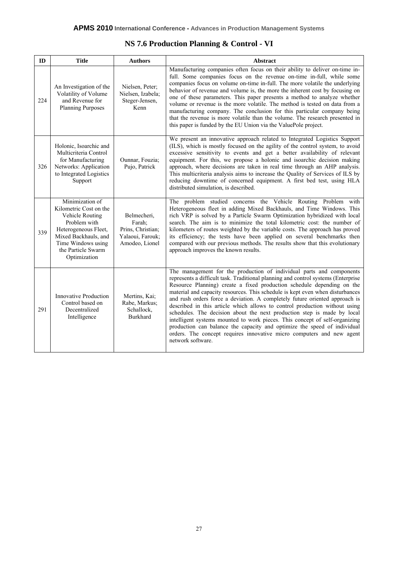| ID  | <b>Title</b>                                                                                                                                                                             | <b>Authors</b>                                                                   | <b>Abstract</b>                                                                                                                                                                                                                                                                                                                                                                                                                                                                                                                                                                                                                                                                                                                                                                                                       |
|-----|------------------------------------------------------------------------------------------------------------------------------------------------------------------------------------------|----------------------------------------------------------------------------------|-----------------------------------------------------------------------------------------------------------------------------------------------------------------------------------------------------------------------------------------------------------------------------------------------------------------------------------------------------------------------------------------------------------------------------------------------------------------------------------------------------------------------------------------------------------------------------------------------------------------------------------------------------------------------------------------------------------------------------------------------------------------------------------------------------------------------|
| 224 | An Investigation of the<br>Volatility of Volume<br>and Revenue for<br><b>Planning Purposes</b>                                                                                           | Nielsen, Peter;<br>Nielsen, Izabela;<br>Steger-Jensen,<br>Kenn                   | Manufacturing companies often focus on their ability to deliver on-time in-<br>full. Some companies focus on the revenue on-time in-full, while some<br>companies focus on volume on-time in-full. The more volatile the underlying<br>behavior of revenue and volume is, the more the inherent cost by focusing on<br>one of these parameters. This paper presents a method to analyze whether<br>volume or revenue is the more volatile. The method is tested on data from a<br>manufacturing company. The conclusion for this particular company being<br>that the revenue is more volatile than the volume. The research presented in<br>this paper is funded by the EU Union via the ValuePole project.                                                                                                          |
| 326 | Holonic, Isoarchic and<br>Multicriteria Control<br>for Manufacturing<br>Networks: Application<br>to Integrated Logistics<br>Support                                                      | Ounnar, Fouzia;<br>Pujo, Patrick                                                 | We present an innovative approach related to Integrated Logistics Support<br>(ILS), which is mostly focused on the agility of the control system, to avoid<br>excessive sensitivity to events and get a better availability of relevant<br>equipment. For this, we propose a holonic and isoarchic decision making<br>approach, where decisions are taken in real time through an AHP analysis.<br>This multicriteria analysis aims to increase the Quality of Services of ILS by<br>reducing downtime of concerned equipment. A first bed test, using HLA<br>distributed simulation, is described.                                                                                                                                                                                                                   |
| 339 | Minimization of<br>Kilometric Cost on the<br>Vehicle Routing<br>Problem with<br>Heterogeneous Fleet,<br>Mixed Backhauls, and<br>Time Windows using<br>the Particle Swarm<br>Optimization | Belmecheri,<br>Farah;<br>Prins, Christian;<br>Yalaoui, Farouk;<br>Amodeo, Lionel | The problem studied concerns the Vehicle Routing Problem with<br>Heterogeneous fleet in adding Mixed Backhauls, and Time Windows. This<br>rich VRP is solved by a Particle Swarm Optimization hybridized with local<br>search. The aim is to minimize the total kilometric cost: the number of<br>kilometers of routes weighted by the variable costs. The approach has proved<br>its efficiency; the tests have been applied on several benchmarks then<br>compared with our previous methods. The results show that this evolutionary<br>approach improves the known results.                                                                                                                                                                                                                                       |
| 291 | <b>Innovative Production</b><br>Control based on<br>Decentralized<br>Intelligence                                                                                                        | Mertins, Kai;<br>Rabe, Markus;<br>Schallock,<br><b>Burkhard</b>                  | The management for the production of individual parts and components<br>represents a difficult task. Traditional planning and control systems (Enterprise<br>Resource Planning) create a fixed production schedule depending on the<br>material and capacity resources. This schedule is kept even when disturbances<br>and rush orders force a deviation. A completely future oriented approach is<br>described in this article which allows to control production without using<br>schedules. The decision about the next production step is made by local<br>intelligent systems mounted to work pieces. This concept of self-organizing<br>production can balance the capacity and optimize the speed of individual<br>orders. The concept requires innovative micro computers and new agent<br>network software. |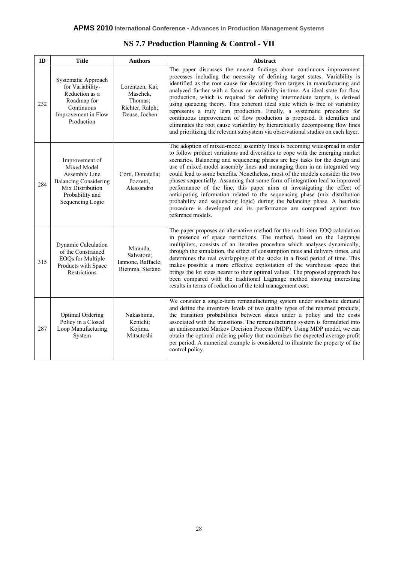| ID  | <b>Title</b>                                                                                                                              | <b>Authors</b>                                                             | <b>Abstract</b>                                                                                                                                                                                                                                                                                                                                                                                                                                                                                                                                                                                                                                                                                                                                                                                                           |
|-----|-------------------------------------------------------------------------------------------------------------------------------------------|----------------------------------------------------------------------------|---------------------------------------------------------------------------------------------------------------------------------------------------------------------------------------------------------------------------------------------------------------------------------------------------------------------------------------------------------------------------------------------------------------------------------------------------------------------------------------------------------------------------------------------------------------------------------------------------------------------------------------------------------------------------------------------------------------------------------------------------------------------------------------------------------------------------|
| 232 | Systematic Approach<br>for Variability-<br>Reduction as a<br>Roadmap for<br>Continuous<br>Improvement in Flow<br>Production               | Lorentzen, Kai;<br>Maschek,<br>Thomas:<br>Richter, Ralph;<br>Deuse, Jochen | The paper discusses the newest findings about continuous improvement<br>processes including the necessity of defining target states. Variability is<br>identified as the root cause for deviating from targets in manufacturing and<br>analyzed further with a focus on variability-in-time. An ideal state for flow<br>production, which is required for defining intermediate targets, is derived<br>using queueing theory. This coherent ideal state which is free of variability<br>represents a truly lean production. Finally, a systematic procedure for<br>continuous improvement of flow production is proposed. It identifies and<br>eliminates the root cause variability by hierarchically decomposing flow lines<br>and prioritizing the relevant subsystem via observational studies on each layer.         |
| 284 | Improvement of<br>Mixed Model<br>Assembly Line<br><b>Balancing Considering</b><br>Mix Distribution<br>Probability and<br>Sequencing Logic | Corti, Donatella;<br>Pozzetti,<br>Alessandro                               | The adoption of mixed-model assembly lines is becoming widespread in order<br>to follow product variations and diversities to cope with the emerging market<br>scenarios. Balancing and sequencing phases are key tasks for the design and<br>use of mixed-model assembly lines and managing them in an integrated way<br>could lead to some benefits. Nonetheless, most of the models consider the two<br>phases sequentially. Assuming that some form of integration lead to improved<br>performance of the line, this paper aims at investigating the effect of<br>anticipating information related to the sequencing phase (mix distribution<br>probability and sequencing logic) during the balancing phase. A heuristic<br>procedure is developed and its performance are compared against two<br>reference models. |
| 315 | Dynamic Calculation<br>of the Constrained<br>EOQs for Multiple<br>Products with Space<br>Restrictions                                     | Miranda,<br>Salvatore;<br>Iannone, Raffaele;<br>Riemma, Stefano            | The paper proposes an alternative method for the multi-item EOQ calculation<br>in presence of space restrictions. The method, based on the Lagrange<br>multipliers, consists of an iterative procedure which analyses dynamically,<br>through the simulation, the effect of consumption rates and delivery times, and<br>determines the real overlapping of the stocks in a fixed period of time. This<br>makes possible a more effective exploitation of the warehouse space that<br>brings the lot sizes nearer to their optimal values. The proposed approach has<br>been compared with the traditional Lagrange method showing interesting<br>results in terms of reduction of the total management cost.                                                                                                             |
| 287 | Optimal Ordering<br>Policy in a Closed<br>Loop Manufacturing<br>System                                                                    | Nakashima,<br>Kenichi;<br>Kojima,<br>Mitsutoshi                            | We consider a single-item remanufacturing system under stochastic demand<br>and define the inventory levels of two quality types of the returned products,<br>the transition probabilities between states under a policy and the costs<br>associated with the transitions. The remanufacturing system is formulated into<br>an undiscounted Markov Decision Process (MDP). Using MDP model, we can<br>obtain the optimal ordering policy that maximizes the expected average profit<br>per period. A numerical example is considered to illustrate the property of the<br>control policy.                                                                                                                                                                                                                                 |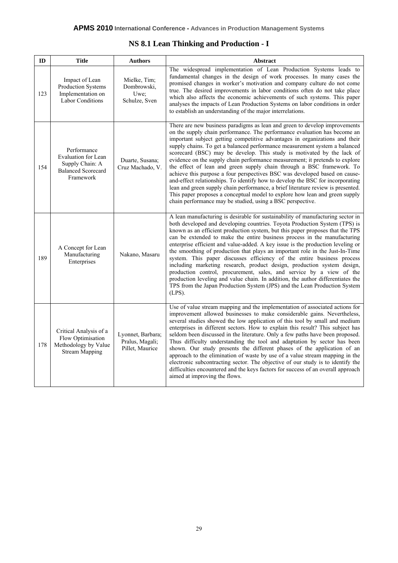|  |  |  |  | NS 8.1 Lean Thinking and Production - I |  |  |
|--|--|--|--|-----------------------------------------|--|--|
|--|--|--|--|-----------------------------------------|--|--|

| ID  | <b>Title</b>                                                                                    | <b>Authors</b>                                          | Abstract                                                                                                                                                                                                                                                                                                                                                                                                                                                                                                                                                                                                                                                                                                                                                                                                                                                                                                                                                 |
|-----|-------------------------------------------------------------------------------------------------|---------------------------------------------------------|----------------------------------------------------------------------------------------------------------------------------------------------------------------------------------------------------------------------------------------------------------------------------------------------------------------------------------------------------------------------------------------------------------------------------------------------------------------------------------------------------------------------------------------------------------------------------------------------------------------------------------------------------------------------------------------------------------------------------------------------------------------------------------------------------------------------------------------------------------------------------------------------------------------------------------------------------------|
| 123 | Impact of Lean<br>Production Systems<br>Implementation on<br><b>Labor Conditions</b>            | Mielke, Tim;<br>Dombrowski,<br>Uwe:<br>Schulze, Sven    | The widespread implementation of Lean Production Systems leads to<br>fundamental changes in the design of work processes. In many cases the<br>promised changes in worker's motivation and company culture do not come<br>true. The desired improvements in labor conditions often do not take place<br>which also affects the economic achievements of such systems. This paper<br>analyses the impacts of Lean Production Systems on labor conditions in order<br>to establish an understanding of the major interrelations.                                                                                                                                                                                                                                                                                                                                                                                                                           |
| 154 | Performance<br>Evaluation for Lean<br>Supply Chain: A<br><b>Balanced Scorecard</b><br>Framework | Duarte, Susana;<br>Cruz Machado, V.                     | There are new business paradigms as lean and green to develop improvements<br>on the supply chain performance. The performance evaluation has become an<br>important subject getting competitive advantages in organizations and their<br>supply chains. To get a balanced performance measurement system a balanced<br>scorecard (BSC) may be develop. This study is motivated by the lack of<br>evidence on the supply chain performance measurement; it pretends to explore<br>the effect of lean and green supply chain through a BSC framework. To<br>achieve this purpose a four perspectives BSC was developed based on cause-<br>and-effect relationships. To identify how to develop the BSC for incorporating<br>lean and green supply chain performance, a brief literature review is presented.<br>This paper proposes a conceptual model to explore how lean and green supply<br>chain performance may be studied, using a BSC perspective. |
| 189 | A Concept for Lean<br>Manufacturing<br>Enterprises                                              | Nakano, Masaru                                          | A lean manufacturing is desirable for sustainability of manufacturing sector in<br>both developed and developing countries. Toyota Production System (TPS) is<br>known as an efficient production system, but this paper proposes that the TPS<br>can be extended to make the entire business process in the manufacturing<br>enterprise efficient and value-added. A key issue is the production leveling or<br>the smoothing of production that plays an important role in the Just-In-Time<br>system. This paper discusses efficiency of the entire business process<br>including marketing research, product design, production system design,<br>production control, procurement, sales, and service by a view of the<br>production leveling and value chain. In addition, the author differentiates the<br>TPS from the Japan Production System (JPS) and the Lean Production System<br>$(LPS)$ .                                                  |
| 178 | Critical Analysis of a<br>Flow Optimisation<br>Methodology by Value<br><b>Stream Mapping</b>    | Lyonnet, Barbara;<br>Pralus, Magali;<br>Pillet, Maurice | Use of value stream mapping and the implementation of associated actions for<br>improvement allowed businesses to make considerable gains. Nevertheless,<br>several studies showed the low application of this tool by small and medium<br>enterprises in different sectors. How to explain this result? This subject has<br>seldom been discussed in the literature. Only a few paths have been proposed.<br>Thus difficulty understanding the tool and adaptation by sector has been<br>shown. Our study presents the different phases of the application of an<br>approach to the elimination of waste by use of a value stream mapping in the<br>electronic subcontracting sector. The objective of our study is to identify the<br>difficulties encountered and the keys factors for success of an overall approach<br>aimed at improving the flows.                                                                                                |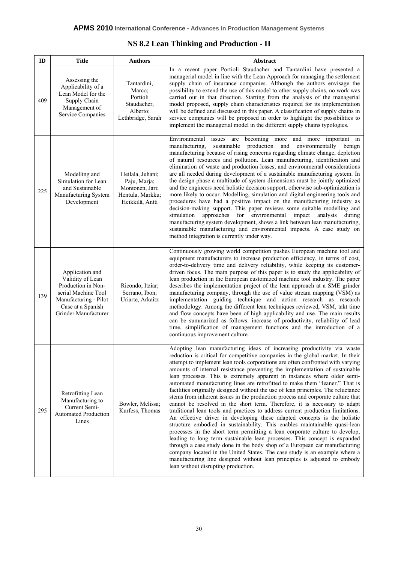| <b>NS 8.2 Lean Thinking and Production - II</b> |  |
|-------------------------------------------------|--|
|-------------------------------------------------|--|

| ID  | <b>Title</b>                                                                                                                                           | <b>Authors</b>                                                                             | Abstract                                                                                                                                                                                                                                                                                                                                                                                                                                                                                                                                                                                                                                                                                                                                                                                                                                                                                                                                                                                                                                                                                                                                                                                                                                                                                                                                                                                                                             |
|-----|--------------------------------------------------------------------------------------------------------------------------------------------------------|--------------------------------------------------------------------------------------------|--------------------------------------------------------------------------------------------------------------------------------------------------------------------------------------------------------------------------------------------------------------------------------------------------------------------------------------------------------------------------------------------------------------------------------------------------------------------------------------------------------------------------------------------------------------------------------------------------------------------------------------------------------------------------------------------------------------------------------------------------------------------------------------------------------------------------------------------------------------------------------------------------------------------------------------------------------------------------------------------------------------------------------------------------------------------------------------------------------------------------------------------------------------------------------------------------------------------------------------------------------------------------------------------------------------------------------------------------------------------------------------------------------------------------------------|
| 409 | Assessing the<br>Applicability of a<br>Lean Model for the<br>Supply Chain<br>Management of<br><b>Service Companies</b>                                 | Tantardini,<br>Marco;<br>Portioli<br>Staudacher,<br>Alberto;<br>Lethbridge, Sarah          | In a recent paper Portioli Staudacher and Tantardini have presented a<br>managerial model in line with the Lean Approach for managing the settlement<br>supply chain of insurance companies. Although the authors envisage the<br>possibility to extend the use of this model to other supply chains, no work was<br>carried out in that direction. Starting from the analysis of the managerial<br>model proposed, supply chain characteristics required for its implementation<br>will be defined and discussed in this paper. A classification of supply chains in<br>service companies will be proposed in order to highlight the possibilities to<br>implement the managerial model in the different supply chains typologies.                                                                                                                                                                                                                                                                                                                                                                                                                                                                                                                                                                                                                                                                                                  |
| 225 | Modelling and<br>Simulation for Lean<br>and Sustainable<br>Manufacturing System<br>Development                                                         | Heilala, Juhani;<br>Paju, Marja;<br>Montonen, Jari;<br>Hentula, Markku;<br>Heikkilä, Antti | becoming more<br>Environmental<br>issues are<br>and more important in<br>sustainable<br>production and environmentally benign<br>manufacturing,<br>manufacturing because of rising concerns regarding climate change, depletion<br>of natural resources and pollution. Lean manufacturing, identification and<br>elimination of waste and production losses, and environmental considerations<br>are all needed during development of a sustainable manufacturing system. In<br>the design phase a multitude of system dimensions must be jointly optimized<br>and the engineers need holistic decision support, otherwise sub-optimization is<br>more likely to occur. Modelling, simulation and digital engineering tools and<br>procedures have had a positive impact on the manufacturing industry as<br>decision-making support. This paper reviews some suitable modelling and<br>for environmental<br>simulation<br>approaches<br>impact<br>analysis<br>during<br>manufacturing system development, shows a link between lean manufacturing,<br>sustainable manufacturing and environmental impacts. A case study on<br>method integration is currently under way.                                                                                                                                                                                                                                                            |
| 139 | Application and<br>Validity of Lean<br>Production in Non-<br>serial Machine Tool<br>Manufacturing - Pilot<br>Case at a Spanish<br>Grinder Manufacturer | Ricondo, Itziar;<br>Serrano, Ibon;<br>Uriarte, Arkaitz                                     | Continuously growing world competition pushes European machine tool and<br>equipment manufacturers to increase production efficiency, in terms of cost,<br>order-to-delivery time and delivery reliability, while keeping its customer-<br>driven focus. The main purpose of this paper is to study the applicability of<br>lean production in the European customized machine tool industry. The paper<br>describes the implementation project of the lean approach at a SME grinder<br>manufacturing company, through the use of value stream mapping (VSM) as<br>implementation guiding technique and action research as research<br>methodology. Among the different lean techniques reviewed, VSM, takt time<br>and flow concepts have been of high applicability and use. The main results<br>can be summarized as follows: increase of productivity, reliability of lead<br>time, simplification of management functions and the introduction of a<br>continuous improvement culture.                                                                                                                                                                                                                                                                                                                                                                                                                                         |
| 295 | Retrofitting Lean<br>Manufacturing to<br>Current Semi-<br><b>Automated Production</b><br>Lines                                                         | Bowler, Melissa;<br>Kurfess, Thomas                                                        | Adopting lean manufacturing ideas of increasing productivity via waste<br>reduction is critical for competitive companies in the global market. In their<br>attempt to implement lean tools corporations are often confronted with varying<br>amounts of internal resistance preventing the implementation of sustainable<br>lean processes. This is extremely apparent in instances where older semi-<br>automated manufacturing lines are retrofitted to make them "leaner." That is<br>facilities originally designed without the use of lean principles. The reluctance<br>stems from inherent issues in the production process and corporate culture that<br>cannot be resolved in the short term. Therefore, it is necessary to adapt<br>traditional lean tools and practices to address current production limitations.<br>An effective driver in developing these adapted concepts is the holistic<br>structure embodied in sustainability. This enables maintainable quasi-lean<br>processes in the short term permitting a lean corporate culture to develop,<br>leading to long term sustainable lean processes. This concept is expanded<br>through a case study done in the body shop of a European car manufacturing<br>company located in the United States. The case study is an example where a<br>manufacturing line designed without lean principles is adjusted to embody<br>lean without disrupting production. |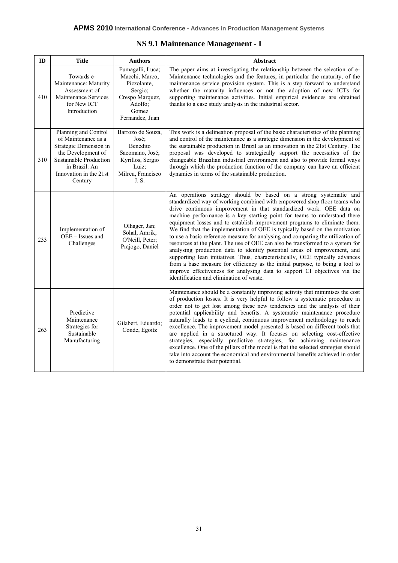| NS 9.1 Maintenance Management - I |  |  |
|-----------------------------------|--|--|
|-----------------------------------|--|--|

| ID  | <b>Title</b>                                                                                                                                                                | <b>Authors</b>                                                                                                         | <b>Abstract</b>                                                                                                                                                                                                                                                                                                                                                                                                                                                                                                                                                                                                                                                                                                                                                                                                                                                                                                                                                                                            |
|-----|-----------------------------------------------------------------------------------------------------------------------------------------------------------------------------|------------------------------------------------------------------------------------------------------------------------|------------------------------------------------------------------------------------------------------------------------------------------------------------------------------------------------------------------------------------------------------------------------------------------------------------------------------------------------------------------------------------------------------------------------------------------------------------------------------------------------------------------------------------------------------------------------------------------------------------------------------------------------------------------------------------------------------------------------------------------------------------------------------------------------------------------------------------------------------------------------------------------------------------------------------------------------------------------------------------------------------------|
| 410 | Towards e-<br>Maintenance: Maturity<br>Assessment of<br>Maintenance Services<br>for New ICT<br>Introduction                                                                 | Fumagalli, Luca;<br>Macchi, Marco;<br>Pizzolante,<br>Sergio;<br>Crespo Marquez,<br>Adolfo;<br>Gomez<br>Fernandez, Juan | The paper aims at investigating the relationship between the selection of e-<br>Maintenance technologies and the features, in particular the maturity, of the<br>maintenance service provision system. This is a step forward to understand<br>whether the maturity influences or not the adoption of new ICTs for<br>supporting maintenance activities. Initial empirical evidences are obtained<br>thanks to a case study analysis in the industrial sector.                                                                                                                                                                                                                                                                                                                                                                                                                                                                                                                                             |
| 310 | Planning and Control<br>of Maintenance as a<br>Strategic Dimension in<br>the Development of<br>Sustainable Production<br>in Brazil: An<br>Innovation in the 21st<br>Century | Barrozo de Souza,<br>José;<br>Benedito<br>Sacomano, José;<br>Kyrillos, Sergio<br>Luiz;<br>Milreu, Francisco<br>J.S.    | This work is a delineation proposal of the basic characteristics of the planning<br>and control of the maintenance as a strategic dimension in the development of<br>the sustainable production in Brazil as an innovation in the 21st Century. The<br>proposal was developed to strategically support the necessities of the<br>changeable Brazilian industrial environment and also to provide formal ways<br>through which the production function of the company can have an efficient<br>dynamics in terms of the sustainable production.                                                                                                                                                                                                                                                                                                                                                                                                                                                             |
| 233 | Implementation of<br>OEE - Issues and<br>Challenges                                                                                                                         | Olhager, Jan;<br>Sohal, Amrik;<br>O'Neill, Peter;<br>Prajogo, Daniel                                                   | An operations strategy should be based on a strong systematic and<br>standardized way of working combined with empowered shop floor teams who<br>drive continuous improvement in that standardized work. OEE data on<br>machine performance is a key starting point for teams to understand there<br>equipment losses and to establish improvement programs to eliminate them.<br>We find that the implementation of OEE is typically based on the motivation<br>to use a basic reference measure for analysing and comparing the utilization of<br>resources at the plant. The use of OEE can also be transformed to a system for<br>analysing production data to identify potential areas of improvement, and<br>supporting lean initiatives. Thus, characteristically, OEE typically advances<br>from a base measure for efficiency as the initial purpose, to being a tool to<br>improve effectiveness for analysing data to support CI objectives via the<br>identification and elimination of waste. |
| 263 | Predictive<br>Maintenance<br>Strategies for<br>Sustainable<br>Manufacturing                                                                                                 | Gilabert, Eduardo;<br>Conde, Egoitz                                                                                    | Maintenance should be a constantly improving activity that minimises the cost<br>of production losses. It is very helpful to follow a systematic procedure in<br>order not to get lost among these new tendencies and the analysis of their<br>potential applicability and benefits. A systematic maintenance procedure<br>naturally leads to a cyclical, continuous improvement methodology to reach<br>excellence. The improvement model presented is based on different tools that<br>are applied in a structured way. It focuses on selecting cost-effective<br>strategies, especially predictive strategies, for achieving maintenance<br>excellence. One of the pillars of the model is that the selected strategies should<br>take into account the economical and environmental benefits achieved in order<br>to demonstrate their potential.                                                                                                                                                      |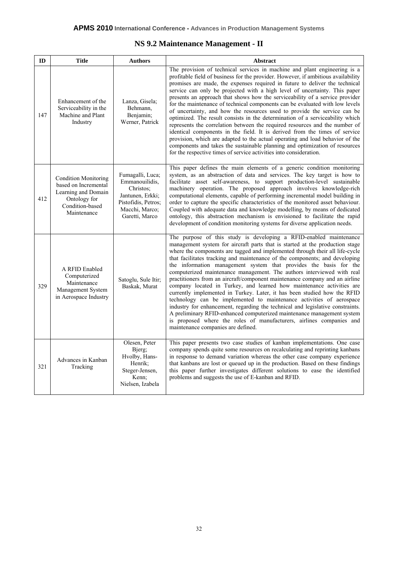## **NS 9.2 Maintenance Management - II**

| ID  | <b>Title</b>                                                                                                                 | <b>Authors</b>                                                                                                                 | <b>Abstract</b>                                                                                                                                                                                                                                                                                                                                                                                                                                                                                                                                                                                                                                                                                                                                                                                                                                                                                                                                                                                                                                             |
|-----|------------------------------------------------------------------------------------------------------------------------------|--------------------------------------------------------------------------------------------------------------------------------|-------------------------------------------------------------------------------------------------------------------------------------------------------------------------------------------------------------------------------------------------------------------------------------------------------------------------------------------------------------------------------------------------------------------------------------------------------------------------------------------------------------------------------------------------------------------------------------------------------------------------------------------------------------------------------------------------------------------------------------------------------------------------------------------------------------------------------------------------------------------------------------------------------------------------------------------------------------------------------------------------------------------------------------------------------------|
| 147 | Enhancement of the<br>Serviceability in the<br>Machine and Plant<br>Industry                                                 | Lanza, Gisela;<br>Behmann,<br>Benjamin;<br>Werner, Patrick                                                                     | The provision of technical services in machine and plant engineering is a<br>profitable field of business for the provider. However, if ambitious availability<br>promises are made, the expenses required in future to deliver the technical<br>service can only be projected with a high level of uncertainty. This paper<br>presents an approach that shows how the serviceability of a service provider<br>for the maintenance of technical components can be evaluated with low levels<br>of uncertainty, and how the resources used to provide the service can be<br>optimized. The result consists in the determination of a serviceability which<br>represents the correlation between the required resources and the number of<br>identical components in the field. It is derived from the times of service<br>provision, which are adapted to the actual operating and load behavior of the<br>components and takes the sustainable planning and optimization of resources<br>for the respective times of service activities into consideration. |
| 412 | <b>Condition Monitoring</b><br>based on Incremental<br>Learning and Domain<br>Ontology for<br>Condition-based<br>Maintenance | Fumagalli, Luca;<br>Emmanouilidis,<br>Christos;<br>Jantunen, Erkki;<br>Pistofidis, Petros;<br>Macchi, Marco;<br>Garetti, Marco | This paper defines the main elements of a generic condition monitoring<br>system, as an abstraction of data and services. The key target is how to<br>facilitate asset self-awareness, to support production-level sustainable<br>machinery operation. The proposed approach involves knowledge-rich<br>computational elements, capable of performing incremental model building in<br>order to capture the specific characteristics of the monitored asset behaviour.<br>Coupled with adequate data and knowledge modelling, by means of dedicated<br>ontology, this abstraction mechanism is envisioned to facilitate the rapid<br>development of condition monitoring systems for diverse application needs.                                                                                                                                                                                                                                                                                                                                             |
| 329 | A RFID Enabled<br>Computerized<br>Maintenance<br>Management System<br>in Aerospace Industry                                  | Satoglu, Sule Itir;<br>Baskak, Murat                                                                                           | The purpose of this study is developing a RFID-enabled maintenance<br>management system for aircraft parts that is started at the production stage<br>where the components are tagged and implemented through their all life-cycle<br>that facilitates tracking and maintenance of the components; and developing<br>the information management system that provides the basis for the<br>computerized maintenance management. The authors interviewed with real<br>practitioners from an aircraft/component maintenance company and an airline<br>company located in Turkey, and learned how maintenance activities are<br>currently implemented in Turkey. Later, it has been studied how the RFID<br>technology can be implemented to maintenance activities of aerospace<br>industry for enhancement, regarding the technical and legislative constraints.<br>A preliminary RFID-enhanced computerized maintenance management system<br>is proposed where the roles of manufacturers, airlines companies and<br>maintenance companies are defined.      |
| 321 | Advances in Kanban<br>Tracking                                                                                               | Olesen, Peter<br>Bjerg;<br>Hvolby, Hans-<br>Henrik;<br>Steger-Jensen,<br>Kenn:<br>Nielsen, Izabela                             | This paper presents two case studies of kanban implementations. One case<br>company spends quite some resources on recalculating and reprinting kanbans<br>in response to demand variation whereas the other case company experience<br>that kanbans are lost or queued up in the production. Based on these findings<br>this paper further investigates different solutions to ease the identified<br>problems and suggests the use of E-kanban and RFID.                                                                                                                                                                                                                                                                                                                                                                                                                                                                                                                                                                                                  |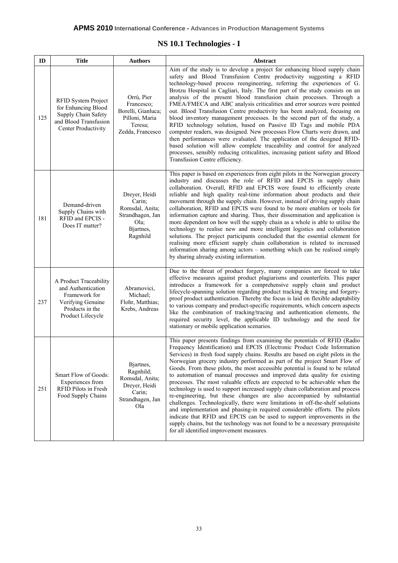## **NS 10.1 Technologies - I**

| ID  | <b>Title</b>                                                                                                               | <b>Authors</b>                                                                                     | Abstract                                                                                                                                                                                                                                                                                                                                                                                                                                                                                                                                                                                                                                                                                                                                                                                                                                                                                                                                                                                                                                                                                                |
|-----|----------------------------------------------------------------------------------------------------------------------------|----------------------------------------------------------------------------------------------------|---------------------------------------------------------------------------------------------------------------------------------------------------------------------------------------------------------------------------------------------------------------------------------------------------------------------------------------------------------------------------------------------------------------------------------------------------------------------------------------------------------------------------------------------------------------------------------------------------------------------------------------------------------------------------------------------------------------------------------------------------------------------------------------------------------------------------------------------------------------------------------------------------------------------------------------------------------------------------------------------------------------------------------------------------------------------------------------------------------|
| 125 | RFID System Project<br>for Enhancing Blood<br>Supply Chain Safety<br>and Blood Transfusion<br>Center Productivity          | Orrù, Pier<br>Francesco;<br>Borelli, Gianluca;<br>Pilloni, Maria<br>Teresa;<br>Zedda, Francesco    | Aim of the study is to develop a project for enhancing blood supply chain<br>safety and Blood Transfusion Centre productivity suggesting a RFID<br>technology-based process reengineering, referring the experiences of G.<br>Brotzu Hospital in Cagliari, Italy. The first part of the study consists on an<br>analysis of the present blood transfusion chain processes. Through a<br>FMEA/FMECA and ABC analysis criticalities and error sources were pointed<br>out. Blood Transfusion Centre productivity has been analyzed, focusing on<br>blood inventory management processes. In the second part of the study, a<br>RFID technology solution, based on Passive ID Tags and mobile PDA<br>computer readers, was designed. New processes Flow Charts were drawn, and<br>then performances were evaluated. The application of the designed RFID-<br>based solution will allow complete traceability and control for analyzed<br>processes, sensibly reducing criticalities, increasing patient safety and Blood<br>Transfusion Centre efficiency.                                                 |
| 181 | Demand-driven<br>Supply Chains with<br>RFID and EPCIS -<br>Does IT matter?                                                 | Dreyer, Heidi<br>Carin;<br>Romsdal, Anita;<br>Strandhagen, Jan<br>$Ola$ :<br>Bjartnes,<br>Ragnhild | This paper is based on experiences from eight pilots in the Norwegian grocery<br>industry and discusses the role of RFID and EPCIS in supply chain<br>collaboration. Overall, RFID and EPCIS were found to efficiently create<br>reliable and high quality real-time information about products and their<br>movement through the supply chain. However, instead of driving supply chain<br>collaboration, RFID and EPCIS were found to be more enablers or tools for<br>information capture and sharing. Thus, their dissemination and application is<br>more dependent on how well the supply chain as a whole is able to utilise the<br>technology to realise new and more intelligent logistics and collaboration<br>solutions. The project participants concluded that the essential element for<br>realising more efficient supply chain collaboration is related to increased<br>information sharing among actors – something which can be realised simply<br>by sharing already existing information.                                                                                           |
| 237 | A Product Traceability<br>and Authentication<br>Framework for<br>Verifying Genuine<br>Products in the<br>Product Lifecycle | Abramovici,<br>Michael;<br>Flohr, Matthias;<br>Krebs, Andreas                                      | Due to the threat of product forgery, many companies are forced to take<br>effective measures against product plagiarisms and counterfeits. This paper<br>introduces a framework for a comprehensive supply chain and product<br>lifecycle-spanning solution regarding product tracking & tracing and forgery-<br>proof product authentication. Thereby the focus is laid on flexible adaptability<br>to various company and product-specific requirements, which concern aspects<br>like the combination of tracking/tracing and authentication elements, the<br>required security level, the applicable ID technology and the need for<br>stationary or mobile application scenarios.                                                                                                                                                                                                                                                                                                                                                                                                                 |
| 251 | Smart Flow of Goods:<br>Experiences from<br>RFID Pilots in Fresh<br>Food Supply Chains                                     | Bjartnes,<br>Ragnhild;<br>Romsdal, Anita;<br>Dreyer, Heidi<br>Carin;<br>Strandhagen, Jan<br>Ola    | This paper presents findings from examining the potentials of RFID (Radio<br>Frequency Identification) and EPCIS (Electronic Product Code Information<br>Services) in fresh food supply chains. Results are based on eight pilots in the<br>Norwegian grocery industry performed as part of the project Smart Flow of<br>Goods. From these pilots, the most accessible potential is found to be related<br>to automation of manual processes and improved data quality for existing<br>processes. The most valuable effects are expected to be achievable when the<br>technology is used to support increased supply chain collaboration and process<br>re-engineering, but these changes are also accompanied by substantial<br>challenges. Technologically, there were limitations in off-the-shelf solutions<br>and implementation and phasing-in required considerable efforts. The pilots<br>indicate that RFID and EPCIS can be used to support improvements in the<br>supply chains, but the technology was not found to be a necessary prerequisite<br>for all identified improvement measures. |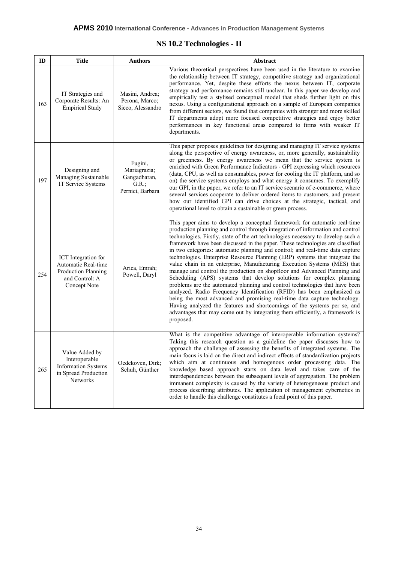# **NS 10.2 Technologies - II**

| ID  | <b>Title</b>                                                                                        | <b>Authors</b>                                                       | Abstract                                                                                                                                                                                                                                                                                                                                                                                                                                                                                                                                                                                                                                                                                                                                                                                                                                                                                                                                                                                                                                                                                                                                       |
|-----|-----------------------------------------------------------------------------------------------------|----------------------------------------------------------------------|------------------------------------------------------------------------------------------------------------------------------------------------------------------------------------------------------------------------------------------------------------------------------------------------------------------------------------------------------------------------------------------------------------------------------------------------------------------------------------------------------------------------------------------------------------------------------------------------------------------------------------------------------------------------------------------------------------------------------------------------------------------------------------------------------------------------------------------------------------------------------------------------------------------------------------------------------------------------------------------------------------------------------------------------------------------------------------------------------------------------------------------------|
| 163 | IT Strategies and<br>Corporate Results: An<br><b>Empirical Study</b>                                | Masini, Andrea;<br>Perona, Marco;<br>Sicco, Alessandro               | Various theoretical perspectives have been used in the literature to examine<br>the relationship between IT strategy, competitive strategy and organizational<br>performance. Yet, despite these efforts the nexus between IT, corporate<br>strategy and performance remains still unclear. In this paper we develop and<br>empirically test a stylised conceptual model that sheds further light on this<br>nexus. Using a configurational approach on a sample of European companies<br>from different sectors, we found that companies with stronger and more skilled<br>IT departments adopt more focused competitive strategies and enjoy better<br>performances in key functional areas compared to firms with weaker IT<br>departments.                                                                                                                                                                                                                                                                                                                                                                                                 |
| 197 | Designing and<br>Managing Sustainable<br>IT Service Systems                                         | Fugini,<br>Mariagrazia;<br>Gangadharan,<br>G.R.;<br>Pernici, Barbara | This paper proposes guidelines for designing and managing IT service systems<br>along the perspective of energy awareness, or, more generally, sustainability<br>or greenness. By energy awareness we mean that the service system is<br>enriched with Green Performance Indicators - GPI expressing which resources<br>(data, CPU, as well as consumables, power for cooling the IT platform, and so<br>on) the service systems employs and what energy it consumes. To exemplify<br>our GPI, in the paper, we refer to an IT service scenario of e-commerce, where<br>several services cooperate to deliver ordered items to customers, and present<br>how our identified GPI can drive choices at the strategic, tactical, and<br>operational level to obtain a sustainable or green process.                                                                                                                                                                                                                                                                                                                                               |
| 254 | ICT Integration for<br>Automatic Real-time<br>Production Planning<br>and Control: A<br>Concept Note | Arica, Emrah;<br>Powell, Daryl                                       | This paper aims to develop a conceptual framework for automatic real-time<br>production planning and control through integration of information and control<br>technologies. Firstly, state of the art technologies necessary to develop such a<br>framework have been discussed in the paper. These technologies are classified<br>in two categories: automatic planning and control; and real-time data capture<br>technologies. Enterprise Resource Planning (ERP) systems that integrate the<br>value chain in an enterprise, Manufacturing Execution Systems (MES) that<br>manage and control the production on shopfloor and Advanced Planning and<br>Scheduling (APS) systems that develop solutions for complex planning<br>problems are the automated planning and control technologies that have been<br>analyzed. Radio Frequency Identification (RFID) has been emphasized as<br>being the most advanced and promising real-time data capture technology.<br>Having analyzed the features and shortcomings of the systems per se, and<br>advantages that may come out by integrating them efficiently, a framework is<br>proposed. |
| 265 | Value Added by<br>Interoperable<br><b>Information Systems</b><br>in Spread Production<br>Networks   | Oedekoven, Dirk;<br>Schuh, Günther                                   | What is the competitive advantage of interoperable information systems?<br>Taking this research question as a guideline the paper discusses how to<br>approach the challenge of assessing the benefits of integrated systems. The<br>main focus is laid on the direct and indirect effects of standardization projects<br>which aim at continuous and homogenous order processing data. The<br>knowledge based approach starts on data level and takes care of the<br>interdependencies between the subsequent levels of aggregation. The problem<br>immanent complexity is caused by the variety of heterogeneous product and<br>process describing attributes. The application of management cybernetics in<br>order to handle this challenge constitutes a focal point of this paper.                                                                                                                                                                                                                                                                                                                                                       |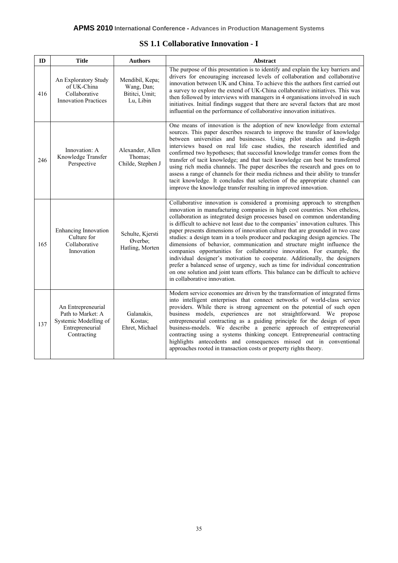### **SS 1.1 Collaborative Innovation - I**

| ID  | <b>Title</b>                                                                                       | <b>Authors</b>                                               | <b>Abstract</b>                                                                                                                                                                                                                                                                                                                                                                                                                                                                                                                                                                                                                                                                                                                                                                                                                                                                                                                       |
|-----|----------------------------------------------------------------------------------------------------|--------------------------------------------------------------|---------------------------------------------------------------------------------------------------------------------------------------------------------------------------------------------------------------------------------------------------------------------------------------------------------------------------------------------------------------------------------------------------------------------------------------------------------------------------------------------------------------------------------------------------------------------------------------------------------------------------------------------------------------------------------------------------------------------------------------------------------------------------------------------------------------------------------------------------------------------------------------------------------------------------------------|
| 416 | An Exploratory Study<br>of UK-China<br>Collaborative<br><b>Innovation Practices</b>                | Mendibil, Kepa;<br>Wang, Dan;<br>Bititci, Umit;<br>Lu, Libin | The purpose of this presentation is to identify and explain the key barriers and<br>drivers for encouraging increased levels of collaboration and collaborative<br>innovation between UK and China. To achieve this the authors first carried out<br>a survey to explore the extend of UK-China collaborative initiatives. This was<br>then followed by interviews with managers in 4 organisations involved in such<br>initiatives. Initial findings suggest that there are several factors that are most<br>influential on the performance of collaborative innovation initiatives.                                                                                                                                                                                                                                                                                                                                                 |
| 246 | Innovation: A<br>Knowledge Transfer<br>Perspective                                                 | Alexander, Allen<br>Thomas;<br>Childe, Stephen J             | One means of innovation is the adoption of new knowledge from external<br>sources. This paper describes research to improve the transfer of knowledge<br>between universities and businesses. Using pilot studies and in-depth<br>interviews based on real life case studies, the research identified and<br>confirmed two hypotheses; that successful knowledge transfer comes from the<br>transfer of tacit knowledge; and that tacit knowledge can best be transferred<br>using rich media channels. The paper describes the research and goes on to<br>assess a range of channels for their media richness and their ability to transfer<br>tacit knowledge. It concludes that selection of the appropriate channel can<br>improve the knowledge transfer resulting in improved innovation.                                                                                                                                       |
| 165 | Enhancing Innovation<br>Culture for<br>Collaborative<br>Innovation                                 | Schulte, Kjersti<br>Øverbø;<br>Hatling, Morten               | Collaborative innovation is considered a promising approach to strengthen<br>innovation in manufacturing companies in high cost countries. Non etheless,<br>collaboration as integrated design processes based on common understanding<br>is difficult to achieve not least due to the companies' innovation cultures. This<br>paper presents dimensions of innovation culture that are grounded in two case<br>studies: a design team in a tools producer and packaging design agencies. The<br>dimensions of behavior, communication and structure might influence the<br>companies opportunities for collaborative innovation. For example, the<br>individual designer's motivation to cooperate. Additionally, the designers<br>prefer a balanced sense of urgency, such as time for individual concentration<br>on one solution and joint team efforts. This balance can be difficult to achieve<br>in collaborative innovation. |
| 137 | An Entrepreneurial<br>Path to Market: A<br>Systemic Modelling of<br>Entrepreneurial<br>Contracting | Galanakis,<br>Kostas;<br>Ehret, Michael                      | Modern service economies are driven by the transformation of integrated firms<br>into intelligent enterprises that connect networks of world-class service<br>providers. While there is strong agreement on the potential of such open<br>business models, experiences are not straightforward. We propose<br>entrepreneurial contracting as a guiding principle for the design of open<br>business-models. We describe a generic approach of entrepreneurial<br>contracting using a systems thinking concept. Entrepreneurial contracting<br>highlights antecedents and consequences missed out in conventional<br>approaches rooted in transaction costs or property rights theory.                                                                                                                                                                                                                                                 |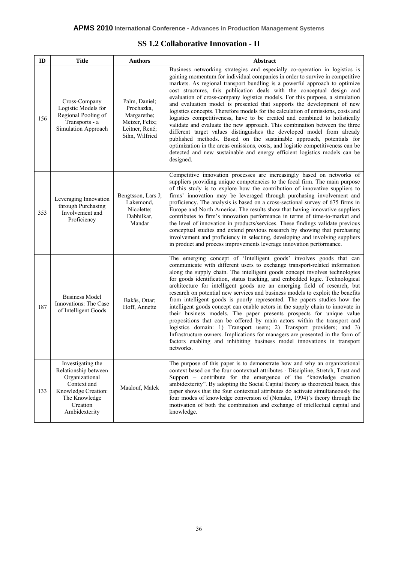## **SS 1.2 Collaborative Innovation - II**

| ID  | Title                                                                                                                                           | <b>Authors</b>                                                                                   | Abstract                                                                                                                                                                                                                                                                                                                                                                                                                                                                                                                                                                                                                                                                                                                                                                                                                                                                                                                                                                                                                                                    |
|-----|-------------------------------------------------------------------------------------------------------------------------------------------------|--------------------------------------------------------------------------------------------------|-------------------------------------------------------------------------------------------------------------------------------------------------------------------------------------------------------------------------------------------------------------------------------------------------------------------------------------------------------------------------------------------------------------------------------------------------------------------------------------------------------------------------------------------------------------------------------------------------------------------------------------------------------------------------------------------------------------------------------------------------------------------------------------------------------------------------------------------------------------------------------------------------------------------------------------------------------------------------------------------------------------------------------------------------------------|
| 156 | Cross-Company<br>Logistic Models for<br>Regional Pooling of<br>Transports - a<br>Simulation Approach                                            | Palm, Daniel;<br>Prochazka,<br>Margarethe;<br>Meizer, Felix;<br>Leitner, René;<br>Sihn, Wilfried | Business networking strategies and especially co-operation in logistics is<br>gaining momentum for individual companies in order to survive in competitive<br>markets. As regional transport bundling is a powerful approach to optimize<br>cost structures, this publication deals with the conceptual design and<br>evaluation of cross-company logistics models. For this purpose, a simulation<br>and evaluation model is presented that supports the development of new<br>logistics concepts. Therefore models for the calculation of emissions, costs and<br>logistics competitiveness, have to be created and combined to holistically<br>validate and evaluate the new approach. This combination between the three<br>different target values distinguishes the developed model from already<br>published methods. Based on the sustainable approach, potentials for<br>optimization in the areas emissions, costs, and logistic competitiveness can be<br>detected and new sustainable and energy efficient logistics models can be<br>designed. |
| 353 | Leveraging Innovation<br>through Purchasing<br>Involvement and<br>Proficiency                                                                   | Bengtsson, Lars J;<br>Lakemond,<br>Nicolette;<br>Dabhilkar,<br>Mandar                            | Competitive innovation processes are increasingly based on networks of<br>suppliers providing unique competencies to the focal firm. The main purpose<br>of this study is to explore how the contribution of innovative suppliers to<br>firms' innovation may be leveraged through purchasing involvement and<br>proficiency. The analysis is based on a cross-sectional survey of 675 firms in<br>Europe and North America. The results show that having innovative suppliers<br>contributes to firm's innovation performance in terms of time-to-market and<br>the level of innovation in products/services. These findings validate previous<br>conceptual studies and extend previous research by showing that purchasing<br>involvement and proficiency in selecting, developing and involving suppliers<br>in product and process improvements leverage innovation performance.                                                                                                                                                                       |
| 187 | <b>Business Model</b><br>Innovations: The Case<br>of Intelligent Goods                                                                          | Bakås, Ottar;<br>Hoff, Annette                                                                   | The emerging concept of 'Intelligent goods' involves goods that can<br>communicate with different users to exchange transport-related information<br>along the supply chain. The intelligent goods concept involves technologies<br>for goods identification, status tracking, and embedded logic. Technological<br>architecture for intelligent goods are an emerging field of research, but<br>research on potential new services and business models to exploit the benefits<br>from intelligent goods is poorly represented. The papers studies how the<br>intelligent goods concept can enable actors in the supply chain to innovate in<br>their business models. The paper presents prospects for unique value<br>propositions that can be offered by main actors within the transport and<br>logistics domain: 1) Transport users; 2) Transport providers; and 3)<br>Infrastructure owners. Implications for managers are presented in the form of<br>factors enabling and inhibiting business model innovations in transport<br>networks.          |
| 133 | Investigating the<br>Relationship between<br>Organizational<br>Context and<br>Knowledge Creation:<br>The Knowledge<br>Creation<br>Ambidexterity | Maalouf, Malek                                                                                   | The purpose of this paper is to demonstrate how and why an organizational<br>context based on the four contextual attributes - Discipline, Stretch, Trust and<br>Support - contribute for the emergence of the "knowledge creation<br>ambidexterity". By adopting the Social Capital theory as theoretical bases, this<br>paper shows that the four contextual attributes do activate simultaneously the<br>four modes of knowledge conversion of (Nonaka, 1994)'s theory through the<br>motivation of both the combination and exchange of intellectual capital and<br>knowledge.                                                                                                                                                                                                                                                                                                                                                                                                                                                                          |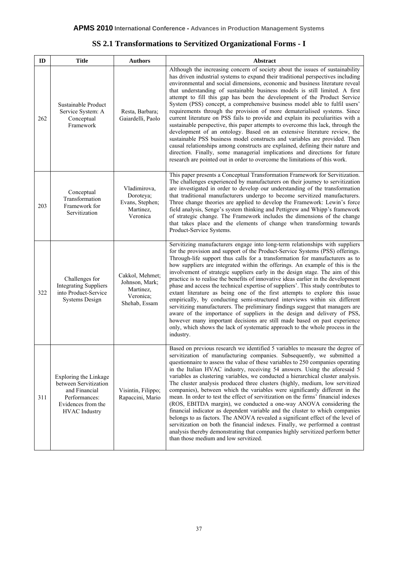| SS 2.1 Transformations to Servitized Organizational Forms - I |  |
|---------------------------------------------------------------|--|
|---------------------------------------------------------------|--|

| ID  | <b>Title</b>                                                                                                                   | <b>Authors</b>                                                               | Abstract                                                                                                                                                                                                                                                                                                                                                                                                                                                                                                                                                                                                                                                                                                                                                                                                                                                                                                                                                                                                                                                                                                                                              |
|-----|--------------------------------------------------------------------------------------------------------------------------------|------------------------------------------------------------------------------|-------------------------------------------------------------------------------------------------------------------------------------------------------------------------------------------------------------------------------------------------------------------------------------------------------------------------------------------------------------------------------------------------------------------------------------------------------------------------------------------------------------------------------------------------------------------------------------------------------------------------------------------------------------------------------------------------------------------------------------------------------------------------------------------------------------------------------------------------------------------------------------------------------------------------------------------------------------------------------------------------------------------------------------------------------------------------------------------------------------------------------------------------------|
| 262 | Sustainable Product<br>Service System: A<br>Conceptual<br>Framework                                                            | Resta, Barbara;<br>Gaiardelli, Paolo                                         | Although the increasing concern of society about the issues of sustainability<br>has driven industrial systems to expand their traditional perspectives including<br>environmental and social dimensions, economic and business literature reveal<br>that understanding of sustainable business models is still limited. A first<br>attempt to fill this gap has been the development of the Product Service<br>System (PSS) concept, a comprehensive business model able to fulfil users'<br>requirements through the provision of more dematerialised systems. Since<br>current literature on PSS fails to provide and explain its peculiarities with a<br>sustainable perspective, this paper attempts to overcome this lack, through the<br>development of an ontology. Based on an extensive literature review, the<br>sustainable PSS business model constructs and variables are provided. Then<br>causal relationships among constructs are explained, defining their nature and<br>direction. Finally, some managerial implications and directions for future<br>research are pointed out in order to overcome the limitations of this work. |
| 203 | Conceptual<br>Transformation<br>Framework for<br>Servitization                                                                 | Vladimirova,<br>Doroteya;<br>Evans, Stephen;<br>Martinez,<br>Veronica        | This paper presents a Conceptual Transformation Framework for Servitization.<br>The challenges experienced by manufacturers on their journey to servitization<br>are investigated in order to develop our understanding of the transformation<br>that traditional manufacturers undergo to become servitized manufacturers.<br>Three change theories are applied to develop the Framework: Lewin's force<br>field analysis, Senge's system thinking and Pettigrew and Whipp's framework<br>of strategic change. The Framework includes the dimensions of the change<br>that takes place and the elements of change when transforming towards<br>Product-Service Systems.                                                                                                                                                                                                                                                                                                                                                                                                                                                                              |
| 322 | Challenges for<br><b>Integrating Suppliers</b><br>into Product-Service<br><b>Systems Design</b>                                | Cakkol, Mehmet;<br>Johnson, Mark;<br>Martinez,<br>Veronica;<br>Shehab, Essam | Servitizing manufacturers engage into long-term relationships with suppliers<br>for the provision and support of the Product-Service Systems (PSS) offerings.<br>Through-life support thus calls for a transformation for manufacturers as to<br>how suppliers are integrated within the offerings. An example of this is the<br>involvement of strategic suppliers early in the design stage. The aim of this<br>practice is to realise the benefits of innovative ideas earlier in the development<br>phase and access the technical expertise of suppliers'. This study contributes to<br>extant literature as being one of the first attempts to explore this issue<br>empirically, by conducting semi-structured interviews within six different<br>servitizing manufacturers. The preliminary findings suggest that managers are<br>aware of the importance of suppliers in the design and delivery of PSS,<br>however many important decisions are still made based on past experience<br>only, which shows the lack of systematic approach to the whole process in the<br>industry.                                                           |
| 311 | Exploring the Linkage<br>between Servitization<br>and Financial<br>Performances:<br>Evidences from the<br><b>HVAC</b> Industry | Visintin, Filippo;<br>Rapaccini, Mario                                       | Based on previous research we identified 5 variables to measure the degree of<br>servitization of manufacturing companies. Subsequently, we submitted a<br>questionnaire to assess the value of these variables to 250 companies operating<br>in the Italian HVAC industry, receiving 54 answers. Using the aforesaid 5<br>variables as clustering variables, we conducted a hierarchical cluster analysis.<br>The cluster analysis produced three clusters (highly, medium, low servitized<br>companies), between which the variables were significantly different in the<br>mean. In order to test the effect of servitization on the firms' financial indexes<br>(ROS, EBITDA margin), we conducted a one-way ANOVA considering the<br>financial indicator as dependent variable and the cluster to which companies<br>belongs to as factors. The ANOVA revealed a significant effect of the level of<br>servitization on both the financial indexes. Finally, we performed a contrast<br>analysis thereby demonstrating that companies highly servitized perform better<br>than those medium and low servitized.                                  |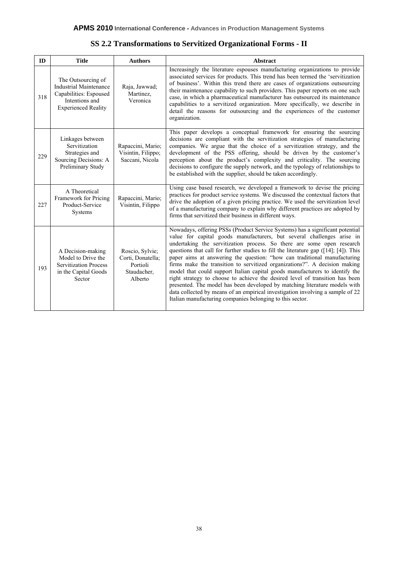| SS 2.2 Transformations to Servitized Organizational Forms - II |
|----------------------------------------------------------------|
|----------------------------------------------------------------|

| ID  | <b>Title</b>                                                                                                                  | <b>Authors</b>                                                             | Abstract                                                                                                                                                                                                                                                                                                                                                                                                                                                                                                                                                                                                                                                                                                                                                                                                                                                                            |
|-----|-------------------------------------------------------------------------------------------------------------------------------|----------------------------------------------------------------------------|-------------------------------------------------------------------------------------------------------------------------------------------------------------------------------------------------------------------------------------------------------------------------------------------------------------------------------------------------------------------------------------------------------------------------------------------------------------------------------------------------------------------------------------------------------------------------------------------------------------------------------------------------------------------------------------------------------------------------------------------------------------------------------------------------------------------------------------------------------------------------------------|
| 318 | The Outsourcing of<br><b>Industrial Maintenance</b><br>Capabilities: Espoused<br>Intentions and<br><b>Experienced Reality</b> | Raja, Jawwad;<br>Martinez,<br>Veronica                                     | Increasingly the literature espouses manufacturing organizations to provide<br>associated services for products. This trend has been termed the 'servitization<br>of business'. Within this trend there are cases of organizations outsourcing<br>their maintenance capability to such providers. This paper reports on one such<br>case, in which a pharmaceutical manufacturer has outsourced its maintenance<br>capabilities to a servitized organization. More specifically, we describe in<br>detail the reasons for outsourcing and the experiences of the customer<br>organization.                                                                                                                                                                                                                                                                                          |
| 229 | Linkages between<br>Servitization<br>Strategies and<br>Sourcing Decisions: A<br>Preliminary Study                             | Rapaccini, Mario;<br>Visintin, Filippo;<br>Saccani, Nicola                 | This paper develops a conceptual framework for ensuring the sourcing<br>decisions are compliant with the servitization strategies of manufacturing<br>companies. We argue that the choice of a servitization strategy, and the<br>development of the PSS offering, should be driven by the customer's<br>perception about the product's complexity and criticality. The sourcing<br>decisions to configure the supply network, and the typology of relationships to<br>be established with the supplier, should be taken accordingly.                                                                                                                                                                                                                                                                                                                                               |
| 227 | A Theoretical<br>Framework for Pricing<br>Product-Service<br>Systems                                                          | Rapaccini, Mario;<br>Visintin, Filippo                                     | Using case based research, we developed a framework to devise the pricing<br>practices for product service systems. We discussed the contextual factors that<br>drive the adoption of a given pricing practice. We used the servitization level<br>of a manufacturing company to explain why different practices are adopted by<br>firms that servitized their business in different ways.                                                                                                                                                                                                                                                                                                                                                                                                                                                                                          |
| 193 | A Decision-making<br>Model to Drive the<br><b>Servitization Process</b><br>in the Capital Goods<br>Sector                     | Roscio, Sylvie:<br>Corti, Donatella;<br>Portioli<br>Staudacher,<br>Alberto | Nowadays, offering PSSs (Product Service Systems) has a significant potential<br>value for capital goods manufacturers, but several challenges arise in<br>undertaking the servitization process. So there are some open research<br>questions that call for further studies to fill the literature gap $([14]; [4])$ . This<br>paper aims at answering the question: "how can traditional manufacturing<br>firms make the transition to servitized organizations?". A decision making<br>model that could support Italian capital goods manufacturers to identify the<br>right strategy to choose to achieve the desired level of transition has been<br>presented. The model has been developed by matching literature models with<br>data collected by means of an empirical investigation involving a sample of 22<br>Italian manufacturing companies belonging to this sector. |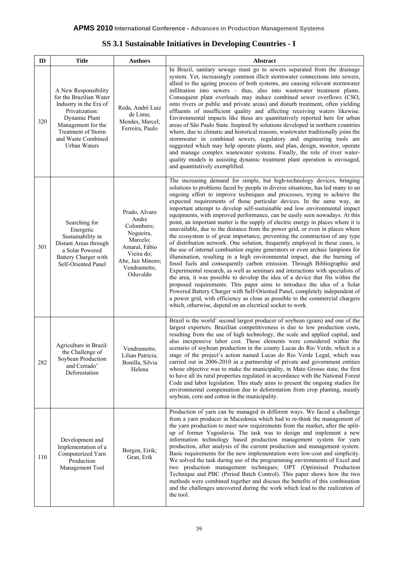| SS 3.1 Sustainable Initiatives in Developing Countries - I |  |
|------------------------------------------------------------|--|
|------------------------------------------------------------|--|

| ID  | <b>Title</b>                                                                                                                                                                                   | <b>Authors</b>                                                                                                                                | Abstract                                                                                                                                                                                                                                                                                                                                                                                                                                                                                                                                                                                                                                                                                                                                                                                                                                                                                                                                                                                                                                                                                                                                                                                                                                                                                                                                                                                                                                                                                                                                       |
|-----|------------------------------------------------------------------------------------------------------------------------------------------------------------------------------------------------|-----------------------------------------------------------------------------------------------------------------------------------------------|------------------------------------------------------------------------------------------------------------------------------------------------------------------------------------------------------------------------------------------------------------------------------------------------------------------------------------------------------------------------------------------------------------------------------------------------------------------------------------------------------------------------------------------------------------------------------------------------------------------------------------------------------------------------------------------------------------------------------------------------------------------------------------------------------------------------------------------------------------------------------------------------------------------------------------------------------------------------------------------------------------------------------------------------------------------------------------------------------------------------------------------------------------------------------------------------------------------------------------------------------------------------------------------------------------------------------------------------------------------------------------------------------------------------------------------------------------------------------------------------------------------------------------------------|
| 320 | A New Responsibility<br>for the Brazilian Water<br>Industry in the Era of<br>Privatization:<br>Dynamic Plant<br>Management for the<br>Treatment of Storm<br>and Waste Combined<br>Urban Waters | Reda, André Luiz<br>de Lima;<br>Mendes, Marcel;<br>Ferreira, Paulo                                                                            | In Brazil, sanitary sewage must go to sewers separated from the drainage<br>system. Yet, increasingly common illicit stormwater connections into sewers,<br>allied to the ageing process of both systems, are causing relevant stormwater<br>infiltration into sewers - thus, also into wastewater treatment plants.<br>Consequent plant overloads may induce combined sewer overflows (CSO,<br>onto rivers or public and private areas) and disturb treatment, often yielding<br>effluents of insufficient quality and affecting receiving waters likewise.<br>Environmental impacts like these are quantitatively reported here for urban<br>areas of São Paulo State. Inspired by solutions developed in northern countries<br>where, due to climatic and historical reasons, wastewater traditionally joins the<br>stormwater in combined sewers, regulatory and engineering tools are<br>suggested which may help operate plants, and plan, design, monitor, operate<br>and manage complex wastewater systems. Finally, the role of river water-<br>quality models in assisting dynamic treatment plant operation is envisaged,<br>and quantitatively exemplified.                                                                                                                                                                                                                                                                                                                                                                        |
| 301 | Searching for<br>Energetic<br>Sustainability in<br>Distant Areas through<br>a Solar Powered<br>Battery Charger with<br>Self-Oriented Panel                                                     | Prado, Alvaro<br>Andre<br>Colombero;<br>Nogueira,<br>Marcelo;<br>Amaral, Fábio<br>Vieira do;<br>Abe, Jair Minoro;<br>Vendrametto,<br>Oduvaldo | The increasing demand for simple, but high-technology devices, bringing<br>solutions to problems faced by people in diverse situations, has led many to an<br>ongoing effort to improve techniques and processes, trying to achieve the<br>expected requirements of those particular devices. In the same way, an<br>important attempt to develop self-sustainable and low environmental impact<br>equipments, with improved performance, can be easily seen nowadays. At this<br>point, an important matter is the supply of electric energy in places where it is<br>unavailable, due to the distance from the power grid, or even in places where<br>the ecosystem is of great importance, preventing the construction of any type<br>of distribution network. One solution, frequently employed in these cases, is<br>the use of internal combustion engine generators or even archaic lampions for<br>illumination, resulting in a high environmental impact, due the burning of<br>fossil fuels and consequently carbon emission. Through Bibliographic and<br>Experimental research, as well as seminars and interactions with specialists of<br>the area, it was possible to develop the idea of a device that fits within the<br>proposed requirements. This paper aims to introduce the idea of a Solar<br>Powered Battery Charger with Self-Oriented Panel, completely independent of<br>a power grid, with efficiency as close as possible to the commercial chargers<br>which, otherwise, depend on an electrical socket to work. |
| 282 | Agriculture in Brazil:<br>the Challenge of<br>Soybean Production<br>and Cerrado'<br>Deforestation                                                                                              | Vendrametto.<br>Lilian Patricia;<br>Bonilla, Silvia<br>Helena                                                                                 | Brazil is the world' second largest producer of soybean (grain) and one of the<br>largest exporters. Brazilian competitiveness is due to low production costs,<br>resulting from the use of high technology, the scale and applied capital, and<br>also inexpensive labor cost. These elements were considered within the<br>scenario of soybean production in the county Lucas do Rio Verde, which is a<br>stage of the project's action named Lucas do Rio Verde Legal, which was<br>carried out in 2006-2010 in a partnership of private and government entities<br>whose objective was to make the municipality, in Mato Grosso state, the first<br>to have all its rural properties regulated in accordance with the National Forest<br>Code and labor legislation. This study aims to present the ongoing studies for<br>environmental compensation due to deforestation from crop planting, mainly<br>soybean, corn and cotton in the municipality.                                                                                                                                                                                                                                                                                                                                                                                                                                                                                                                                                                                     |
| 110 | Development and<br>Implementation of a<br>Computerized Yarn<br>Production<br>Management Tool                                                                                                   | Borgen, Eirik;<br>Gran, Erik                                                                                                                  | Production of yarn can be managed in different ways. We faced a challenge<br>from a yarn producer in Macedonia which had to re-think the management of<br>the yarn production to meet new requirements from the market, after the split-<br>up of former Yugoslavia. The task was to design and implement a new<br>information technology based production management system for yarn<br>production, after analysis of the current production and management system.<br>Basic requirements for the new implementation were low-cost and simplicity.<br>We solved the task during use of the programming environments of Excel and<br>two production management techniques; OPT (Optimised Production<br>Technique and PBC (Period Batch Control). This paper shows how the two<br>methods were combined together and discuss the benefits of this combination<br>and the challenges uncovered during the work which lead to the realization of<br>the tool.                                                                                                                                                                                                                                                                                                                                                                                                                                                                                                                                                                                    |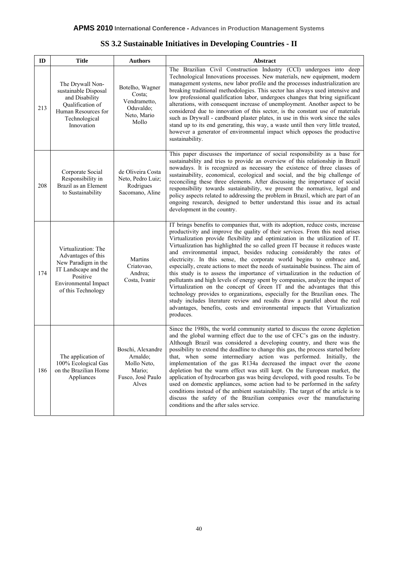| SS 3.2 Sustainable Initiatives in Developing Countries - II |  |  |
|-------------------------------------------------------------|--|--|
|                                                             |  |  |

| ID  | <b>Title</b>                                                                                                                                              | <b>Authors</b>                                                                       | Abstract                                                                                                                                                                                                                                                                                                                                                                                                                                                                                                                                                                                                                                                                                                                                                                                                                                                                                                                                                                                                                                                                       |
|-----|-----------------------------------------------------------------------------------------------------------------------------------------------------------|--------------------------------------------------------------------------------------|--------------------------------------------------------------------------------------------------------------------------------------------------------------------------------------------------------------------------------------------------------------------------------------------------------------------------------------------------------------------------------------------------------------------------------------------------------------------------------------------------------------------------------------------------------------------------------------------------------------------------------------------------------------------------------------------------------------------------------------------------------------------------------------------------------------------------------------------------------------------------------------------------------------------------------------------------------------------------------------------------------------------------------------------------------------------------------|
| 213 | The Drywall Non-<br>sustainable Disposal<br>and Disability<br>Qualification of<br>Human Resources for<br>Technological<br>Innovation                      | Botelho, Wagner<br>Costa;<br>Vendrametto,<br>Oduvaldo;<br>Neto, Mario<br>Mollo       | The Brazilian Civil Construction Industry (CCI) undergoes into deep<br>Technological Innovations processes. New materials, new equipment, modern<br>management systems, new labor profile and the processes industrialization are<br>breaking traditional methodologies. This sector has always used intensive and<br>low professional qualification labor, undergoes changes that bring significant<br>alterations, with consequent increase of unemployment. Another aspect to be<br>considered due to innovation of this sector, is the constant use of materials<br>such as Drywall - cardboard plaster plates, in use in this work since the sales<br>stand up to its end generating, this way, a waste until then very little treated,<br>however a generator of environmental impact which opposes the productive<br>sustainability.                                                                                                                                                                                                                                    |
| 208 | Corporate Social<br>Responsibility in<br>Brazil as an Element<br>to Sustainability                                                                        | de Oliveira Costa<br>Neto, Pedro Luiz;<br>Rodrigues<br>Sacomano, Aline               | This paper discusses the importance of social responsibility as a base for<br>sustainability and tries to provide an overview of this relationship in Brazil<br>nowadays. It is recognized as necessary the existence of three classes of<br>sustainability, economical, ecological and social, and the big challenge of<br>reconciling these three elements. After discussing the importance of social<br>responsibility towards sustainability, we present the normative, legal and<br>policy aspects related to addressing the problem in Brazil, which are part of an<br>ongoing research, designed to better understand this issue and its actual<br>development in the country.                                                                                                                                                                                                                                                                                                                                                                                          |
| 174 | Virtualization: The<br>Advantages of this<br>New Paradigm in the<br>IT Landscape and the<br>Positive<br><b>Environmental Impact</b><br>of this Technology | Martins<br>Criatovao,<br>Andrea;<br>Costa, Ivanir                                    | IT brings benefits to companies that, with its adoption, reduce costs, increase<br>productivity and improve the quality of their services. From this need arises<br>Virtualization provide flexibility and optimization in the utilization of IT.<br>Virtualization has highlighted the so called green IT because it reduces waste<br>and environmental impact, besides reducing considerably the rates of<br>electricity. In this sense, the corporate world begins to embrace and,<br>especially, create actions to meet the needs of sustainable business. The aim of<br>this study is to assess the importance of virtualization in the reduction of<br>pollutants and high levels of energy spent by companies, analyze the impact of<br>Virtualization on the concept of Green IT and the advantages that this<br>technology provides to organizations, especially for the Brazilian ones. The<br>study includes literature review and results draw a parallel about the real<br>advantages, benefits, costs and environmental impacts that Virtualization<br>produces. |
| 186 | The application of<br>100% Ecological Gas<br>on the Brazilian Home<br>Appliances                                                                          | Boschi, Alexandre<br>Arnaldo;<br>Mollo Neto,<br>Mario;<br>Fusco, José Paulo<br>Alves | Since the 1980s, the world community started to discuss the ozone depletion<br>and the global warming effect due to the use of CFC's gas on the industry.<br>Although Brazil was considered a developing country, and there was the<br>possibility to extend the deadline to change this gas, the process started before<br>that, when some intermediary action was performed. Initially, the<br>implementation of the gas R134a decreased the impact over the ozone<br>depletion but the warm effect was still kept. On the European market, the<br>application of hydrocarbon gas was being developed, with good results. To be<br>used on domestic appliances, some action had to be performed in the safety<br>conditions instead of the ambient sustainability. The target of the article is to<br>discuss the safety of the Brazilian companies over the manufacturing<br>conditions and the after sales service.                                                                                                                                                        |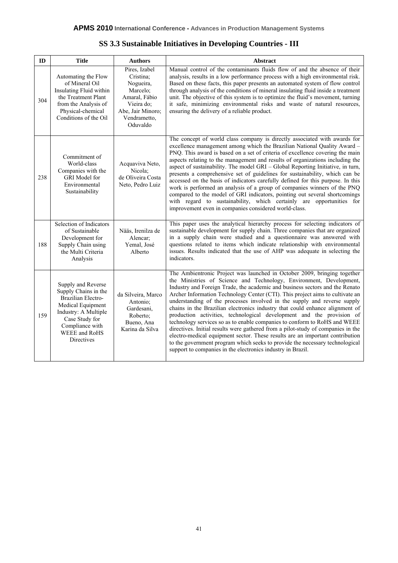| SS 3.3 Sustainable Initiatives in Developing Countries - III |  |  |
|--------------------------------------------------------------|--|--|
|                                                              |  |  |

| ID  | <b>Title</b>                                                                                                                                                                             | <b>Authors</b>                                                                                                                      | <b>Abstract</b>                                                                                                                                                                                                                                                                                                                                                                                                                                                                                                                                                                                                                                                                                                                                                                                                                                                                                                                                        |
|-----|------------------------------------------------------------------------------------------------------------------------------------------------------------------------------------------|-------------------------------------------------------------------------------------------------------------------------------------|--------------------------------------------------------------------------------------------------------------------------------------------------------------------------------------------------------------------------------------------------------------------------------------------------------------------------------------------------------------------------------------------------------------------------------------------------------------------------------------------------------------------------------------------------------------------------------------------------------------------------------------------------------------------------------------------------------------------------------------------------------------------------------------------------------------------------------------------------------------------------------------------------------------------------------------------------------|
| 304 | Automating the Flow<br>of Mineral Oil<br>Insulating Fluid within<br>the Treatment Plant<br>from the Analysis of<br>Physical-chemical<br>Conditions of the Oil                            | Pires, Izabel<br>Cristina;<br>Nogueira,<br>Marcelo;<br>Amaral, Fábio<br>Vieira do;<br>Abe, Jair Minoro;<br>Vendrametto,<br>Oduvaldo | Manual control of the contaminants fluids flow of and the absence of their<br>analysis, results in a low performance process with a high environmental risk.<br>Based on these facts, this paper presents an automated system of flow control<br>through analysis of the conditions of mineral insulating fluid inside a treatment<br>unit. The objective of this system is to optimize the fluid's movement, turning<br>it safe, minimizing environmental risks and waste of natural resources,<br>ensuring the delivery of a reliable product.                                                                                                                                                                                                                                                                                                                                                                                                       |
| 238 | Commitment of<br>World-class<br>Companies with the<br><b>GRI</b> Model for<br>Environmental<br>Sustainability                                                                            | Acquaviva Neto,<br>Nicola;<br>de Oliveira Costa<br>Neto, Pedro Luiz                                                                 | The concept of world class company is directly associated with awards for<br>excellence management among which the Brazilian National Quality Award -<br>PNQ. This award is based on a set of criteria of excellence covering the main<br>aspects relating to the management and results of organizations including the<br>aspect of sustainability. The model GRI – Global Reporting Initiative, in turn,<br>presents a comprehensive set of guidelines for sustainability, which can be<br>accessed on the basis of indicators carefully defined for this purpose. In this<br>work is performed an analysis of a group of companies winners of the PNQ<br>compared to the model of GRI indicators, pointing out several shortcomings<br>with regard to sustainability, which certainly are opportunities for<br>improvement even in companies considered world-class.                                                                                |
| 188 | Selection of Indicators<br>of Sustainable<br>Development for<br>Supply Chain using<br>the Multi Criteria<br>Analysis                                                                     | Nääs, Irenilza de<br>Alencar;<br>Yemal, José<br>Alberto                                                                             | This paper uses the analytical hierarchy process for selecting indicators of<br>sustainable development for supply chain. Three companies that are organized<br>in a supply chain were studied and a questionnaire was answered with<br>questions related to items which indicate relationship with environmental<br>issues. Results indicated that the use of AHP was adequate in selecting the<br>indicators.                                                                                                                                                                                                                                                                                                                                                                                                                                                                                                                                        |
| 159 | Supply and Reverse<br>Supply Chains in the<br>Brazilian Electro-<br>Medical Equipment<br>Industry: A Multiple<br>Case Study for<br>Compliance with<br>WEEE and RoHS<br><b>Directives</b> | da Silveira, Marco<br>Antonio:<br>Gardesani,<br>Roberto;<br>Bueno, Ana<br>Karina da Silva                                           | The Ambientronic Project was launched in October 2009, bringing together<br>the Ministries of Science and Technology, Environment, Development,<br>Industry and Foreign Trade, the academic and business sectors and the Renato<br>Archer Information Technology Center (CTI). This project aims to cultivate an<br>understanding of the processes involved in the supply and reverse supply<br>chains in the Brazilian electronics industry that could enhance alignment of<br>production activities, technological development and the provision of<br>technology services so as to enable companies to conform to RoHS and WEEE<br>directives. Initial results were gathered from a pilot-study of companies in the<br>electro-medical equipment sector. These results are an important contribution<br>to the government program which seeks to provide the necessary technological<br>support to companies in the electronics industry in Brazil. |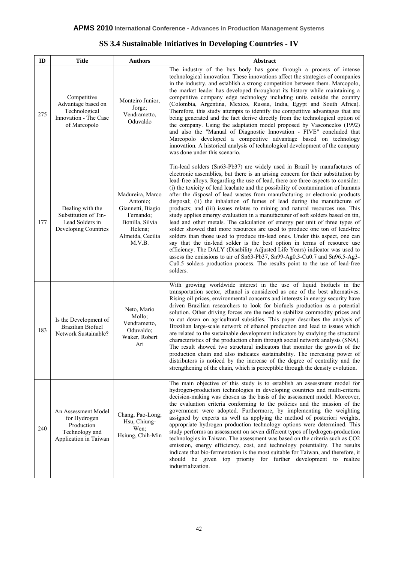| ID  | <b>Title</b>                                                                                 | <b>Authors</b>                                                                                                             | Abstract                                                                                                                                                                                                                                                                                                                                                                                                                                                                                                                                                                                                                                                                                                                                                                                                                                                                                                                                                                                                                                                                                                                                                                                                                                              |
|-----|----------------------------------------------------------------------------------------------|----------------------------------------------------------------------------------------------------------------------------|-------------------------------------------------------------------------------------------------------------------------------------------------------------------------------------------------------------------------------------------------------------------------------------------------------------------------------------------------------------------------------------------------------------------------------------------------------------------------------------------------------------------------------------------------------------------------------------------------------------------------------------------------------------------------------------------------------------------------------------------------------------------------------------------------------------------------------------------------------------------------------------------------------------------------------------------------------------------------------------------------------------------------------------------------------------------------------------------------------------------------------------------------------------------------------------------------------------------------------------------------------|
| 275 | Competitive<br>Advantage based on<br>Technological<br>Innovation - The Case<br>of Marcopolo  | Monteiro Junior,<br>Jorge;<br>Vendrametto,<br>Oduvaldo                                                                     | The industry of the bus body has gone through a process of intense<br>technological innovation. These innovations affect the strategies of companies<br>in the industry, and establish a strong competition between them. Marcopolo,<br>the market leader has developed throughout its history while maintaining a<br>competitive company edge technology including units outside the country<br>(Colombia, Argentina, Mexico, Russia, India, Egypt and South Africa).<br>Therefore, this study attempts to identify the competitive advantages that are<br>being generated and the fact derive directly from the technological option of<br>the company. Using the adaptation model proposed by Vasconcelos (1992)<br>and also the "Manual of Diagnostic Innovation - FIVE" concluded that<br>Marcopolo developed a competitive advantage based on technology<br>innovation. A historical analysis of technological development of the company<br>was done under this scenario.                                                                                                                                                                                                                                                                      |
| 177 | Dealing with the<br>Substitution of Tin-<br>Lead Solders in<br>Developing Countries          | Madureira, Marco<br>Antonio;<br>Giannetti, Biagio<br>Fernando;<br>Bonilla, Silvia<br>Helena;<br>Almeida, Cecilia<br>M.V.B. | Tin-lead solders (Sn63-Pb37) are widely used in Brazil by manufactures of<br>electronic assemblies, but there is an arising concern for their substitution by<br>lead-free alloys. Regarding the use of lead, there are three aspects to consider:<br>(i) the toxicity of lead leachate and the possibility of contamination of humans<br>after the disposal of lead wastes from manufacturing or electronic products<br>disposal; (ii) the inhalation of fumes of lead during the manufacture of<br>products; and (iii) issues relates to mining and natural resources use. This<br>study applies emergy evaluation in a manufacturer of soft solders based on tin,<br>lead and other metals. The calculation of emergy per unit of three types of<br>solder showed that more resources are used to produce one ton of lead-free<br>solders than those used to produce tin-lead ones. Under this aspect, one can<br>say that the tin-lead solder is the best option in terms of resource use<br>efficiency. The DALY (Disability Adjusted Life Years) indicator was used to<br>assess the emissions to air of Sn63-Pb37, Sn99-Ag0.3-Cu0.7 and Sn96.5-Ag3-<br>Cu0.5 solders production process. The results point to the use of lead-free<br>solders. |
| 183 | Is the Development of<br><b>Brazilian Biofuel</b><br>Network Sustainable?                    | Neto, Mario<br>Mollo;<br>Vendrametto,<br>Oduvaldo;<br>Waker, Robert<br>Ari                                                 | With growing worldwide interest in the use of liquid biofuels in the<br>transportation sector, ethanol is considered as one of the best alternatives.<br>Rising oil prices, environmental concerns and interests in energy security have<br>driven Brazilian researchers to look for biofuels production as a potential<br>solution. Other driving forces are the need to stabilize commodity prices and<br>to cut down on agricultural subsidies. This paper describes the analysis of<br>Brazilian large-scale network of ethanol production and lead to issues which<br>are related to the sustainable development indicators by studying the structural<br>characteristics of the production chain through social network analysis (SNA).<br>The result showed two structural indicators that monitor the growth of the<br>production chain and also indicates sustainability. The increasing power of<br>distributors is noticed by the increase of the degree of centrality and the<br>strengthening of the chain, which is perceptible through the density evolution.                                                                                                                                                                          |
| 240 | An Assessment Model<br>for Hydrogen<br>Production<br>Technology and<br>Application in Taiwan | Chang, Pao-Long;<br>Hsu, Chiung-<br>Wen;<br>Hsiung, Chih-Min                                                               | The main objective of this study is to establish an assessment model for<br>hydrogen-production technologies in developing countries and multi-criteria<br>decision-making was chosen as the basis of the assessment model. Moreover,<br>the evaluation criteria conforming to the policies and the mission of the<br>government were adopted. Furthermore, by implementing the weighting<br>assigned by experts as well as applying the method of posteriori weights,<br>appropriate hydrogen production technology options were determined. This<br>study performs an assessment on seven different types of hydrogen-production<br>technologies in Taiwan. The assessment was based on the criteria such as CO2<br>emission, energy efficiency, cost, and technology potentiality. The results<br>indicate that bio-fermentation is the most suitable for Taiwan, and therefore, it<br>should be given top priority for further development to realize<br>industrialization.                                                                                                                                                                                                                                                                       |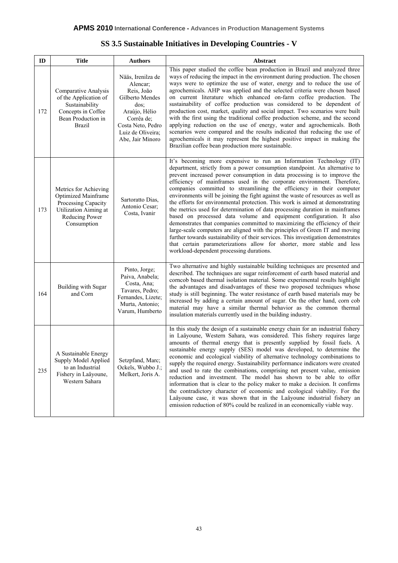| ID  | <b>Title</b>                                                                                                                         | <b>Authors</b>                                                                                                                                                        | Abstract                                                                                                                                                                                                                                                                                                                                                                                                                                                                                                                                                                                                                                                                                                                                                                                                                                                                                                                                                                                                                                                                              |
|-----|--------------------------------------------------------------------------------------------------------------------------------------|-----------------------------------------------------------------------------------------------------------------------------------------------------------------------|---------------------------------------------------------------------------------------------------------------------------------------------------------------------------------------------------------------------------------------------------------------------------------------------------------------------------------------------------------------------------------------------------------------------------------------------------------------------------------------------------------------------------------------------------------------------------------------------------------------------------------------------------------------------------------------------------------------------------------------------------------------------------------------------------------------------------------------------------------------------------------------------------------------------------------------------------------------------------------------------------------------------------------------------------------------------------------------|
| 172 | Comparative Analysis<br>of the Application of<br>Sustainability<br>Concepts in Coffee<br>Bean Production in<br><b>Brazil</b>         | Nääs, Irenilza de<br>Alencar;<br>Reis, João<br>Gilberto Mendes<br>$\cos$<br>Araújo, Hélio<br>Corrêa de;<br>Costa Neto, Pedro<br>Luiz de Oliveira;<br>Abe, Jair Minoro | This paper studied the coffee bean production in Brazil and analyzed three<br>ways of reducing the impact in the environment during production. The chosen<br>ways were to optimize the use of water, energy and to reduce the use of<br>agrochemicals. AHP was applied and the selected criteria were chosen based<br>on current literature which enhanced on-farm coffee production. The<br>sustainability of coffee production was considered to be dependent of<br>production cost, market, quality and social impact. Two scenarios were built<br>with the first using the traditional coffee production scheme, and the second<br>applying reduction on the use of energy, water and agrochemicals. Both<br>scenarios were compared and the results indicated that reducing the use of<br>agrochemicals it may represent the highest positive impact in making the<br>Brazilian coffee bean production more sustainable.                                                                                                                                                        |
| 173 | Metrics for Achieving<br><b>Optimized Mainframe</b><br>Processing Capacity<br>Utilization Aiming at<br>Reducing Power<br>Consumption | Sartoratto Dias.<br>Antonio Cesar;<br>Costa, Ivanir                                                                                                                   | It's becoming more expensive to run an Information Technology (IT)<br>department, strictly from a power consumption standpoint. An alternative to<br>prevent increased power consumption in data processing is to improve the<br>efficiency of mainframes used in the corporate environment. Therefore,<br>companies committed to streamlining the efficiency in their computer<br>environments will be joining the fight against the waste of resources as well as<br>the efforts for environmental protection. This work is aimed at demonstrating<br>the metrics used for determination of data processing duration in mainframes<br>based on processed data volume and equipment configuration. It also<br>demonstrates that companies committed to maximizing the efficiency of their<br>large-scale computers are aligned with the principles of Green IT and moving<br>further towards sustainability of their services. This investigation demonstrates<br>that certain parameterizations allow for shorter, more stable and less<br>workload-dependent processing durations. |
| 164 | Building with Sugar<br>and Corn                                                                                                      | Pinto, Jorge;<br>Paiva, Anabela;<br>Costa, Ana;<br>Tavares, Pedro;<br>Fernandes, Lizete;<br>Murta, Antonio;<br>Varum, Humberto                                        | Two alternative and highly sustainable building techniques are presented and<br>described. The techniques are sugar reinforcement of earth based material and<br>corncob based thermal isolation material. Some experimental results highlight<br>the advantages and disadvantages of these two proposed techniques whose<br>study is still beginning. The water resistance of earth based materials may be<br>increased by adding a certain amount of sugar. On the other hand, corn cob<br>material may have a similar thermal behavior as the common thermal<br>insulation materials currently used in the building industry.                                                                                                                                                                                                                                                                                                                                                                                                                                                      |
| 235 | A Sustainable Energy<br>Supply Model Applied<br>to an Industrial<br>Fishery in Laâyoune,<br>Western Sahara                           | Setzpfand, Marc;<br>Ockels, Wubbo J.;<br>Melkert, Joris A.                                                                                                            | In this study the design of a sustainable energy chain for an industrial fishery<br>in Laâyoune, Western Sahara, was considered. This fishery requires large<br>amounts of thermal energy that is presently supplied by fossil fuels. A<br>sustainable energy supply (SES) model was developed, to determine the<br>economic and ecological viability of alternative technology combinations to<br>supply the required energy. Sustainability performance indicators were created<br>and used to rate the combinations, comprising net present value, emission<br>reduction and investment. The model has shown to be able to offer<br>information that is clear to the policy maker to make a decision. It confirms<br>the contradictory character of economic and ecological viability. For the<br>Laâyoune case, it was shown that in the Laâyoune industrial fishery an<br>emission reduction of 80% could be realized in an economically viable way.                                                                                                                             |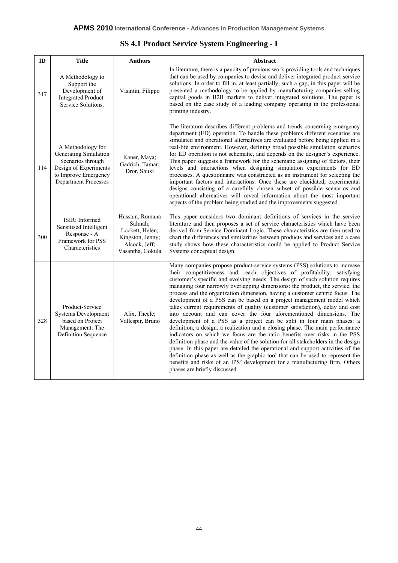|  |  | <b>SS 4.1 Product Service System Engineering - I</b> |  |
|--|--|------------------------------------------------------|--|
|  |  |                                                      |  |

| ID  | <b>Title</b>                                                                                                                             | <b>Authors</b>                                                                                         | <b>Abstract</b>                                                                                                                                                                                                                                                                                                                                                                                                                                                                                                                                                                                                                                                                                                                                                                                                                                                                                                                                                                                                                                                                                                                                                                                                                                                   |
|-----|------------------------------------------------------------------------------------------------------------------------------------------|--------------------------------------------------------------------------------------------------------|-------------------------------------------------------------------------------------------------------------------------------------------------------------------------------------------------------------------------------------------------------------------------------------------------------------------------------------------------------------------------------------------------------------------------------------------------------------------------------------------------------------------------------------------------------------------------------------------------------------------------------------------------------------------------------------------------------------------------------------------------------------------------------------------------------------------------------------------------------------------------------------------------------------------------------------------------------------------------------------------------------------------------------------------------------------------------------------------------------------------------------------------------------------------------------------------------------------------------------------------------------------------|
| 317 | A Methodology to<br>Support the<br>Development of<br>Integrated Product-<br>Service Solutions.                                           | Visintin, Filippo                                                                                      | In literature, there is a paucity of previous work providing tools and techniques<br>that can be used by companies to devise and deliver integrated product-service<br>solutions. In order to fill in, at least partially, such a gap, in this paper will be<br>presented a methodology to be applied by manufacturing companies selling<br>capital goods in B2B markets to deliver integrated solutions. The paper is<br>based on the case study of a leading company operating in the professional<br>printing industry.                                                                                                                                                                                                                                                                                                                                                                                                                                                                                                                                                                                                                                                                                                                                        |
| 114 | A Methodology for<br>Generating Simulation<br>Scenarios through<br>Design of Experiments<br>to Improve Emergency<br>Department Processes | Kaner, Maya;<br>Gadrich, Tamar;<br>Dror, Shuki                                                         | The literature describes different problems and trends concerning emergency<br>department (ED) operation. To handle these problems different scenarios are<br>simulated and operational alternatives are evaluated before being applied in a<br>real-life environment. However, defining broad possible simulation scenarios<br>for ED operation is not schematic, and depends on the designer's experience.<br>This paper suggests a framework for the schematic assigning of factors, their<br>levels and interactions when designing simulation experiments for ED<br>processes. A questionnaire was constructed as an instrument for selecting the<br>important factors and interactions. Once these are elucidated, experimental<br>designs consisting of a carefully chosen subset of possible scenarios and<br>operational alternatives will reveal information about the most important<br>aspects of the problem being studied and the improvements suggested.                                                                                                                                                                                                                                                                                           |
| 300 | ISIR: Informed<br>Sensitised Intelligent<br>Response - A<br>Framework for PSS<br>Characteristics                                         | Hussain, Romana<br>Salmah;<br>Lockett, Helen;<br>Kingston, Jenny;<br>Alcock, Jeff;<br>Vasantha, Gokula | This paper considers two dominant definitions of services in the service<br>literature and then proposes a set of service characteristics which have been<br>derived from Service Dominant Logic. These characteristics are then used to<br>chart the differences and similarities between products and services and a case<br>study shows how these characteristics could be applied to Product Service<br>Systems conceptual design.                                                                                                                                                                                                                                                                                                                                                                                                                                                                                                                                                                                                                                                                                                                                                                                                                            |
| 328 | Product-Service<br><b>Systems Development</b><br>based on Project<br>Management: The<br>Definition Sequence                              | Alix, Thecle;<br>Vallespir, Bruno                                                                      | Many companies propose product-service systems (PSS) solutions to increase<br>their competitiveness and reach objectives of profitability, satisfying<br>customer's specific and evolving needs. The design of such solution requires<br>managing four narrowly overlapping dimensions: the product, the service, the<br>process and the organization dimension, having a customer centric focus. The<br>development of a PSS can be based on a project management model which<br>takes current requirements of quality (customer satisfaction), delay and cost<br>into account and can cover the four aforementioned dimensions. The<br>development of a PSS as a project can be split in four main phases: a<br>definition, a design, a realization and a closing phase. The main performance<br>indicators on which we focus are the ratio benefits over risks in the PSS<br>definition phase and the value of the solution for all stakeholders in the design<br>phase. In this paper are detailed the operational and support activities of the<br>definition phase as well as the graphic tool that can be used to represent the<br>benefits and risks of an IPS <sup>2</sup> development for a manufacturing firm. Others<br>phases are briefly discussed. |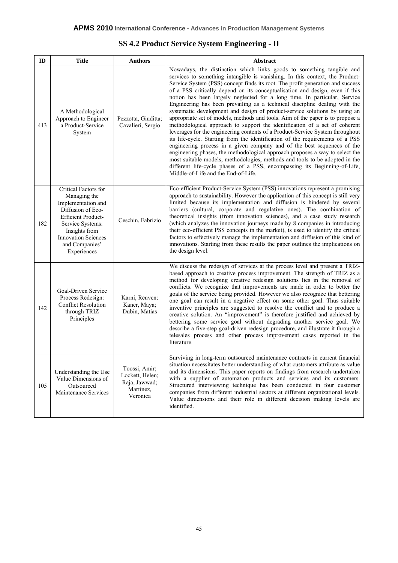| ID  | <b>Title</b>                                                                                                                                                                                                     | <b>Authors</b>                                                             | Abstract                                                                                                                                                                                                                                                                                                                                                                                                                                                                                                                                                                                                                                                                                                                                                                                                                                                                                                                                                                                                                                                                                                                                                                                                                                                         |
|-----|------------------------------------------------------------------------------------------------------------------------------------------------------------------------------------------------------------------|----------------------------------------------------------------------------|------------------------------------------------------------------------------------------------------------------------------------------------------------------------------------------------------------------------------------------------------------------------------------------------------------------------------------------------------------------------------------------------------------------------------------------------------------------------------------------------------------------------------------------------------------------------------------------------------------------------------------------------------------------------------------------------------------------------------------------------------------------------------------------------------------------------------------------------------------------------------------------------------------------------------------------------------------------------------------------------------------------------------------------------------------------------------------------------------------------------------------------------------------------------------------------------------------------------------------------------------------------|
| 413 | A Methodological<br>Approach to Engineer<br>a Product-Service<br>System                                                                                                                                          | Pezzotta, Giuditta;<br>Cavalieri, Sergio                                   | Nowadays, the distinction which links goods to something tangible and<br>services to something intangible is vanishing. In this context, the Product-<br>Service System (PSS) concept finds its root. The profit generation and success<br>of a PSS critically depend on its conceptualisation and design, even if this<br>notion has been largely neglected for a long time. In particular, Service<br>Engineering has been prevailing as a technical discipline dealing with the<br>systematic development and design of product-service solutions by using an<br>appropriate set of models, methods and tools. Aim of the paper is to propose a<br>methodological approach to support the identification of a set of coherent<br>leverages for the engineering contents of a Product-Service System throughout<br>its life-cycle. Starting from the identification of the requirements of a PSS<br>engineering process in a given company and of the best sequences of the<br>engineering phases, the methodological approach proposes a way to select the<br>most suitable models, methodologies, methods and tools to be adopted in the<br>different life-cycle phases of a PSS, encompassing its Beginning-of-Life,<br>Middle-of-Life and the End-of-Life. |
| 182 | Critical Factors for<br>Managing the<br>Implementation and<br>Diffusion of Eco-<br><b>Efficient Product-</b><br>Service Systems:<br>Insights from<br><b>Innovation Sciences</b><br>and Companies'<br>Experiences | Ceschin, Fabrizio                                                          | Eco-efficient Product-Service System (PSS) innovations represent a promising<br>approach to sustainability. However the application of this concept is still very<br>limited because its implementation and diffusion is hindered by several<br>barriers (cultural, corporate and regulative ones). The combination of<br>theoretical insights (from innovation sciences), and a case study research<br>(which analyzes the innovation journeys made by 8 companies in introducing<br>their eco-efficient PSS concepts in the market), is used to identify the critical<br>factors to effectively manage the implementation and diffusion of this kind of<br>innovations. Starting from these results the paper outlines the implications on<br>the design level.                                                                                                                                                                                                                                                                                                                                                                                                                                                                                                |
| 142 | Goal-Driven Service<br>Process Redesign:<br><b>Conflict Resolution</b><br>through TRIZ<br>Principles                                                                                                             | Karni, Reuven;<br>Kaner, Maya;<br>Dubin, Matias                            | We discuss the redesign of services at the process level and present a TRIZ-<br>based approach to creative process improvement. The strength of TRIZ as a<br>method for developing creative redesign solutions lies in the removal of<br>conflicts. We recognize that improvements are made in order to better the<br>goals of the service being provided. However we also recognize that bettering<br>one goal can result in a negative effect on some other goal. Thus suitable<br>inventive principles are suggested to resolve the conflict and to produce a<br>creative solution. An "improvement" is therefore justified and achieved by<br>bettering some service goal without degrading another service goal. We<br>describe a five-step goal-driven redesign procedure, and illustrate it through a<br>telesales process and other process improvement cases reported in the<br>literature.                                                                                                                                                                                                                                                                                                                                                             |
| 105 | Understanding the Use<br>Value Dimensions of<br>Outsourced<br>Maintenance Services                                                                                                                               | Toossi, Amir;<br>Lockett, Helen;<br>Raja, Jawwad;<br>Martinez,<br>Veronica | Surviving in long-term outsourced maintenance contracts in current financial<br>situation necessitates better understanding of what customers attribute as value<br>and its dimensions. This paper reports on findings from research undertaken<br>with a supplier of automation products and services and its customers.<br>Structured interviewing technique has been conducted in four customer<br>companies from different industrial sectors at different organizational levels.<br>Value dimensions and their role in different decision making levels are<br>identified.                                                                                                                                                                                                                                                                                                                                                                                                                                                                                                                                                                                                                                                                                  |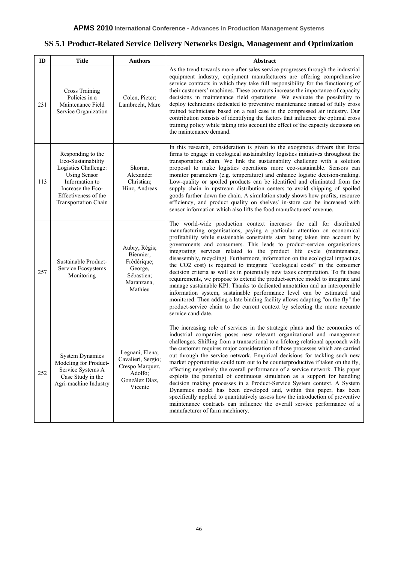# **SS 5.1 Product-Related Service Delivery Networks Design, Management and Optimization**

| ID  | <b>Title</b>                                                                                                                                                                         | <b>Authors</b>                                                                                   | Abstract                                                                                                                                                                                                                                                                                                                                                                                                                                                                                                                                                                                                                                                                                                                                                                                                                                                                                                                                                                                                                                                                |
|-----|--------------------------------------------------------------------------------------------------------------------------------------------------------------------------------------|--------------------------------------------------------------------------------------------------|-------------------------------------------------------------------------------------------------------------------------------------------------------------------------------------------------------------------------------------------------------------------------------------------------------------------------------------------------------------------------------------------------------------------------------------------------------------------------------------------------------------------------------------------------------------------------------------------------------------------------------------------------------------------------------------------------------------------------------------------------------------------------------------------------------------------------------------------------------------------------------------------------------------------------------------------------------------------------------------------------------------------------------------------------------------------------|
| 231 | Cross Training<br>Policies in a<br>Maintenance Field<br>Service Organization                                                                                                         | Colen, Pieter;<br>Lambrecht, Marc                                                                | As the trend towards more after sales service progresses through the industrial<br>equipment industry, equipment manufacturers are offering comprehensive<br>service contracts in which they take full responsibility for the functioning of<br>their customers' machines. These contracts increase the importance of capacity<br>decisions in maintenance field operations. We evaluate the possibility to<br>deploy technicians dedicated to preventive maintenance instead of fully cross<br>trained technicians based on a real case in the compressed air industry. Our<br>contribution consists of identifying the factors that influence the optimal cross<br>training policy while taking into account the effect of the capacity decisions on<br>the maintenance demand.                                                                                                                                                                                                                                                                                       |
| 113 | Responding to the<br>Eco-Sustainability<br>Logistics Challenge:<br><b>Using Sensor</b><br>Information to<br>Increase the Eco-<br>Effectiveness of the<br><b>Transportation Chain</b> | Skorna,<br>Alexander<br>Christian;<br>Hinz, Andreas                                              | In this research, consideration is given to the exogenous drivers that force<br>firms to engage in ecological sustainability logistics initiatives throughout the<br>transportation chain. We link the sustainability challenge with a solution<br>proposal to make logistics operations more eco-sustainable. Sensors can<br>monitor parameters (e.g. temperature) and enhance logistic decision-making.<br>Low-quality or spoiled products can be identified and eliminated from the<br>supply chain in upstream distribution centers to avoid shipping of spoiled<br>goods further down the chain. A simulation study shows how profits, resource<br>efficiency, and product quality on shelves' in-store can be increased with<br>sensor information which also lifts the food manufacturers' revenue.                                                                                                                                                                                                                                                              |
| 257 | Sustainable Product-<br>Service Ecosystems<br>Monitoring                                                                                                                             | Aubry, Régis;<br>Biennier,<br>Frédérique;<br>George,<br>Sébastien;<br>Maranzana,<br>Mathieu      | The world-wide production context increases the call for distributed<br>manufacturing organisations, paying a particular attention on economical<br>profitability while sustainable constraints start being taken into account by<br>governments and consumers. This leads to product-service organisations<br>integrating services related to the product life cycle (maintenance,<br>disassembly, recycling). Furthermore, information on the ecological impact (as<br>the CO2 cost) is required to integrate "ecological costs" in the consumer<br>decision criteria as well as in potentially new taxes computation. To fit these<br>requirements, we propose to extend the product-service model to integrate and<br>manage sustainable KPI. Thanks to dedicated annotation and an interoperable<br>information system, sustainable performance level can be estimated and<br>monitored. Then adding a late binding facility allows adapting "on the fly" the<br>product-service chain to the current context by selecting the more accurate<br>service candidate. |
| 252 | <b>System Dynamics</b><br>Modeling for Product-<br>Service Systems A<br>Case Study in the<br>Agri-machine Industry                                                                   | Legnani, Elena;<br>Cavalieri, Sergio;<br>Crespo Marquez,<br>Adolfo;<br>González Díaz,<br>Vicente | The increasing role of services in the strategic plans and the economics of<br>industrial companies poses new relevant organizational and management<br>challenges. Shifting from a transactional to a lifelong relational approach with<br>the customer requires major consideration of those processes which are carried<br>out through the service network. Empirical decisions for tackling such new<br>market opportunities could turn out to be counterproductive if taken on the fly,<br>affecting negatively the overall performance of a service network. This paper<br>exploits the potential of continuous simulation as a support for handling<br>decision making processes in a Product-Service System context. A System<br>Dynamics model has been developed and, within this paper, has been<br>specifically applied to quantitatively assess how the introduction of preventive<br>maintenance contracts can influence the overall service performance of a<br>manufacturer of farm machinery.                                                          |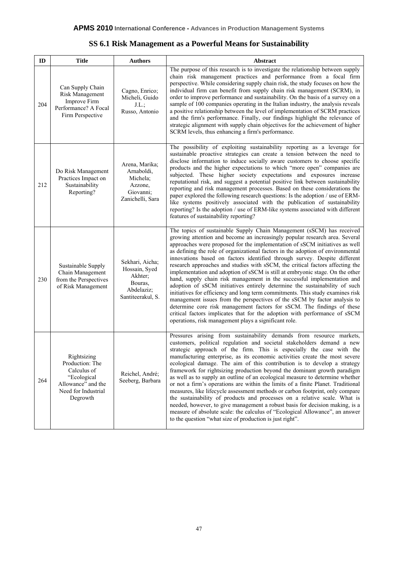| ID  | <b>Title</b>                                                                                                          | <b>Authors</b>                                                                            | <b>Abstract</b>                                                                                                                                                                                                                                                                                                                                                                                                                                                                                                                                                                                                                                                                                                                                                                                                                                                                                                                                                                                                                                                                                                |
|-----|-----------------------------------------------------------------------------------------------------------------------|-------------------------------------------------------------------------------------------|----------------------------------------------------------------------------------------------------------------------------------------------------------------------------------------------------------------------------------------------------------------------------------------------------------------------------------------------------------------------------------------------------------------------------------------------------------------------------------------------------------------------------------------------------------------------------------------------------------------------------------------------------------------------------------------------------------------------------------------------------------------------------------------------------------------------------------------------------------------------------------------------------------------------------------------------------------------------------------------------------------------------------------------------------------------------------------------------------------------|
| 204 | Can Supply Chain<br>Risk Management<br>Improve Firm<br>Performance? A Focal<br>Firm Perspective                       | Cagno, Enrico;<br>Micheli, Guido<br>J.L.;<br>Russo, Antonio                               | The purpose of this research is to investigate the relationship between supply<br>chain risk management practices and performance from a focal firm<br>perspective. While considering supply chain risk, the study focuses on how the<br>individual firm can benefit from supply chain risk management (SCRM), in<br>order to improve performance and sustainability. On the basis of a survey on a<br>sample of 100 companies operating in the Italian industry, the analysis reveals<br>a positive relationship between the level of implementation of SCRM practices<br>and the firm's performance. Finally, our findings highlight the relevance of<br>strategic alignment with supply chain objectives for the achievement of higher<br>SCRM levels, thus enhancing a firm's performance.                                                                                                                                                                                                                                                                                                                 |
| 212 | Do Risk Management<br>Practices Impact on<br>Sustainability<br>Reporting?                                             | Arena, Marika;<br>Arnaboldi,<br>Michela;<br>Azzone,<br>Giovanni;<br>Zanichelli, Sara      | The possibility of exploiting sustainability reporting as a leverage for<br>sustainable proactive strategies can create a tension between the need to<br>disclose information to induce socially aware customers to choose specific<br>products and the higher expectations to which "more open" companies are<br>subjected. These higher society expectations and exposures increase<br>reputational risk, and suggest a potential positive link between sustainability<br>reporting and risk management processes. Based on these considerations the<br>paper explored the following research questions: Is the adoption / use of ERM-<br>like systems positively associated with the publication of sustainability<br>reporting? Is the adoption / use of ERM-like systems associated with different<br>features of sustainability reporting?                                                                                                                                                                                                                                                               |
| 230 | Sustainable Supply<br>Chain Management<br>from the Perspectives<br>of Risk Management                                 | Sekhari, Aicha;<br>Hossain, Syed<br>Akhter;<br>Bouras.<br>Abdelaziz;<br>Santiteerakul, S. | The topics of sustainable Supply Chain Management (sSCM) has received<br>growing attention and become an increasingly popular research area. Several<br>approaches were proposed for the implementation of sSCM initiatives as well<br>as defining the role of organizational factors in the adoption of environmental<br>innovations based on factors identified through survey. Despite different<br>research approaches and studies with sSCM, the critical factors affecting the<br>implementation and adoption of sSCM is still at embryonic stage. On the other<br>hand, supply chain risk management in the successful implementation and<br>adoption of sSCM initiatives entirely determine the sustainability of such<br>initiatives for efficiency and long term commitments. This study examines risk<br>management issues from the perspectives of the sSCM by factor analysis to<br>determine core risk management factors for sSCM. The findings of these<br>critical factors implicates that for the adoption with performance of sSCM<br>operations, risk management plays a significant role. |
| 264 | Rightsizing<br>Production: The<br>Calculus of<br>"Ecological<br>Allowance" and the<br>Need for Industrial<br>Degrowth | Reichel, André;<br>Seeberg, Barbara                                                       | Pressures arising from sustainability demands from resource markets,<br>customers, political regulation and societal stakeholders demand a new<br>strategic approach of the firm. This is especially the case with the<br>manufacturing enterprise, as its economic activities create the most severe<br>ecological damage. The aim of this contribution is to develop a strategy<br>framework for rightsizing production beyond the dominant growth paradigm<br>as well as to supply an outline of an ecological measure to determine whether<br>or not a firm's operations are within the limits of a finite Planet. Traditional<br>measures, like lifecycle assessment methods or carbon footprint, only compare<br>the sustainability of products and processes on a relative scale. What is<br>needed, however, to give management a robust basis for decision making, is a<br>measure of absolute scale: the calculus of "Ecological Allowance", an answer<br>to the question "what size of production is just right".                                                                                   |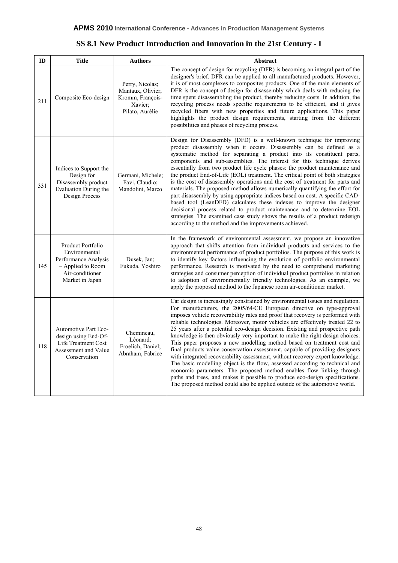| ID  | <b>Title</b>                                                                                                          | <b>Authors</b>                                                                         | Abstract                                                                                                                                                                                                                                                                                                                                                                                                                                                                                                                                                                                                                                                                                                                                                                                                                                                                                                                                                                                                                                                     |
|-----|-----------------------------------------------------------------------------------------------------------------------|----------------------------------------------------------------------------------------|--------------------------------------------------------------------------------------------------------------------------------------------------------------------------------------------------------------------------------------------------------------------------------------------------------------------------------------------------------------------------------------------------------------------------------------------------------------------------------------------------------------------------------------------------------------------------------------------------------------------------------------------------------------------------------------------------------------------------------------------------------------------------------------------------------------------------------------------------------------------------------------------------------------------------------------------------------------------------------------------------------------------------------------------------------------|
| 211 | Composite Eco-design                                                                                                  | Perry, Nicolas;<br>Mantaux, Olivier;<br>Kromm, François-<br>Xavier;<br>Pilato, Aurélie | The concept of design for recycling (DFR) is becoming an integral part of the<br>designer's brief. DFR can be applied to all manufactured products. However,<br>it is of most complexes to composites products. One of the main elements of<br>DFR is the concept of design for disassembly which deals with reducing the<br>time spent disassembling the product, thereby reducing costs. In addition, the<br>recycling process needs specific requirements to be efficient, and it gives<br>recycled fibers with new properties and future applications. This paper<br>highlights the product design requirements, starting from the different<br>possibilities and phases of recycling process.                                                                                                                                                                                                                                                                                                                                                           |
| 331 | Indices to Support the<br>Design for<br>Disassembly product<br>Evaluation During the<br><b>Design Process</b>         | Germani, Michele;<br>Favi, Claudio;<br>Mandolini, Marco                                | Design for Disassembly (DFD) is a well-known technique for improving<br>product disassembly when it occurs. Disassembly can be defined as a<br>systematic method for separating a product into its constituent parts,<br>components and sub-assemblies. The interest for this technique derives<br>essentially from two product life cycle phases: the product maintenance and<br>the product End-of-Life (EOL) treatment. The critical point of both strategies<br>is the cost of disassembly operations and the cost of treatment for parts and<br>materials. The proposed method allows numerically quantifying the effort for<br>part disassembly by using appropriate indices based on cost. A specific CAD-<br>based tool (LeanDFD) calculates these indexes to improve the designer<br>decisional process related to product maintenance and to determine EOL<br>strategies. The examined case study shows the results of a product redesign<br>according to the method and the improvements achieved.                                                |
| 145 | Product Portfolio<br>Environmental<br>Performance Analysis<br>- Applied to Room<br>Air-conditioner<br>Market in Japan | Dusek, Jan;<br>Fukuda, Yoshiro                                                         | In the framework of environmental assessment, we propose an innovative<br>approach that shifts attention from individual products and services to the<br>environmental performance of product portfolios. The purpose of this work is<br>to identify key factors influencing the evolution of portfolio environmental<br>performance. Research is motivated by the need to comprehend marketing<br>strategies and consumer perception of individual product portfolios in relation<br>to adoption of environmentally friendly technologies. As an example, we<br>apply the proposed method to the Japanese room air-conditioner market.                                                                                                                                                                                                                                                                                                                                                                                                                      |
| 118 | <b>Automotive Part Eco-</b><br>design using End-Of-<br>Life Treatment Cost<br>Assessment and Value<br>Conservation    | Chemineau,<br>Léonard:<br>Froelich, Daniel;<br>Abraham, Fabrice                        | Car design is increasingly constrained by environmental issues and regulation.<br>For manufacturers, the 2005/64/CE European directive on type-approval<br>imposes vehicle recoverability rates and proof that recovery is performed with<br>reliable technologies. Moreover, motor vehicles are effectively treated 22 to<br>25 years after a potential eco-design decision. Existing and prospective path<br>knowledge is then obviously very important to make the right design choices.<br>This paper proposes a new modelling method based on treatment cost and<br>final products value conservation assessment, capable of providing designers<br>with integrated recoverability assessment, without recovery expert knowledge.<br>The basic modelling object is the flow, assessed according to technical and<br>economic parameters. The proposed method enables flow linking through<br>paths and trees, and makes it possible to produce eco-design specifications.<br>The proposed method could also be applied outside of the automotive world. |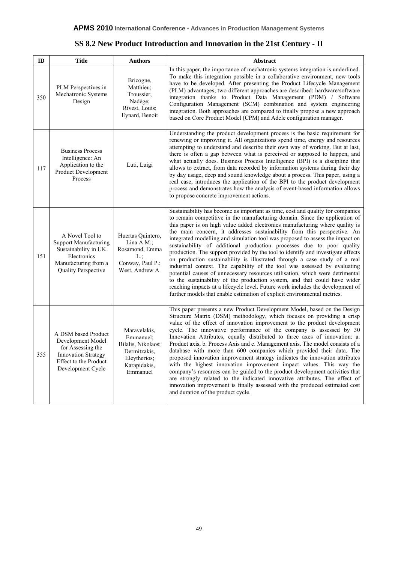| ID  | <b>Title</b>                                                                                                                                     | <b>Authors</b>                                                                                              | Abstract                                                                                                                                                                                                                                                                                                                                                                                                                                                                                                                                                                                                                                                                                                                                                                                                                                                                                                                                                                                                                                                      |
|-----|--------------------------------------------------------------------------------------------------------------------------------------------------|-------------------------------------------------------------------------------------------------------------|---------------------------------------------------------------------------------------------------------------------------------------------------------------------------------------------------------------------------------------------------------------------------------------------------------------------------------------------------------------------------------------------------------------------------------------------------------------------------------------------------------------------------------------------------------------------------------------------------------------------------------------------------------------------------------------------------------------------------------------------------------------------------------------------------------------------------------------------------------------------------------------------------------------------------------------------------------------------------------------------------------------------------------------------------------------|
| 350 | PLM Perspectives in<br>Mechatronic Systems<br>Design                                                                                             | Bricogne,<br>Matthieu;<br>Troussier,<br>Nadège;<br>Rivest, Louis;<br>Eynard, Benoît                         | In this paper, the importance of mechatronic systems integration is underlined.<br>To make this integration possible in a collaborative environment, new tools<br>have to be developed. After presenting the Product Lifecycle Management<br>(PLM) advantages, two different approaches are described: hardware/software<br>integration thanks to Product Data Management (PDM) / Software<br>Configuration Management (SCM) combination and system engineering<br>integration. Both approaches are compared to finally propose a new approach<br>based on Core Product Model (CPM) and Adele configuration manager.                                                                                                                                                                                                                                                                                                                                                                                                                                          |
| 117 | <b>Business Process</b><br>Intelligence: An<br>Application to the<br>Product Development<br>Process                                              | Luti, Luigi                                                                                                 | Understanding the product development process is the basic requirement for<br>renewing or improving it. All organizations spend time, energy and resources<br>attempting to understand and describe their own way of working. But at last,<br>there is often a gap between what is perceived or supposed to happen, and<br>what actually does. Business Process Intelligence (BPI) is a discipline that<br>allows to extract, from data recorded by information systems during their day<br>by day usage, deep and sound knowledge about a process. This paper, using a<br>real case, introduces the application of the BPI to the product development<br>process and demonstrates how the analysis of event-based information allows<br>to propose concrete improvement actions.                                                                                                                                                                                                                                                                             |
| 151 | A Novel Tool to<br><b>Support Manufacturing</b><br>Sustainability in UK<br>Electronics<br>Manufacturing from a<br>Quality Perspective            | Huertas Quintero,<br>Lina A.M.;<br>Rosamond, Emma<br>L:<br>Conway, Paul P.;<br>West, Andrew A.              | Sustainability has become as important as time, cost and quality for companies<br>to remain competitive in the manufacturing domain. Since the application of<br>this paper is on high value added electronics manufacturing where quality is<br>the main concern, it addresses sustainability from this perspective. An<br>integrated modelling and simulation tool was proposed to assess the impact on<br>sustainability of additional production processes due to poor quality<br>production. The support provided by the tool to identify and investigate effects<br>on production sustainability is illustrated through a case study of a real<br>industrial context. The capability of the tool was assessed by evaluating<br>potential causes of unnecessary resources utilisation, which were detrimental<br>to the sustainability of the production system, and that could have wider<br>reaching impacts at a lifecycle level. Future work includes the development of<br>further models that enable estimation of explicit environmental metrics. |
| 355 | A DSM based Product<br>Development Model<br>for Assessing the<br><b>Innovation Strategy</b><br><b>Effect to the Product</b><br>Development Cycle | Maravelakis,<br>Emmanuel;<br>Bilalis, Nikolaos;<br>Dermitzakis,<br>Eleytherios;<br>Karapidakis,<br>Emmanuel | This paper presents a new Product Development Model, based on the Design<br>Structure Matrix (DSM) methodology, which focuses on providing a crisp<br>value of the effect of innovation improvement to the product development<br>cycle. The innovative performance of the company is assessed by 30<br>Innovation Attributes, equally distributed to three axes of innovation: a.<br>Product axis, b. Process Axis and c. Management axis. The model consists of a<br>database with more than 600 companies which provided their data. The<br>proposed innovation improvement strategy indicates the innovation attributes<br>with the highest innovation improvement impact values. This way the<br>company's resources can be guided to the product development activities that<br>are strongly related to the indicated innovative attributes. The effect of<br>innovation improvement is finally assessed with the produced estimated cost<br>and duration of the product cycle.                                                                         |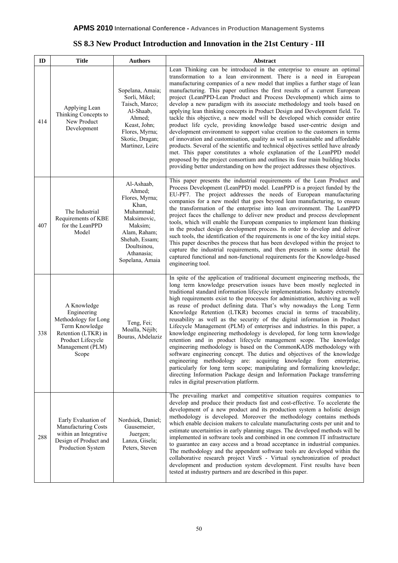## **SS 8.3 New Product Introduction and Innovation in the 21st Century - III**

| ID  | <b>Title</b>                                                                                                                                  | <b>Authors</b>                                                                                                                                                           | Abstract                                                                                                                                                                                                                                                                                                                                                                                                                                                                                                                                                                                                                                                                                                                                                                                                                                                                                                                                                                                                                                                                                                                                                                                                           |
|-----|-----------------------------------------------------------------------------------------------------------------------------------------------|--------------------------------------------------------------------------------------------------------------------------------------------------------------------------|--------------------------------------------------------------------------------------------------------------------------------------------------------------------------------------------------------------------------------------------------------------------------------------------------------------------------------------------------------------------------------------------------------------------------------------------------------------------------------------------------------------------------------------------------------------------------------------------------------------------------------------------------------------------------------------------------------------------------------------------------------------------------------------------------------------------------------------------------------------------------------------------------------------------------------------------------------------------------------------------------------------------------------------------------------------------------------------------------------------------------------------------------------------------------------------------------------------------|
| 414 | Applying Lean<br>Thinking Concepts to<br>New Product<br>Development                                                                           | Sopelana, Amaia;<br>Sorli, Mikel;<br>Taisch, Marco;<br>Al-Shaab,<br>Ahmed;<br>Keast, John;<br>Flores, Myrna;<br>Skotic, Dragan;<br>Martinez, Leire                       | Lean Thinking can be introduced in the enterprise to ensure an optimal<br>transformation to a lean environment. There is a need in European<br>manufacturing companies of a new model that implies a further stage of lean<br>manufacturing. This paper outlines the first results of a current European<br>project (LeanPPD-Lean Product and Process Development) which aims to<br>develop a new paradigm with its associate methodology and tools based on<br>applying lean thinking concepts in Product Design and Development field. To<br>tackle this objective, a new model will be developed which consider entire<br>product life cycle, providing knowledge based user-centric design and<br>development environment to support value creation to the customers in terms<br>of innovation and customisation, quality as well as sustainable and affordable<br>products. Several of the scientific and technical objectives settled have already<br>met. This paper constitutes a whole explanation of the LeanPPD model<br>proposed by the project consortium and outlines its four main building blocks<br>providing better understanding on how the project addresses these objectives.                 |
| 407 | The Industrial<br>Requirements of KBE<br>for the LeanPPD<br>Model                                                                             | Al-Ashaab,<br>Ahmed;<br>Flores, Myrna;<br>Khan,<br>Muhammad;<br>Maksimovic,<br>Maksim;<br>Alam, Raham;<br>Shehab, Essam;<br>Doultsinou,<br>Athanasia;<br>Sopelana, Amaia | This paper presents the industrial requirements of the Lean Product and<br>Process Development (LeanPPD) model. LeanPPD is a project funded by the<br>EU-PF7. The project addresses the needs of European manufacturing<br>companies for a new model that goes beyond lean manufacturing, to ensure<br>the transformation of the enterprise into lean environment. The LeanPPD<br>project faces the challenge to deliver new product and process development<br>tools, which will enable the European companies to implement lean thinking<br>in the product design development process. In order to develop and deliver<br>such tools, the identification of the requirements is one of the key initial steps.<br>This paper describes the process that has been developed within the project to<br>capture the industrial requirements, and then presents in some detail the<br>captured functional and non-functional requirements for the Knowledge-based<br>engineering tool.                                                                                                                                                                                                                                 |
| 338 | A Knowledge<br>Engineering<br>Methodology for Long<br>Term Knowledge<br>Retention (LTKR) in<br>Product Lifecycle<br>Management (PLM)<br>Scope | Teng, Fei;<br>Moalla, Néjib;<br>Bouras, Abdelaziz                                                                                                                        | In spite of the application of traditional document engineering methods, the<br>long term knowledge preservation issues have been mostly neglected in<br>traditional standard information lifecycle implementations. Industry extremely<br>high requirements exist to the processes for administration, archiving as well<br>as reuse of product defining data. That's why nowadays the Long Term<br>Knowledge Retention (LTKR) becomes crucial in terms of traceability,<br>reusability as well as the security of the digital information in Product<br>Lifecycle Management (PLM) of enterprises and industries. In this paper, a<br>knowledge engineering methodology is developed, for long term knowledge<br>retention and in product lifecycle management scope. The knowledge<br>engineering methodology is based on the CommonKADS methodology with<br>software engineering concept. The duties and objectives of the knowledge<br>engineering methodology are: acquiring knowledge from enterprise,<br>particularly for long term scope; manipulating and formalizing knowledge;<br>directing Information Package design and Information Package transferring<br>rules in digital preservation platform. |
| 288 | Early Evaluation of<br>Manufacturing Costs<br>within an Integrative<br>Design of Product and<br>Production System                             | Nordsiek, Daniel;<br>Gausemeier,<br>Juergen;<br>Lanza, Gisela;<br>Peters, Steven                                                                                         | The prevailing market and competitive situation requires companies to<br>develop and produce their products fast and cost-effective. To accelerate the<br>development of a new product and its production system a holistic design<br>methodology is developed. Moreover the methodology contains methods<br>which enable decision makers to calculate manufacturing costs per unit and to<br>estimate uncertainties in early planning stages. The developed methods will be<br>implemented in software tools and combined in one common IT infrastructure<br>to guarantee an easy access and a broad acceptance in industrial companies.<br>The methodology and the appendent software tools are developed within the<br>collaborative research project VireS - Virtual synchronization of product<br>development and production system development. First results have been<br>tested at industry partners and are described in this paper.                                                                                                                                                                                                                                                                      |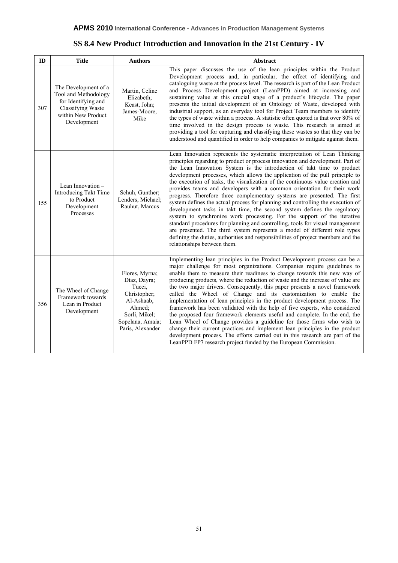| SS 8.4 New Product Introduction and Innovation in the 21st Century - IV |
|-------------------------------------------------------------------------|
|-------------------------------------------------------------------------|

| ID  | <b>Title</b>                                                                                                                  | <b>Authors</b>                                                                                                                            | Abstract                                                                                                                                                                                                                                                                                                                                                                                                                                                                                                                                                                                                                                                                                                                                                                                                                                                                                                                                                                                                                                                                                  |
|-----|-------------------------------------------------------------------------------------------------------------------------------|-------------------------------------------------------------------------------------------------------------------------------------------|-------------------------------------------------------------------------------------------------------------------------------------------------------------------------------------------------------------------------------------------------------------------------------------------------------------------------------------------------------------------------------------------------------------------------------------------------------------------------------------------------------------------------------------------------------------------------------------------------------------------------------------------------------------------------------------------------------------------------------------------------------------------------------------------------------------------------------------------------------------------------------------------------------------------------------------------------------------------------------------------------------------------------------------------------------------------------------------------|
| 307 | The Development of a<br>Tool and Methodology<br>for Identifying and<br>Classifying Waste<br>within New Product<br>Development | Martin, Celine<br>Elizabeth;<br>Keast, John;<br>James-Moore,<br>Mike                                                                      | This paper discusses the use of the lean principles within the Product<br>Development process and, in particular, the effect of identifying and<br>cataloguing waste at the process level. The research is part of the Lean Product<br>and Process Development project (LeanPPD) aimed at increasing and<br>sustaining value at this crucial stage of a product's lifecycle. The paper<br>presents the initial development of an Ontology of Waste, developed with<br>industrial support, as an everyday tool for Project Team members to identify<br>the types of waste within a process. A statistic often quoted is that over 80% of<br>time involved in the design process is waste. This research is aimed at<br>providing a tool for capturing and classifying these wastes so that they can be<br>understood and quantified in order to help companies to mitigate against them.                                                                                                                                                                                                   |
| 155 | Lean Innovation -<br>Introducing Takt Time<br>to Product<br>Development<br>Processes                                          | Schuh, Gunther;<br>Lenders, Michael;<br>Rauhut, Marcus                                                                                    | Lean Innovation represents the systematic interpretation of Lean Thinking<br>principles regarding to product or process innovation and development. Part of<br>the Lean Innovation System is the introduction of takt time to product<br>development processes, which allows the application of the pull principle to<br>the execution of tasks, the visualization of the continuous value creation and<br>provides teams and developers with a common orientation for their work<br>progress. Therefore three complementary systems are presented. The first<br>system defines the actual process for planning and controlling the execution of<br>development tasks in takt time, the second system defines the regulatory<br>system to synchronize work processing. For the support of the iterative<br>standard procedures for planning and controlling, tools for visual management<br>are presented. The third system represents a model of different role types<br>defining the duties, authorities and responsibilities of project members and the<br>relationships between them. |
| 356 | The Wheel of Change<br>Framework towards<br>Lean in Product<br>Development                                                    | Flores, Myrna;<br>Díaz, Dayra;<br>Tucci,<br>Christopher;<br>Al-Ashaab,<br>Ahmed;<br>Sorli, Mikel;<br>Sopelana, Amaia;<br>Paris, Alexander | Implementing lean principles in the Product Development process can be a<br>major challenge for most organizations. Companies require guidelines to<br>enable them to measure their readiness to change towards this new way of<br>producing products, where the reduction of waste and the increase of value are<br>the two major drivers. Consequently, this paper presents a novel framework<br>called the Wheel of Change and its customization to enable the<br>implementation of lean principles in the product development process. The<br>framework has been validated with the help of five experts, who considered<br>the proposed four framework elements useful and complete. In the end, the<br>Lean Wheel of Change provides a guideline for those firms who wish to<br>change their current practices and implement lean principles in the product<br>development process. The efforts carried out in this research are part of the<br>LeanPPD FP7 research project funded by the European Commission.                                                                     |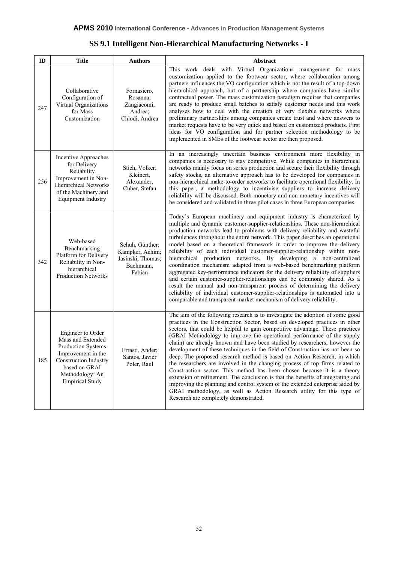| SS 9.1 Intelligent Non-Hierarchical Manufacturing Networks - I |  |
|----------------------------------------------------------------|--|
|                                                                |  |

| ID  | <b>Title</b>                                                                                                                                                                     | <b>Authors</b>                                                                 | Abstract                                                                                                                                                                                                                                                                                                                                                                                                                                                                                                                                                                                                                                                                                                                                                                                                                                                                                                                                                                                                                          |
|-----|----------------------------------------------------------------------------------------------------------------------------------------------------------------------------------|--------------------------------------------------------------------------------|-----------------------------------------------------------------------------------------------------------------------------------------------------------------------------------------------------------------------------------------------------------------------------------------------------------------------------------------------------------------------------------------------------------------------------------------------------------------------------------------------------------------------------------------------------------------------------------------------------------------------------------------------------------------------------------------------------------------------------------------------------------------------------------------------------------------------------------------------------------------------------------------------------------------------------------------------------------------------------------------------------------------------------------|
| 247 | Collaborative<br>Configuration of<br>Virtual Organizations<br>for Mass<br>Customization                                                                                          | Fornasiero,<br>Rosanna;<br>Zangiacomi,<br>Andrea;<br>Chiodi, Andrea            | This work deals with Virtual Organizations management for mass<br>customization applied to the footwear sector, where collaboration among<br>partners influences the VO configuration which is not the result of a top-down<br>hierarchical approach, but of a partnership where companies have similar<br>contractual power. The mass customization paradigm requires that companies<br>are ready to produce small batches to satisfy customer needs and this work<br>analyses how to deal with the creation of very flexible networks where<br>preliminary partnerships among companies create trust and where answers to<br>market requests have to be very quick and based on customized products. First<br>ideas for VO configuration and for partner selection methodology to be<br>implemented in SMEs of the footwear sector are then proposed.                                                                                                                                                                           |
| 256 | Incentive Approaches<br>for Delivery<br>Reliability<br>Improvement in Non-<br><b>Hierarchical Networks</b><br>of the Machinery and<br><b>Equipment Industry</b>                  | Stich, Volker;<br>Kleinert,<br>Alexander;<br>Cuber, Stefan                     | In an increasingly uncertain business environment more flexibility in<br>companies is necessary to stay competitive. While companies in hierarchical<br>networks mainly focus on series production and secure their flexibility through<br>safety stocks, an alternative approach has to be developed for companies in<br>non-hierarchical make-to-order networks to facilitate operational flexibility. In<br>this paper, a methodology to incentivise suppliers to increase delivery<br>reliability will be discussed. Both monetary and non-monetary incentives will<br>be considered and validated in three pilot cases in three European companies.                                                                                                                                                                                                                                                                                                                                                                          |
| 342 | Web-based<br>Benchmarking<br>Platform for Delivery<br>Reliability in Non-<br>hierarchical<br><b>Production Networks</b>                                                          | Schuh, Günther;<br>Kampker, Achim;<br>Jasinski, Thomas;<br>Bachmann,<br>Fabian | Today's European machinery and equipment industry is characterized by<br>multiple and dynamic customer-supplier-relationships. These non-hierarchical<br>production networks lead to problems with delivery reliability and wasteful<br>turbulences throughout the entire network. This paper describes an operational<br>model based on a theoretical framework in order to improve the delivery<br>reliability of each individual customer-supplier-relationship within non-<br>hierarchical production networks. By developing a non-centralized<br>coordination mechanism adapted from a web-based benchmarking platform<br>aggregated key-performance indicators for the delivery reliability of suppliers<br>and certain customer-supplier-relationships can be commonly shared. As a<br>result the manual and non-transparent process of determining the delivery<br>reliability of individual customer-supplier-relationships is automated into a<br>comparable and transparent market mechanism of delivery reliability. |
| 185 | Engineer to Order<br>Mass and Extended<br>Production Systems<br>Improvement in the<br><b>Construction Industry</b><br>based on GRAI<br>Methodology: An<br><b>Empirical Study</b> | Errasti, Ander:<br>Santos, Javier<br>Poler, Raul                               | The aim of the following research is to investigate the adoption of some good<br>practices in the Construction Sector, based on developed practices in other<br>sectors, that could be helpful to gain competitive advantage. These practices<br>(GRAI Methodology to improve the operational performance of the supply<br>chain) are already known and have been studied by researchers; however the<br>development of these techniques in the field of Construction has not been so<br>deep. The proposed research method is based on Action Research, in which<br>the researchers are involved in the changing process of top firms related to<br>Construction sector. This method has been chosen because it is a theory<br>extension or refinement. The conclusion is that the benefits of integrating and<br>improving the planning and control system of the extended enterprise aided by<br>GRAI methodology, as well as Action Research utility for this type of<br>Research are completely demonstrated.                |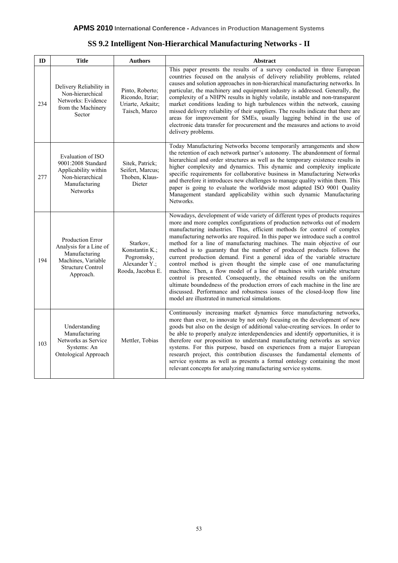| SS 9.2 Intelligent Non-Hierarchical Manufacturing Networks - II |  |
|-----------------------------------------------------------------|--|
|                                                                 |  |

| ID  | <b>Title</b>                                                                                                                      | <b>Authors</b>                                                                 | <b>Abstract</b>                                                                                                                                                                                                                                                                                                                                                                                                                                                                                                                                                                                                                                                                                                                                                                                                                                                                                                                                                                                            |
|-----|-----------------------------------------------------------------------------------------------------------------------------------|--------------------------------------------------------------------------------|------------------------------------------------------------------------------------------------------------------------------------------------------------------------------------------------------------------------------------------------------------------------------------------------------------------------------------------------------------------------------------------------------------------------------------------------------------------------------------------------------------------------------------------------------------------------------------------------------------------------------------------------------------------------------------------------------------------------------------------------------------------------------------------------------------------------------------------------------------------------------------------------------------------------------------------------------------------------------------------------------------|
| 234 | Delivery Reliability in<br>Non-hierarchical<br>Networks: Evidence<br>from the Machinery<br>Sector                                 | Pinto, Roberto;<br>Ricondo, Itziar;<br>Uriarte, Arkaitz;<br>Taisch, Marco      | This paper presents the results of a survey conducted in three European<br>countries focused on the analysis of delivery reliability problems, related<br>causes and solution approaches in non-hierarchical manufacturing networks. In<br>particular, the machinery and equipment industry is addressed. Generally, the<br>complexity of a NHPN results in highly volatile, instable and non-transparent<br>market conditions leading to high turbulences within the network, causing<br>missed delivery reliability of their suppliers. The results indicate that there are<br>areas for improvement for SMEs, usually lagging behind in the use of<br>electronic data transfer for procurement and the measures and actions to avoid<br>delivery problems.                                                                                                                                                                                                                                              |
| 277 | Evaluation of ISO<br>9001:2008 Standard<br>Applicability within<br>Non-hierarchical<br>Manufacturing<br>Networks                  | Sitek, Patrick;<br>Seifert, Marcus;<br>Thoben, Klaus-<br>Dieter                | Today Manufacturing Networks become temporarily arrangements and show<br>the retention of each network partner's autonomy. The abandonment of formal<br>hierarchical and order structures as well as the temporary existence results in<br>higher complexity and dynamics. This dynamic and complexity implicate<br>specific requirements for collaborative business in Manufacturing Networks<br>and therefore it introduces new challenges to manage quality within them. This<br>paper is going to evaluate the worldwide most adapted ISO 9001 Quality<br>Management standard applicability within such dynamic Manufacturing<br>Networks.                                                                                                                                                                                                                                                                                                                                                             |
| 194 | <b>Production Error</b><br>Analysis for a Line of<br>Manufacturing<br>Machines, Variable<br><b>Structure Control</b><br>Approach. | Starkov,<br>Konstantin K.;<br>Pogromsky,<br>Alexander Y.;<br>Rooda, Jacobus E. | Nowadays, development of wide variety of different types of products requires<br>more and more complex configurations of production networks out of modern<br>manufacturing industries. Thus, efficient methods for control of complex<br>manufacturing networks are required. In this paper we introduce such a control<br>method for a line of manufacturing machines. The main objective of our<br>method is to guaranty that the number of produced products follows the<br>current production demand. First a general idea of the variable structure<br>control method is given thought the simple case of one manufacturing<br>machine. Then, a flow model of a line of machines with variable structure<br>control is presented. Consequently, the obtained results on the uniform<br>ultimate boundedness of the production errors of each machine in the line are<br>discussed. Performance and robustness issues of the closed-loop flow line<br>model are illustrated in numerical simulations. |
| 103 | Understanding<br>Manufacturing<br>Networks as Service<br>Systems: An<br>Ontological Approach                                      | Mettler, Tobias                                                                | Continuously increasing market dynamics force manufacturing networks,<br>more than ever, to innovate by not only focusing on the development of new<br>goods but also on the design of additional value-creating services. In order to<br>be able to properly analyze interdependencies and identify opportunities, it is<br>therefore our proposition to understand manufacturing networks as service<br>systems. For this purpose, based on experiences from a major European<br>research project, this contribution discusses the fundamental elements of<br>service systems as well as presents a formal ontology containing the most<br>relevant concepts for analyzing manufacturing service systems.                                                                                                                                                                                                                                                                                                |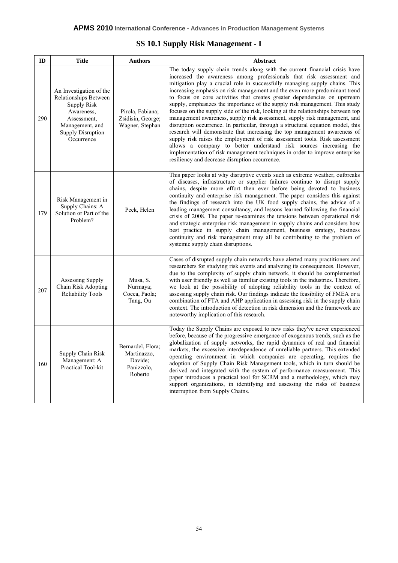## **SS 10.1 Supply Risk Management - I**

| ID  | <b>Title</b>                                                                                                                                              | <b>Authors</b>                                                       | Abstract                                                                                                                                                                                                                                                                                                                                                                                                                                                                                                                                                                                                                                                                                                                                                                                                                                                                                                                                                                                                                                                                                          |
|-----|-----------------------------------------------------------------------------------------------------------------------------------------------------------|----------------------------------------------------------------------|---------------------------------------------------------------------------------------------------------------------------------------------------------------------------------------------------------------------------------------------------------------------------------------------------------------------------------------------------------------------------------------------------------------------------------------------------------------------------------------------------------------------------------------------------------------------------------------------------------------------------------------------------------------------------------------------------------------------------------------------------------------------------------------------------------------------------------------------------------------------------------------------------------------------------------------------------------------------------------------------------------------------------------------------------------------------------------------------------|
| 290 | An Investigation of the<br>Relationships Between<br><b>Supply Risk</b><br>Awareness,<br>Assessment,<br>Management, and<br>Supply Disruption<br>Occurrence | Pirola, Fabiana;<br>Zsidisin, George;<br>Wagner, Stephan             | The today supply chain trends along with the current financial crisis have<br>increased the awareness among professionals that risk assessment and<br>mitigation play a crucial role in successfully managing supply chains. This<br>increasing emphasis on risk management and the even more predominant trend<br>to focus on core activities that creates greater dependencies on upstream<br>supply, emphasizes the importance of the supply risk management. This study<br>focuses on the supply side of the risk, looking at the relationships between top<br>management awareness, supply risk assessment, supply risk management, and<br>disruption occurrence. In particular, through a structural equation model, this<br>research will demonstrate that increasing the top management awareness of<br>supply risk raises the employment of risk assessment tools. Risk assessment<br>allows a company to better understand risk sources increasing the<br>implementation of risk management techniques in order to improve enterprise<br>resiliency and decrease disruption occurrence. |
| 179 | Risk Management in<br>Supply Chains: A<br>Solution or Part of the<br>Problem?                                                                             | Peck, Helen                                                          | This paper looks at why disruptive events such as extreme weather, outbreaks<br>of diseases, infrastructure or supplier failures continue to disrupt supply<br>chains, despite more effort then ever before being devoted to business<br>continuity and enterprise risk management. The paper considers this against<br>the findings of research into the UK food supply chains, the advice of a<br>leading management consultancy, and lessons learned following the financial<br>crisis of 2008. The paper re-examines the tensions between operational risk<br>and strategic enterprise risk management in supply chains and considers how<br>best practice in supply chain management, business strategy, business<br>continuity and risk management may all be contributing to the problem of<br>systemic supply chain disruptions.                                                                                                                                                                                                                                                          |
| 207 | Assessing Supply<br>Chain Risk Adopting<br><b>Reliability Tools</b>                                                                                       | Musa, S.<br>Nurmaya;<br>Cocca, Paola;<br>Tang, Ou                    | Cases of disrupted supply chain networks have alerted many practitioners and<br>researchers for studying risk events and analyzing its consequences. However,<br>due to the complexity of supply chain network, it should be complemented<br>with user friendly as well as familiar existing tools in the industries. Therefore,<br>we look at the possibility of adopting reliability tools in the context of<br>assessing supply chain risk. Our findings indicate the feasibility of FMEA or a<br>combination of FTA and AHP application in assessing risk in the supply chain<br>context. The introduction of detection in risk dimension and the framework are<br>noteworthy implication of this research.                                                                                                                                                                                                                                                                                                                                                                                   |
| 160 | Supply Chain Risk<br>Management: A<br>Practical Tool-kit                                                                                                  | Bernardel, Flora;<br>Martinazzo,<br>Davide;<br>Panizzolo,<br>Roberto | Today the Supply Chains are exposed to new risks they've never experienced<br>before, because of the progressive emergence of exogenous trends, such as the<br>globalization of supply networks, the rapid dynamics of real and financial<br>markets, the excessive interdependence of unreliable partners. This extended<br>operating environment in which companies are operating, requires the<br>adoption of Supply Chain Risk Management tools, which in turn should be<br>derived and integrated with the system of performance measurement. This<br>paper introduces a practical tool for SCRM and a methodology, which may<br>support organizations, in identifying and assessing the risks of business<br>interruption from Supply Chains.                                                                                                                                                                                                                                                                                                                                               |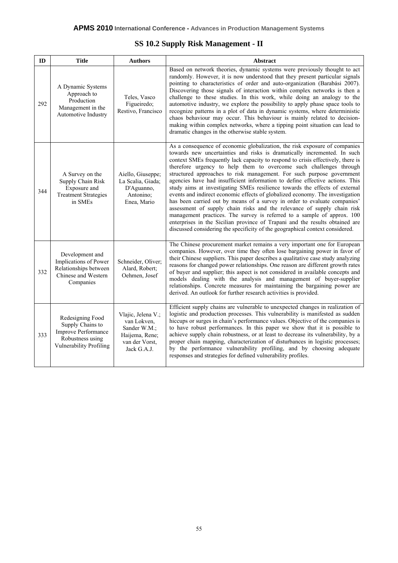## **SS 10.2 Supply Risk Management - II**

| ID  | <b>Title</b>                                                                                                      | <b>Authors</b><br>Abstract                                                                           |                                                                                                                                                                                                                                                                                                                                                                                                                                                                                                                                                                                                                                                                                                                                                                                                                                                                                                                                                                                                                                               |
|-----|-------------------------------------------------------------------------------------------------------------------|------------------------------------------------------------------------------------------------------|-----------------------------------------------------------------------------------------------------------------------------------------------------------------------------------------------------------------------------------------------------------------------------------------------------------------------------------------------------------------------------------------------------------------------------------------------------------------------------------------------------------------------------------------------------------------------------------------------------------------------------------------------------------------------------------------------------------------------------------------------------------------------------------------------------------------------------------------------------------------------------------------------------------------------------------------------------------------------------------------------------------------------------------------------|
| 292 | A Dynamic Systems<br>Approach to<br>Production<br>Management in the<br>Automotive Industry                        | Teles, Vasco<br>Figueiredo;<br>Restivo, Francisco                                                    | Based on network theories, dynamic systems were previously thought to act<br>randomly. However, it is now understood that they present particular signals<br>pointing to characteristics of order and auto-organization (Barabási 2007).<br>Discovering those signals of interaction within complex networks is then a<br>challenge to these studies. In this work, while doing an analogy to the<br>automotive industry, we explore the possibility to apply phase space tools to<br>recognize patterns in a plot of data in dynamic systems, where deterministic<br>chaos behaviour may occur. This behaviour is mainly related to decision-<br>making within complex networks, where a tipping point situation can lead to<br>dramatic changes in the otherwise stable system.                                                                                                                                                                                                                                                             |
| 344 | A Survey on the<br>Supply Chain Risk<br>Exposure and<br><b>Treatment Strategies</b><br>in SMEs                    | Aiello, Giuseppe;<br>La Scalia, Giada;<br>D'Aguanno,<br>Antonino;<br>Enea, Mario                     | As a consequence of economic globalization, the risk exposure of companies<br>towards new uncertainties and risks is dramatically incremented. In such<br>context SMEs frequently lack capacity to respond to crisis effectively, there is<br>therefore urgency to help them to overcome such challenges through<br>structured approaches to risk management. For such purpose government<br>agencies have had insufficient information to define effective actions. This<br>study aims at investigating SMEs resilience towards the effects of external<br>events and indirect economic effects of globalized economy. The investigation<br>has been carried out by means of a survey in order to evaluate companies'<br>assessment of supply chain risks and the relevance of supply chain risk<br>management practices. The survey is referred to a sample of approx. 100<br>enterprises in the Sicilian province of Trapani and the results obtained are<br>discussed considering the specificity of the geographical context considered. |
| 332 | Development and<br>Implications of Power<br>Relationships between<br>Chinese and Western<br>Companies             | Schneider, Oliver;<br>Alard, Robert;<br>Oehmen, Josef                                                | The Chinese procurement market remains a very important one for European<br>companies. However, over time they often lose bargaining power in favor of<br>their Chinese suppliers. This paper describes a qualitative case study analyzing<br>reasons for changed power relationships. One reason are different growth rates<br>of buyer and supplier; this aspect is not considered in available concepts and<br>models dealing with the analysis and management of buyer-supplier<br>relationships. Concrete measures for maintaining the bargaining power are<br>derived. An outlook for further research activities is provided.                                                                                                                                                                                                                                                                                                                                                                                                          |
| 333 | Redesigning Food<br>Supply Chains to<br>Improve Performance<br>Robustness using<br><b>Vulnerability Profiling</b> | Vlajic, Jelena V.;<br>van Lokven,<br>Sander W.M.;<br>Haijema, Rene;<br>van der Vorst,<br>Jack G.A.J. | Efficient supply chains are vulnerable to unexpected changes in realization of<br>logistic and production processes. This vulnerability is manifested as sudden<br>hiccups or surges in chain's performance values. Objective of the companies is<br>to have robust performances. In this paper we show that it is possible to<br>achieve supply chain robustness, or at least to decrease its vulnerability, by a<br>proper chain mapping, characterization of disturbances in logistic processes;<br>by the performance vulnerability profiling, and by choosing adequate<br>responses and strategies for defined vulnerability profiles.                                                                                                                                                                                                                                                                                                                                                                                                   |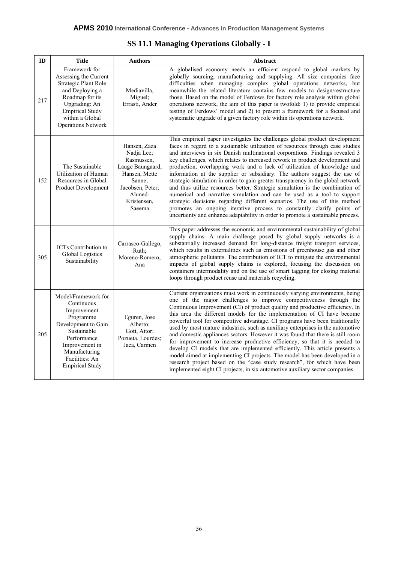|  |  |  | <b>SS 11.1 Managing Operations Globally - I</b> |
|--|--|--|-------------------------------------------------|
|--|--|--|-------------------------------------------------|

| ID  | <b>Title</b>                                                                                                                                                                                                                            | <b>Authors</b>                                                                | Abstract                                                                                                                                                                                                                                                                                                                                                                                                                                                                                                                                                                                                                                                                                                                                                                                                                                                                                                                                                                       |
|-----|-----------------------------------------------------------------------------------------------------------------------------------------------------------------------------------------------------------------------------------------|-------------------------------------------------------------------------------|--------------------------------------------------------------------------------------------------------------------------------------------------------------------------------------------------------------------------------------------------------------------------------------------------------------------------------------------------------------------------------------------------------------------------------------------------------------------------------------------------------------------------------------------------------------------------------------------------------------------------------------------------------------------------------------------------------------------------------------------------------------------------------------------------------------------------------------------------------------------------------------------------------------------------------------------------------------------------------|
| 217 | Framework for<br>Assessing the Current<br><b>Strategic Plant Role</b><br>and Deploying a<br>Roadmap for its<br>Upgrading: An<br><b>Empirical Study</b><br>within a Global<br><b>Operations Network</b>                                  | Mediavilla,<br>Miguel;<br>Errasti, Ander                                      | A globalised economy needs an efficient respond to global markets by<br>globally sourcing, manufacturing and supplying. All size companies face<br>difficulties when managing complex global operations networks, but<br>meanwhile the related literature contains few models to design/restructure<br>those. Based on the model of Ferdows for factory role analysis within global<br>operations network, the aim of this paper is twofold: 1) to provide empirical<br>testing of Ferdows' model and 2) to present a framework for a focused and<br>systematic upgrade of a given factory role within its operations network.                                                                                                                                                                                                                                                                                                                                                 |
| 152 | Hansen, Zaza<br>Nadja Lee;<br>Rasmussen,<br>Lauge Baungaard;<br>The Sustainable<br>Utilization of Human<br>Hansen, Mette<br>Resources in Global<br>Sanne;<br>Jacobsen, Peter;<br>Product Development<br>Ahmed-<br>Kristensen,<br>Saeema |                                                                               | This empirical paper investigates the challenges global product development<br>faces in regard to a sustainable utilization of resources through case studies<br>and interviews in six Danish multinational corporations. Findings revealed 3<br>key challenges, which relates to increased rework in product development and<br>production, overlapping work and a lack of utilization of knowledge and<br>information at the supplier or subsidiary. The authors suggest the use of<br>strategic simulation in order to gain greater transparency in the global network<br>and thus utilize resources better. Strategic simulation is the combination of<br>numerical and narrative simulation and can be used as a tool to support<br>strategic decisions regarding different scenarios. The use of this method<br>promotes an ongoing iterative process to constantly clarify points of<br>uncertainty and enhance adaptability in order to promote a sustainable process. |
| 305 | <b>ICTs</b> Contribution to<br><b>Global Logistics</b><br>Sustainability                                                                                                                                                                | Carrasco-Gallego,<br>Ruth:<br>Moreno-Romero,<br>Ana                           | This paper addresses the economic and environmental sustainability of global<br>supply chains. A main challenge posed by global supply networks is a<br>substantially increased demand for long-distance freight transport services,<br>which results in externalities such as emissions of greenhouse gas and other<br>atmospheric pollutants. The contribution of ICT to mitigate the environmental<br>impacts of global supply chains is explored, focusing the discussion on<br>containers intermodality and on the use of smart tagging for closing material<br>loops through product reuse and materials recycling.                                                                                                                                                                                                                                                                                                                                                      |
| 205 | Model/Framework for<br>Continuous<br>Improvement<br>Programme<br>Development to Gain<br>Sustainable<br>Performance<br>Improvement in<br>Manufacturing<br>Facilities: An<br><b>Empirical Study</b>                                       | Eguren, Jose<br>Alberto;<br>Goti, Aitor;<br>Pozueta, Lourdes;<br>Jaca, Carmen | Current organizations must work in continuously varying environments, being<br>one of the major challenges to improve competitiveness through the<br>Continuous Improvement (CI) of product quality and productive efficiency. In<br>this area the different models for the implementation of CI have become<br>powerful tool for competitive advantage. CI programs have been traditionally<br>used by most mature industries, such as auxiliary enterprises in the automotive<br>and domestic appliances sectors. However it was found that there is still room<br>for improvement to increase productive efficiency, so that it is needed to<br>develop CI models that are implemented efficiently. This article presents a<br>model aimed at implementing CI projects. The model has been developed in a<br>research project based on the "case study research", for which have been<br>implemented eight CI projects, in six automotive auxiliary sector companies.       |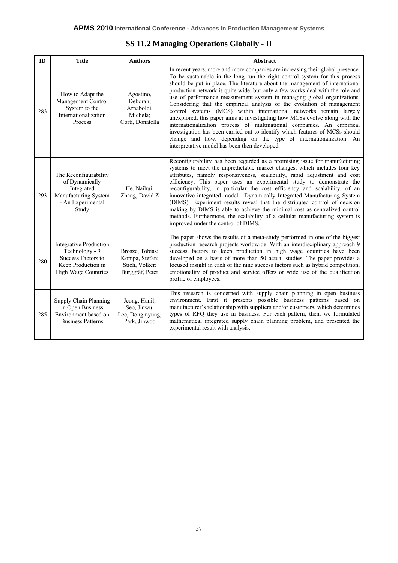## **SS 11.2 Managing Operations Globally - II**

| ID  | <b>Title</b>                                                                                                              | <b>Authors</b>                                                         | <b>Abstract</b>                                                                                                                                                                                                                                                                                                                                                                                                                                                                                                                                                                                                                                                                                                                                                                                                                                                                                                         |
|-----|---------------------------------------------------------------------------------------------------------------------------|------------------------------------------------------------------------|-------------------------------------------------------------------------------------------------------------------------------------------------------------------------------------------------------------------------------------------------------------------------------------------------------------------------------------------------------------------------------------------------------------------------------------------------------------------------------------------------------------------------------------------------------------------------------------------------------------------------------------------------------------------------------------------------------------------------------------------------------------------------------------------------------------------------------------------------------------------------------------------------------------------------|
| 283 | How to Adapt the<br>Management Control<br>System to the<br>Internationalization<br>Process                                | Agostino,<br>Deborah;<br>Arnaboldi,<br>Michela:<br>Corti, Donatella    | In recent years, more and more companies are increasing their global presence.<br>To be sustainable in the long run the right control system for this process<br>should be put in place. The literature about the management of international<br>production network is quite wide, but only a few works deal with the role and<br>use of performance measurement system in managing global organizations.<br>Considering that the empirical analysis of the evolution of management<br>control systems (MCS) within international networks remain largely<br>unexplored, this paper aims at investigating how MCSs evolve along with the<br>internationalization process of multinational companies. An empirical<br>investigation has been carried out to identify which features of MCSs should<br>change and how, depending on the type of internationalization. An<br>interpretative model has been then developed. |
| 293 | The Reconfigurability<br>of Dynamically<br>Integrated<br>Manufacturing System<br>- An Experimental<br>Study               | He, Naihui;<br>Zhang, David Z                                          | Reconfigurability has been regarded as a promising issue for manufacturing<br>systems to meet the unpredictable market changes, which includes four key<br>attributes, namely responsiveness, scalability, rapid adjustment and cost<br>efficiency. This paper uses an experimental study to demonstrate the<br>reconfigurability, in particular the cost efficiency and scalability, of an<br>innovative integrated model-Dynamically Integrated Manufacturing System<br>(DIMS). Experiment results reveal that the distributed control of decision<br>making by DIMS is able to achieve the minimal cost as centralized control<br>methods. Furthermore, the scalability of a cellular manufacturing system is<br>improved under the control of DIMS.                                                                                                                                                                 |
| 280 | <b>Integrative Production</b><br>Technology - 9<br>Success Factors to<br>Keep Production in<br><b>High Wage Countries</b> | Brosze, Tobias;<br>Kompa, Stefan;<br>Stich, Volker;<br>Burggräf, Peter | The paper shows the results of a meta-study performed in one of the biggest<br>production research projects worldwide. With an interdisciplinary approach 9<br>success factors to keep production in high wage countries have been<br>developed on a basis of more than 50 actual studies. The paper provides a<br>focused insight in each of the nine success factors such as hybrid competition,<br>emotionality of product and service offers or wide use of the qualification<br>profile of employees.                                                                                                                                                                                                                                                                                                                                                                                                              |
| 285 | Supply Chain Planning<br>in Open Business<br>Environment based on<br><b>Business Patterns</b>                             | Jeong, Hanil;<br>Seo, Jinwu;<br>Lee, Dongmyung;<br>Park, Jinwoo        | This research is concerned with supply chain planning in open business<br>environment. First it presents possible business patterns based on<br>manufacturer's relationship with suppliers and/or customers, which determines<br>types of RFQ they use in business. For each pattern, then, we formulated<br>mathematical integrated supply chain planning problem, and presented the<br>experimental result with analysis.                                                                                                                                                                                                                                                                                                                                                                                                                                                                                             |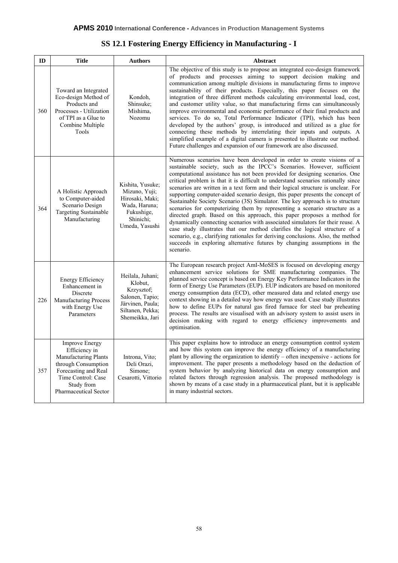| <b>SS 12.1 Fostering Energy Efficiency in Manufacturing - I</b> |  |
|-----------------------------------------------------------------|--|
|-----------------------------------------------------------------|--|

| ID  | <b>Title</b>                                                                                                                                                                                                                                       | <b>Authors</b>                                                                                                                                                                                                                                                                                                                                                                                                                                                                                                                                                                                                                                                                                                                                                                                                                                                                                                                                                                                                                                                                                                                                                                                           | Abstract                                                                                                                                                                                                                                                                                                                                                                                                                                                                                                                                                                                                                                                                                                                                                                                                                                                                                                                                   |
|-----|----------------------------------------------------------------------------------------------------------------------------------------------------------------------------------------------------------------------------------------------------|----------------------------------------------------------------------------------------------------------------------------------------------------------------------------------------------------------------------------------------------------------------------------------------------------------------------------------------------------------------------------------------------------------------------------------------------------------------------------------------------------------------------------------------------------------------------------------------------------------------------------------------------------------------------------------------------------------------------------------------------------------------------------------------------------------------------------------------------------------------------------------------------------------------------------------------------------------------------------------------------------------------------------------------------------------------------------------------------------------------------------------------------------------------------------------------------------------|--------------------------------------------------------------------------------------------------------------------------------------------------------------------------------------------------------------------------------------------------------------------------------------------------------------------------------------------------------------------------------------------------------------------------------------------------------------------------------------------------------------------------------------------------------------------------------------------------------------------------------------------------------------------------------------------------------------------------------------------------------------------------------------------------------------------------------------------------------------------------------------------------------------------------------------------|
| 360 | Toward an Integrated<br>Eco-design Method of<br>Products and<br>Processes - Utilization<br>of TPI as a Glue to<br>Combine Multiple<br>Tools                                                                                                        | Kondoh,<br>Shinsuke;<br>Mishima,<br>Nozomu                                                                                                                                                                                                                                                                                                                                                                                                                                                                                                                                                                                                                                                                                                                                                                                                                                                                                                                                                                                                                                                                                                                                                               | The objective of this study is to propose an integrated eco-design framework<br>of products and processes aiming to support decision making and<br>communication among multiple divisions in manufacturing firms to improve<br>sustainability of their products. Especially, this paper focuses on the<br>integration of three different methods calculating environmental load, cost,<br>and customer utility value, so that manufacturing firms can simultaneously<br>improve environmental and economic performance of their final products and<br>services. To do so, Total Performance Indicator (TPI), which has been<br>developed by the authors' group, is introduced and utilized as a glue for<br>connecting these methods by interrelating their inputs and outputs. A<br>simplified example of a digital camera is presented to illustrate our method.<br>Future challenges and expansion of our framework are also discussed. |
| 364 | A Holistic Approach<br>to Computer-aided<br>Scenario Design<br><b>Targeting Sustainable</b><br>Manufacturing                                                                                                                                       | Numerous scenarios have been developed in order to create visions of a<br>sustainable society, such as the IPCC's Scenarios. However, sufficient<br>computational assistance has not been provided for designing scenarios. One<br>critical problem is that it is difficult to understand scenarios rationally since<br>Kishita, Yusuke;<br>scenarios are written in a text form and their logical structure is unclear. For<br>Mizuno, Yuji;<br>supporting computer-aided scenario design, this paper presents the concept of<br>Hirosaki, Maki;<br>Sustainable Society Scenario (3S) Simulator. The key approach is to structure<br>Wada, Haruna;<br>scenarios for computerizing them by representing a scenario structure as a<br>Fukushige,<br>directed graph. Based on this approach, this paper proposes a method for<br>Shinichi;<br>dynamically connecting scenarios with associated simulators for their reuse. A<br>Umeda, Yasushi<br>case study illustrates that our method clarifies the logical structure of a<br>scenario, e.g., clarifying rationales for deriving conclusions. Also, the method<br>succeeds in exploring alternative futures by changing assumptions in the<br>scenario. |                                                                                                                                                                                                                                                                                                                                                                                                                                                                                                                                                                                                                                                                                                                                                                                                                                                                                                                                            |
| 226 | Heilala, Juhani;<br><b>Energy Efficiency</b><br>Klobut,<br>Enhancement in<br>Krzysztof;<br>Discrete<br>Salonen, Tapio;<br><b>Manufacturing Process</b><br>Järvinen, Paula;<br>with Energy Use<br>Siltanen, Pekka;<br>Parameters<br>Shemeikka, Jari |                                                                                                                                                                                                                                                                                                                                                                                                                                                                                                                                                                                                                                                                                                                                                                                                                                                                                                                                                                                                                                                                                                                                                                                                          | The European research project AmI-MoSES is focused on developing energy<br>enhancement service solutions for SME manufacturing companies. The<br>planned service concept is based on Energy Key Performance Indicators in the<br>form of Energy Use Parameters (EUP). EUP indicators are based on monitored<br>energy consumption data (ECD), other measured data and related energy use<br>context showing in a detailed way how energy was used. Case study illustrates<br>how to define EUPs for natural gas fired furnace for steel bar preheating<br>process. The results are visualised with an advisory system to assist users in<br>decision making with regard to energy efficiency improvements and<br>optimisation.                                                                                                                                                                                                             |
| 357 | <b>Improve Energy</b><br>Efficiency in<br>Manufacturing Plants<br>through Consumption<br>Forecasting and Real<br>Time Control: Case<br>Study from<br><b>Pharmaceutical Sector</b>                                                                  | Introna, Vito;<br>Deli Orazi,<br>Simone;<br>Cesarotti, Vittorio                                                                                                                                                                                                                                                                                                                                                                                                                                                                                                                                                                                                                                                                                                                                                                                                                                                                                                                                                                                                                                                                                                                                          | This paper explains how to introduce an energy consumption control system<br>and how this system can improve the energy efficiency of a manufacturing<br>plant by allowing the organization to identify – often inexpensive - actions for<br>improvement. The paper presents a methodology based on the deduction of<br>system behavior by analyzing historical data on energy consumption and<br>related factors through regression analysis. The proposed methodology is<br>shown by means of a case study in a pharmaceutical plant, but it is applicable<br>in many industrial sectors.                                                                                                                                                                                                                                                                                                                                                |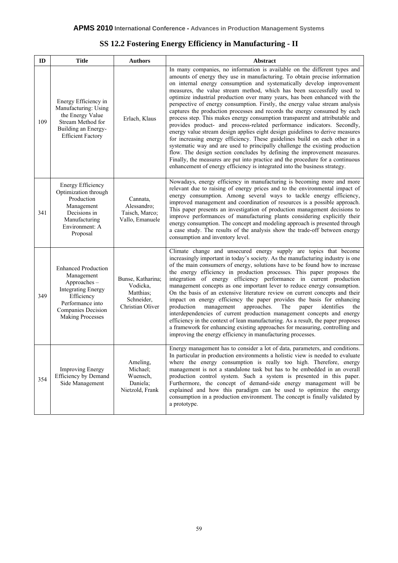|  |  |  | <b>SS 12.2 Fostering Energy Efficiency in Manufacturing - II</b> |  |
|--|--|--|------------------------------------------------------------------|--|
|  |  |  |                                                                  |  |

| ID  | <b>Title</b>                                                                                                                                                                                                                                            | <b>Authors</b><br><b>Abstract</b>                               |                                                                                                                                                                                                                                                                                                                                                                                                                                                                                                                                                                                                                                                                                                                                                                                                                                                                                                                                                                                                                                                                                                                                                                                                              |
|-----|---------------------------------------------------------------------------------------------------------------------------------------------------------------------------------------------------------------------------------------------------------|-----------------------------------------------------------------|--------------------------------------------------------------------------------------------------------------------------------------------------------------------------------------------------------------------------------------------------------------------------------------------------------------------------------------------------------------------------------------------------------------------------------------------------------------------------------------------------------------------------------------------------------------------------------------------------------------------------------------------------------------------------------------------------------------------------------------------------------------------------------------------------------------------------------------------------------------------------------------------------------------------------------------------------------------------------------------------------------------------------------------------------------------------------------------------------------------------------------------------------------------------------------------------------------------|
| 109 | Energy Efficiency in<br>Manufacturing: Using<br>the Energy Value<br>Stream Method for<br>Building an Energy-<br><b>Efficient Factory</b>                                                                                                                | Erlach, Klaus                                                   | In many companies, no information is available on the different types and<br>amounts of energy they use in manufacturing. To obtain precise information<br>on internal energy consumption and systematically develop improvement<br>measures, the value stream method, which has been successfully used to<br>optimize industrial production over many years, has been enhanced with the<br>perspective of energy consumption. Firstly, the energy value stream analysis<br>captures the production processes and records the energy consumed by each<br>process step. This makes energy consumption transparent and attributable and<br>provides product- and process-related performance indicators. Secondly,<br>energy value stream design applies eight design guidelines to derive measures<br>for increasing energy efficiency. These guidelines build on each other in a<br>systematic way and are used to principally challenge the existing production<br>flow. The design section concludes by defining the improvement measures.<br>Finally, the measures are put into practice and the procedure for a continuous<br>enhancement of energy efficiency is integrated into the business strategy. |
| 341 | <b>Energy Efficiency</b><br>Optimization through<br>Production<br>Cannata,<br>Alessandro;<br>Management<br>Decisions in<br>Taisch, Marco;<br>Vallo, Emanuele<br>Manufacturing<br>Environment: A<br>Proposal                                             |                                                                 | Nowadays, energy efficiency in manufacturing is becoming more and more<br>relevant due to raising of energy prices and to the environmental impact of<br>energy consumption. Among several ways to tackle energy efficiency,<br>improved management and coordination of resources is a possible approach.<br>This paper presents an investigation of production management decisions to<br>improve performances of manufacturing plants considering explicitly their<br>energy consumption. The concept and modeling approach is presented through<br>a case study. The results of the analysis show the trade-off between energy<br>consumption and inventory level.                                                                                                                                                                                                                                                                                                                                                                                                                                                                                                                                        |
| 349 | <b>Enhanced Production</b><br>Management<br>Bunse, Katharina;<br>Approaches-<br>Vodicka,<br><b>Integrating Energy</b><br>Matthias;<br>Efficiency<br>Schneider,<br>Performance into<br>Christian Oliver<br>Companies Decision<br><b>Making Processes</b> |                                                                 | Climate change and unsecured energy supply are topics that become<br>increasingly important in today's society. As the manufacturing industry is one<br>of the main consumers of energy, solutions have to be found how to increase<br>the energy efficiency in production processes. This paper proposes the<br>integration of energy efficiency performance in current production<br>management concepts as one important lever to reduce energy consumption.<br>On the basis of an extensive literature review on current concepts and their<br>impact on energy efficiency the paper provides the basis for enhancing<br>management<br>approaches.<br>The<br>identifies<br>production<br>paper<br>the<br>interdependencies of current production management concepts and energy<br>efficiency in the context of lean manufacturing. As a result, the paper proposes<br>a framework for enhancing existing approaches for measuring, controlling and<br>improving the energy efficiency in manufacturing processes.                                                                                                                                                                                       |
| 354 | <b>Improving Energy</b><br>Efficiency by Demand<br>Side Management                                                                                                                                                                                      | Ameling,<br>Michael;<br>Wuensch,<br>Daniela;<br>Nietzold, Frank | Energy management has to consider a lot of data, parameters, and conditions.<br>In particular in production environments a holistic view is needed to evaluate<br>where the energy consumption is really too high. Therefore, energy<br>management is not a standalone task but has to be embedded in an overall<br>production control system. Such a system is presented in this paper.<br>Furthermore, the concept of demand-side energy management will be<br>explained and how this paradigm can be used to optimize the energy<br>consumption in a production environment. The concept is finally validated by<br>a prototype.                                                                                                                                                                                                                                                                                                                                                                                                                                                                                                                                                                          |